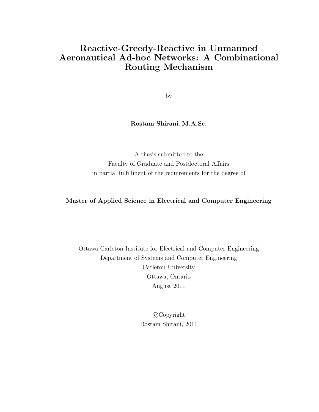## Reactive-Greedy-Reactive in Unmanned Aeronautical Ad-hoc Networks: A Combinational Routing Mechanism

by

#### Rostam Shirani, M.A.Sc.

A thesis submitted to the Faculty of Graduate and Postdoctoral Affairs in partial fulfillment of the requirements for the degree of

#### Master of Applied Science in Electrical and Computer Engineering

Ottawa-Carleton Institute for Electrical and Computer Engineering Department of Systems and Computer Engineering Carleton University Ottawa, Ontario August 2011

> c Copyright Rostam Shirani, 2011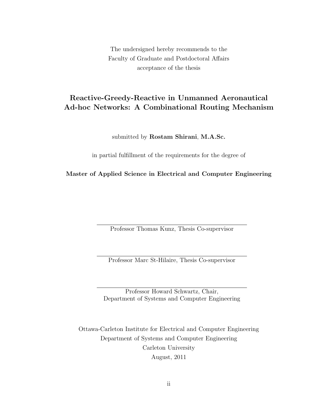The undersigned hereby recommends to the Faculty of Graduate and Postdoctoral Affairs acceptance of the thesis

## Reactive-Greedy-Reactive in Unmanned Aeronautical Ad-hoc Networks: A Combinational Routing Mechanism

submitted by Rostam Shirani, M.A.Sc.

in partial fulfillment of the requirements for the degree of

Master of Applied Science in Electrical and Computer Engineering

Professor Thomas Kunz, Thesis Co-supervisor

Professor Marc St-Hilaire, Thesis Co-supervisor

Professor Howard Schwartz, Chair, Department of Systems and Computer Engineering

Ottawa-Carleton Institute for Electrical and Computer Engineering Department of Systems and Computer Engineering Carleton University August, 2011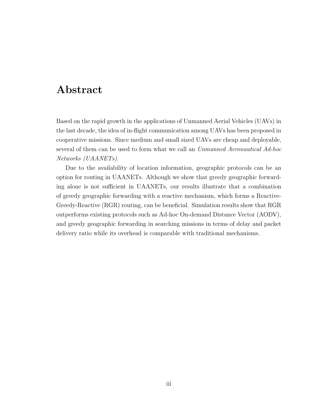## Abstract

<span id="page-2-0"></span>Based on the rapid growth in the applications of Unmanned Aerial Vehicles (UAVs) in the last decade, the idea of in-flight communication among UAVs has been proposed in cooperative missions. Since medium and small sized UAVs are cheap and deployable, several of them can be used to form what we call an Unmanned Aeronautical Ad-hoc Networks (UAANETs).

Due to the availability of location information, geographic protocols can be an option for routing in UAANETs. Although we show that greedy geographic forwarding alone is not sufficient in UAANETs, our results illustrate that a combination of greedy geographic forwarding with a reactive mechanism, which forms a Reactive-Greedy-Reactive (RGR) routing, can be beneficial. Simulation results show that RGR outperforms existing protocols such as Ad-hoc On-demand Distance Vector (AODV), and greedy geographic forwarding in searching missions in terms of delay and packet delivery ratio while its overhead is comparable with traditional mechanisms.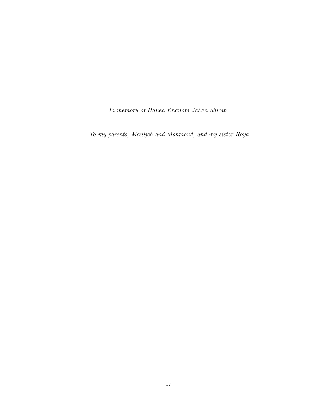In memory of Hajieh Khanom Jahan Shiran

To my parents, Manijeh and Mahmoud, and my sister Roya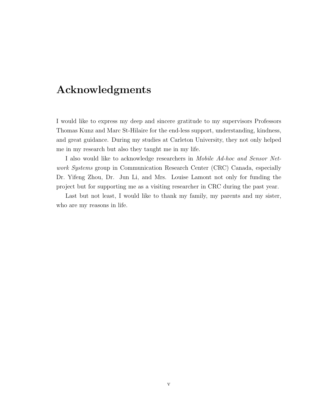## Acknowledgments

<span id="page-4-0"></span>I would like to express my deep and sincere gratitude to my supervisors Professors Thomas Kunz and Marc St-Hilaire for the end-less support, understanding, kindness, and great guidance. During my studies at Carleton University, they not only helped me in my research but also they taught me in my life.

I also would like to acknowledge researchers in Mobile Ad-hoc and Sensor Network Systems group in Communication Research Center (CRC) Canada, especially Dr. Yifeng Zhou, Dr. Jun Li, and Mrs. Louise Lamont not only for funding the project but for supporting me as a visiting researcher in CRC during the past year.

Last but not least, I would like to thank my family, my parents and my sister, who are my reasons in life.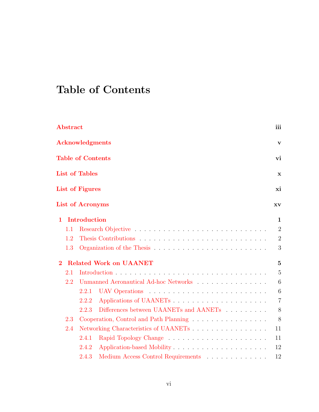# <span id="page-5-0"></span>Table of Contents

| Abstract     |                          |                                                               | iii            |
|--------------|--------------------------|---------------------------------------------------------------|----------------|
|              | <b>Acknowledgments</b>   |                                                               | $\mathbf{v}$   |
|              | <b>Table of Contents</b> |                                                               | vi             |
|              | <b>List of Tables</b>    |                                                               | $\mathbf x$    |
|              | List of Figures          |                                                               | xi             |
|              | <b>List of Acronyms</b>  |                                                               | XV             |
| $\mathbf{1}$ | <b>Introduction</b>      |                                                               | $\mathbf 1$    |
| 1.1          |                          |                                                               | $\overline{2}$ |
| 1.2          |                          |                                                               | $\overline{2}$ |
| 1.3          |                          |                                                               | 3              |
| $\bf{2}$     |                          | <b>Related Work on UAANET</b>                                 | $\overline{5}$ |
| 2.1          |                          |                                                               | $\overline{5}$ |
| 2.2          |                          | Unmanned Aeronautical Ad-hoc Networks                         | 6              |
|              | 2.2.1                    |                                                               | 6              |
|              | 2.2.2                    |                                                               | $\overline{7}$ |
|              | 2.2.3                    | Differences between UAANETs and AANETs $\ldots \ldots \ldots$ | 8              |
| 2.3          |                          | Cooperation, Control and Path Planning                        | 8              |
| 2.4          |                          | Networking Characteristics of UAANETs                         | 11             |
|              | 2.4.1                    |                                                               | 11             |
|              | 2.4.2                    | Application-based Mobility                                    | 12             |
|              | 2.4.3                    | Medium Access Control Requirements                            | 12             |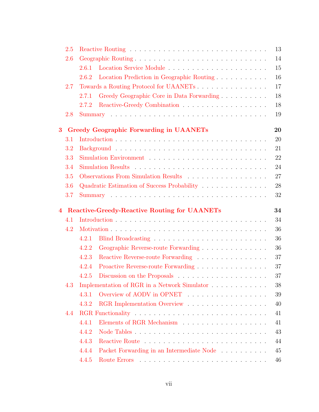| 2.5 |       | 13                                                                                  |  |
|-----|-------|-------------------------------------------------------------------------------------|--|
| 2.6 |       | 14<br>Geographic Routing                                                            |  |
|     | 2.6.1 | 15                                                                                  |  |
|     | 2.6.2 | 16<br>Location Prediction in Geographic Routing                                     |  |
| 2.7 |       | 17<br>Towards a Routing Protocol for UAANETs                                        |  |
|     | 2.7.1 | 18<br>Greedy Geographic Core in Data Forwarding                                     |  |
|     | 2.7.2 | 18                                                                                  |  |
| 2.8 |       | 19                                                                                  |  |
| 3   |       | 20<br>Greedy Geographic Forwarding in UAANETs                                       |  |
| 3.1 |       | 20                                                                                  |  |
| 3.2 |       | 21                                                                                  |  |
| 3.3 |       | 22                                                                                  |  |
| 3.4 |       | 24                                                                                  |  |
| 3.5 |       | 27<br>Observations From Simulation Results                                          |  |
| 3.6 |       | 28<br>Quadratic Estimation of Success Probability                                   |  |
| 3.7 |       | 32                                                                                  |  |
| 4   |       | 34<br><b>Reactive-Greedy-Reactive Routing for UAANETs</b>                           |  |
| 4.1 |       | 34                                                                                  |  |
| 4.2 |       | 36                                                                                  |  |
|     | 4.2.1 | 36                                                                                  |  |
|     | 4.2.2 | 36<br>Geographic Reverse-route Forwarding                                           |  |
|     | 4.2.3 | 37<br>Reactive Reverse-route Forwarding                                             |  |
|     | 4.2.4 | 37<br>Proactive Reverse-route Forwarding                                            |  |
|     | 4.2.5 | 37<br>Discussion on the Proposals                                                   |  |
| 4.3 |       | Implementation of RGR in a Network Simulator $\ldots \ldots \ldots \ldots$<br>38    |  |
|     | 4.3.1 | Overview of AODV in OPNET<br>39                                                     |  |
|     | 4.3.2 | 40                                                                                  |  |
| 4.4 |       | 41                                                                                  |  |
|     | 4.4.1 | 41                                                                                  |  |
|     | 4.4.2 | 43                                                                                  |  |
|     | 4.4.3 | 44                                                                                  |  |
|     | 4.4.4 | Packet Forwarding in an Intermediate Node<br>$\hfill\ldots\ldots\ldots\ldots$<br>45 |  |
|     | 4.4.5 | 46                                                                                  |  |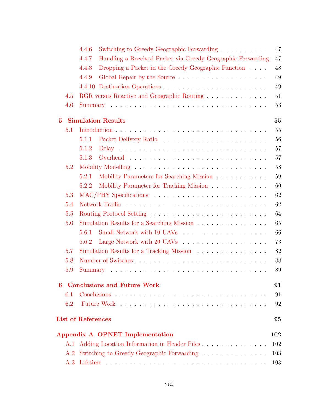|             |     | 4.4.6<br>Switching to Greedy Geographic Forwarding                   | 47  |
|-------------|-----|----------------------------------------------------------------------|-----|
|             |     | 4.4.7<br>Handling a Received Packet via Greedy Geographic Forwarding | 47  |
|             |     | Dropping a Packet in the Greedy Geographic Function<br>4.4.8         | 48  |
|             |     | 4.4.9                                                                | 49  |
|             |     |                                                                      | 49  |
|             | 4.5 | RGR versus Reactive and Geographic Routing                           | 51  |
|             | 4.6 |                                                                      | 53  |
| $5^{\circ}$ |     | <b>Simulation Results</b>                                            | 55  |
|             | 5.1 |                                                                      | 55  |
|             |     | 5.1.1                                                                | 56  |
|             |     | 5.1.2                                                                | 57  |
|             |     | 5.1.3                                                                | 57  |
|             | 5.2 |                                                                      | 58  |
|             |     | Mobility Parameters for Searching Mission<br>5.2.1                   | 59  |
|             |     | Mobility Parameter for Tracking Mission<br>5.2.2                     | 60  |
|             | 5.3 |                                                                      | 62  |
|             | 5.4 |                                                                      | 62  |
|             | 5.5 |                                                                      | 64  |
|             | 5.6 | Simulation Results for a Searching Mission                           | 65  |
|             |     | 5.6.1                                                                | 66  |
|             |     | 5.6.2                                                                | 73  |
|             | 5.7 | Simulation Results for a Tracking Mission                            | 82  |
|             | 5.8 |                                                                      | 88  |
|             | 5.9 |                                                                      | 89  |
| 6           |     | <b>Conclusions and Future Work</b>                                   | 91  |
|             | 6.1 |                                                                      | 91  |
|             | 6.2 |                                                                      | 92  |
|             |     | <b>List of References</b>                                            | 95  |
|             |     | Appendix A OPNET Implementation                                      | 102 |
|             | A.1 | Adding Location Information in Header Files                          | 102 |
|             |     | A.2 Switching to Greedy Geographic Forwarding                        | 103 |
|             |     |                                                                      | 103 |
|             |     |                                                                      |     |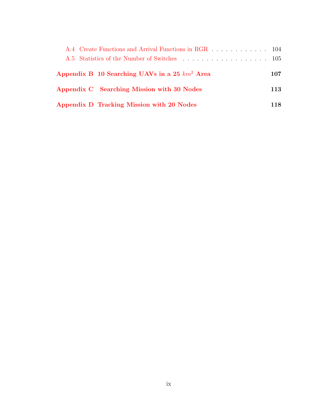| A.4 Create Functions and Arrival Functions in RGR 104 |     |
|-------------------------------------------------------|-----|
|                                                       |     |
| Appendix B 10 Searching UAVs in a 25 $km^2$ Area      | 107 |
| Appendix C Searching Mission with 30 Nodes            | 113 |
| Appendix D Tracking Mission with 20 Nodes             | 118 |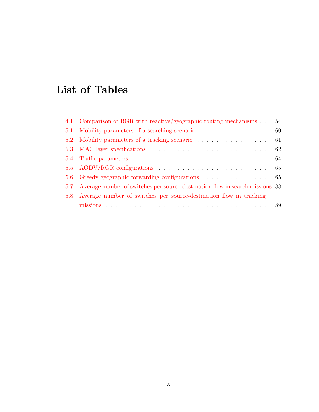# <span id="page-9-0"></span>List of Tables

| 4.1 Comparison of RGR with reactive/geographic routing mechanisms                | 54  |
|----------------------------------------------------------------------------------|-----|
| 5.1 Mobility parameters of a searching scenario                                  | 60  |
| 5.2 Mobility parameters of a tracking scenario                                   | -61 |
|                                                                                  |     |
|                                                                                  |     |
|                                                                                  |     |
| 5.6 Greedy geographic forwarding configurations 65                               |     |
| 5.7 Average number of switches per source-destination flow in search missions 88 |     |
| 5.8 Average number of switches per source-destination flow in tracking           |     |
|                                                                                  |     |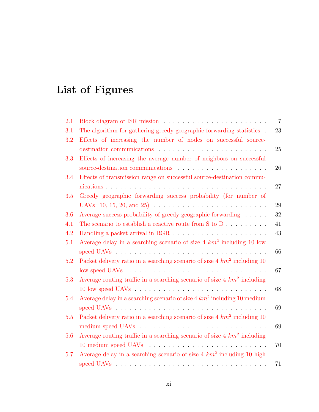# <span id="page-10-0"></span>List of Figures

| 2.1 |                                                                               | $\overline{7}$ |
|-----|-------------------------------------------------------------------------------|----------------|
| 3.1 | The algorithm for gathering greedy geographic forwarding statistics .         | 23             |
| 3.2 | Effects of increasing the number of nodes on successful source-               |                |
|     |                                                                               | 25             |
| 3.3 | Effects of increasing the average number of neighbors on successful           |                |
|     |                                                                               | 26             |
| 3.4 | Effects of transmission range on successful source-destination commu-         |                |
|     |                                                                               | 27             |
| 3.5 | Greedy geographic forwarding success probability (for number of               |                |
|     |                                                                               | 29             |
| 3.6 | Average success probability of greedy geographic forwarding                   | 32             |
| 4.1 | The scenario to establish a reactive route from S to D                        | 41             |
| 4.2 |                                                                               | 43             |
| 5.1 | Average delay in a searching scenario of size $4 \ km^2$ including 10 low     |                |
|     |                                                                               | 66             |
| 5.2 | Packet delivery ratio in a searching scenario of size $4 \ km^2$ including 10 |                |
|     |                                                                               | 67             |
| 5.3 | Average routing traffic in a searching scenario of size $4 \ km^2$ including  |                |
|     |                                                                               | 68             |
| 5.4 | Average delay in a searching scenario of size $4 \, km^2$ including 10 medium |                |
|     |                                                                               | 69             |
| 5.5 | Packet delivery ratio in a searching scenario of size $4 \ km^2$ including 10 |                |
|     |                                                                               | 69             |
| 5.6 | Average routing traffic in a searching scenario of size $4 \ km^2$ including  |                |
|     |                                                                               | 70             |
| 5.7 | Average delay in a searching scenario of size $4 \ km^2$ including 10 high    |                |
|     |                                                                               | 71             |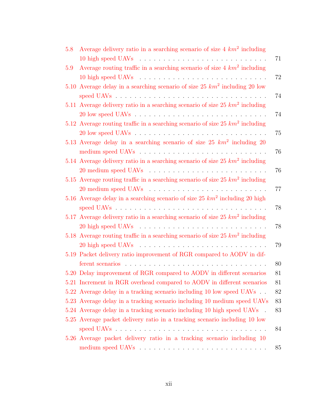| 5.8 | Average delivery ratio in a searching scenario of size $4 \ km^2$ including      |    |
|-----|----------------------------------------------------------------------------------|----|
|     |                                                                                  | 71 |
| 5.9 | Average routing traffic in a searching scenario of size $4 \ km^2$ including     |    |
|     |                                                                                  | 72 |
|     | 5.10 Average delay in a searching scenario of size 25 $km^2$ including 20 low    |    |
|     |                                                                                  | 74 |
|     | 5.11 Average delivery ratio in a searching scenario of size 25 $km^2$ including  |    |
|     |                                                                                  | 74 |
|     | 5.12 Average routing traffic in a searching scenario of size 25 $km^2$ including |    |
|     |                                                                                  | 75 |
|     | 5.13 Average delay in a searching scenario of size 25 $km^2$ including 20        |    |
|     |                                                                                  | 76 |
|     | 5.14 Average delivery ratio in a searching scenario of size 25 $km^2$ including  |    |
|     |                                                                                  | 76 |
|     | 5.15 Average routing traffic in a searching scenario of size 25 $km^2$ including |    |
|     |                                                                                  | 77 |
|     | 5.16 Average delay in a searching scenario of size 25 $km^2$ including 20 high   |    |
|     |                                                                                  | 78 |
|     | 5.17 Average delivery ratio in a searching scenario of size 25 $km^2$ including  |    |
|     |                                                                                  | 78 |
|     | 5.18 Average routing traffic in a searching scenario of size 25 $km^2$ including |    |
|     |                                                                                  | 79 |
|     | 5.19 Packet delivery ratio improvement of RGR compared to AODV in dif-           |    |
|     |                                                                                  | 80 |
|     | 5.20 Delay improvement of RGR compared to AODV in different scenarios            | 81 |
|     | 5.21 Increment in RGR overhead compared to AODV in different scenarios           | 81 |
|     | 5.22 Average delay in a tracking scenario including 10 low speed UAVs            | 82 |
|     | 5.23 Average delay in a tracking scenario including 10 medium speed UAVs         | 83 |
|     | 5.24 Average delay in a tracking scenario including 10 high speed UAVs.          | 83 |
|     | 5.25 Average packet delivery ratio in a tracking scenario including 10 low       |    |
|     |                                                                                  | 84 |
|     | 5.26 Average packet delivery ratio in a tracking scenario including 10           |    |
|     |                                                                                  | 85 |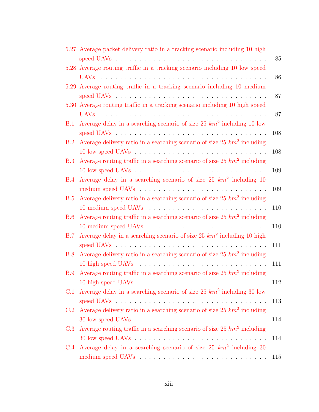|     | 5.27 Average packet delivery ratio in a tracking scenario including 10 high  | 85  |
|-----|------------------------------------------------------------------------------|-----|
|     | 5.28 Average routing traffic in a tracking scenario including 10 low speed   |     |
|     |                                                                              | 86  |
|     | 5.29 Average routing traffic in a tracking scenario including 10 medium      | 87  |
|     | 5.30 Average routing traffic in a tracking scenario including 10 high speed  |     |
|     |                                                                              |     |
|     |                                                                              | 87  |
| B.1 | Average delay in a searching scenario of size $25 \ km^2$ including 10 low   |     |
|     |                                                                              | 108 |
| B.2 | Average delivery ratio in a searching scenario of size $25 \ km^2$ including |     |
|     |                                                                              | 108 |
| B.3 | Average routing traffic in a searching scenario of size 25 $km^2$ including  |     |
|     |                                                                              | 109 |
| B.4 | Average delay in a searching scenario of size 25 $km^2$ including 10         |     |
|     |                                                                              | 109 |
| B.5 | Average delivery ratio in a searching scenario of size 25 $km^2$ including   |     |
|     |                                                                              | 110 |
| B.6 | Average routing traffic in a searching scenario of size 25 $km^2$ including  |     |
|     |                                                                              | 110 |
| B.7 | Average delay in a searching scenario of size 25 $km^2$ including 10 high    |     |
|     |                                                                              | 111 |
| B.8 | Average delivery ratio in a searching scenario of size 25 $km^2$ including   |     |
|     |                                                                              | 111 |
| B.9 | Average routing traffic in a searching scenario of size 25 $km^2$ including  |     |
|     |                                                                              | 112 |
| C.1 | Average delay in a searching scenario of size $25 \ km^2$ including 30 low   |     |
|     |                                                                              | 113 |
| C.2 | Average delivery ratio in a searching scenario of size 25 $km^2$ including   |     |
|     |                                                                              | 114 |
| C.3 | Average routing traffic in a searching scenario of size 25 $km^2$ including  |     |
|     |                                                                              | 114 |
| C.4 | Average delay in a searching scenario of size $25 \ km^2$ including 30       |     |
|     |                                                                              | 115 |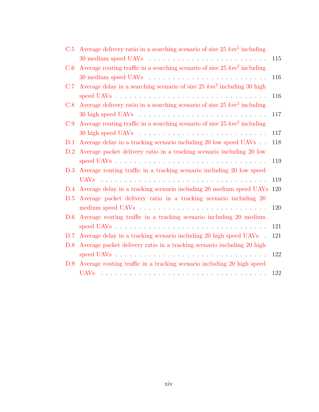| C.5 | Average delivery ratio in a searching scenario of size 25 $km^2$ including  |     |
|-----|-----------------------------------------------------------------------------|-----|
|     |                                                                             | 115 |
| C.6 | Average routing traffic in a searching scenario of size 25 $km^2$ including |     |
|     |                                                                             | 116 |
| C.7 | Average delay in a searching scenario of size 25 $km^2$ including 30 high   |     |
|     |                                                                             | 116 |
| C.8 | Average delivery ratio in a searching scenario of size 25 $km^2$ including  |     |
|     |                                                                             | 117 |
| C.9 | Average routing traffic in a searching scenario of size 25 $km^2$ including |     |
|     |                                                                             | 117 |
| D.1 | Average delay in a tracking scenario including 20 low speed UAVs            | 118 |
| D.2 | Average packet delivery ratio in a tracking scenario including 20 low       |     |
|     |                                                                             | 119 |
| D.3 | Average routing traffic in a tracking scenario including 20 low speed       |     |
|     | UAV <sub>s</sub>                                                            | 119 |
| D.4 | Average delay in a tracking scenario including 20 medium speed UAVs         | 120 |
| D.5 | Average packet delivery ratio in a tracking scenario including 20           |     |
|     |                                                                             | 120 |
| D.6 | Average routing traffic in a tracking scenario including 20 medium          |     |
|     |                                                                             | 121 |
| D.7 | Average delay in a tracking scenario including 20 high speed UAVs.          | 121 |
| D.8 | Average packet delivery ratio in a tracking scenario including 20 high      |     |
|     |                                                                             | 122 |
| D.9 | Average routing traffic in a tracking scenario including 20 high speed      |     |
|     |                                                                             | 122 |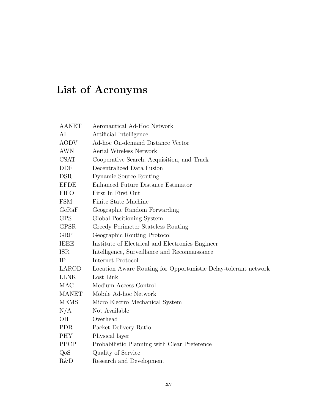# List of Acronyms

<span id="page-14-0"></span>

| <b>AANET</b> | Aeronautical Ad-Hoc Network                                     |
|--------------|-----------------------------------------------------------------|
| AI           | Artificial Intelligence                                         |
| <b>AODV</b>  | Ad-hoc On-demand Distance Vector                                |
| <b>AWN</b>   | <b>Aerial Wireless Network</b>                                  |
| <b>CSAT</b>  | Cooperative Search, Acquisition, and Track                      |
| DDF          | Decentralized Data Fusion                                       |
| <b>DSR</b>   | Dynamic Source Routing                                          |
| <b>EFDE</b>  | Enhanced Future Distance Estimator                              |
| <b>FIFO</b>  | First In First Out                                              |
| <b>FSM</b>   | Finite State Machine                                            |
| GeRaF        | Geographic Random Forwarding                                    |
| <b>GPS</b>   | Global Positioning System                                       |
| <b>GPSR</b>  | Greedy Perimeter Stateless Routing                              |
| ${\rm GRP}$  | Geographic Routing Protocol                                     |
| <b>IEEE</b>  | Institute of Electrical and Electronics Engineer                |
| <b>ISR</b>   | Intelligence, Surveillance and Reconnaissance                   |
| IP           | Internet Protocol                                               |
| LAROD        | Location Aware Routing for Opportunistic Delay-tolerant network |
| <b>LLNK</b>  | Lost Link                                                       |
| MAC          | Medium Access Control                                           |
| <b>MANET</b> | Mobile Ad-hoc Network                                           |
| <b>MEMS</b>  | Micro Electro Mechanical System                                 |
| N/A          | Not Available                                                   |
| <b>OH</b>    | Overhead                                                        |
| <b>PDR</b>   | Packet Delivery Ratio                                           |
| <b>PHY</b>   | Physical layer                                                  |
| <b>PPCP</b>  | Probabilistic Planning with Clear Preference                    |
| QoS          | Quality of Service                                              |
| R&D          | Research and Development                                        |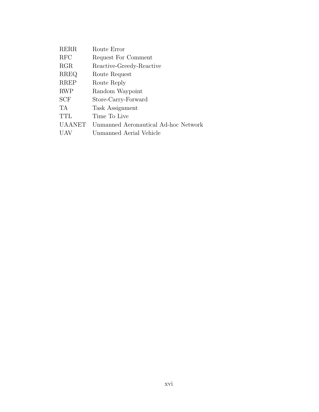| <b>RERR</b>   | Route Error                          |
|---------------|--------------------------------------|
| <b>RFC</b>    | Request For Comment                  |
| RGR           | Reactive-Greedy-Reactive             |
| <b>RREQ</b>   | Route Request                        |
| <b>RREP</b>   | Route Reply                          |
| <b>RWP</b>    | Random Waypoint                      |
| <b>SCF</b>    | Store-Carry-Forward                  |
| TA            | Task Assignment                      |
| TTL           | Time To Live                         |
| <b>UAANET</b> | Unmanned Aeronautical Ad-hoc Network |
| UAV           | Unmanned Aerial Vehicle              |
|               |                                      |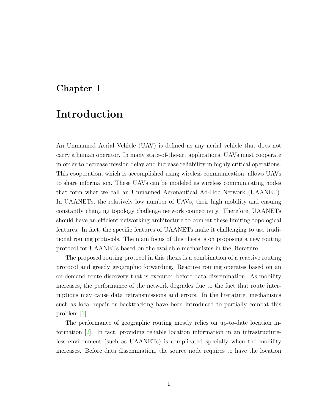## <span id="page-16-0"></span>Chapter 1

## Introduction

An Unmanned Aerial Vehicle (UAV) is defined as any aerial vehicle that does not carry a human operator. In many state-of-the-art applications, UAVs must cooperate in order to decrease mission delay and increase reliability in highly critical operations. This cooperation, which is accomplished using wireless communication, allows UAVs to share information. These UAVs can be modeled as wireless communicating nodes that form what we call an Unmanned Aeronautical Ad-Hoc Network (UAANET). In UAANETs, the relatively low number of UAVs, their high mobility and ensuing constantly changing topology challenge network connectivity. Therefore, UAANETs should have an efficient networking architecture to combat these limiting topological features. In fact, the specific features of UAANETs make it challenging to use traditional routing protocols. The main focus of this thesis is on proposing a new routing protocol for UAANETs based on the available mechanisms in the literature.

The proposed routing protocol in this thesis is a combination of a reactive routing protocol and greedy geographic forwarding. Reactive routing operates based on an on-demand route discovery that is executed before data dissemination. As mobility increases, the performance of the network degrades due to the fact that route interruptions may cause data retransmissions and errors. In the literature, mechanisms such as local repair or backtracking have been introduced to partially combat this problem [\[1\]](#page-110-1).

The performance of geographic routing mostly relies on up-to-date location information [\[2\]](#page-110-2). In fact, providing reliable location information in an infrastructureless environment (such as UAANETs) is complicated specially when the mobility increases. Before data dissemination, the source node requires to have the location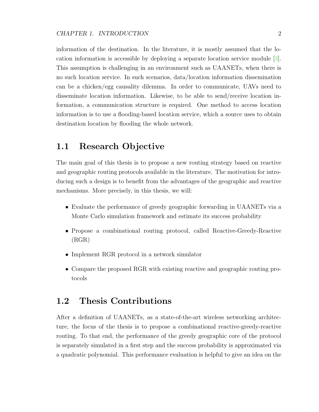information of the destination. In the literature, it is mostly assumed that the location information is accessible by deploying a separate location service module [\[3\]](#page-110-3). This assumption is challenging in an environment such as UAANETs, when there is no such location service. In such scenarios, data/location information dissemination can be a chicken/egg causality dilemma. In order to communicate, UAVs need to disseminate location information. Likewise, to be able to send/receive location information, a communication structure is required. One method to access location information is to use a flooding-based location service, which a source uses to obtain destination location by flooding the whole network.

## <span id="page-17-0"></span>1.1 Research Objective

The main goal of this thesis is to propose a new routing strategy based on reactive and geographic routing protocols available in the literature. The motivation for introducing such a design is to benefit from the advantages of the geographic and reactive mechanisms. More precisely, in this thesis, we will:

- Evaluate the performance of greedy geographic forwarding in UAANETs via a Monte Carlo simulation framework and estimate its success probability
- Propose a combinational routing protocol, called Reactive-Greedy-Reactive (RGR)
- Implement RGR protocol in a network simulator
- Compare the proposed RGR with existing reactive and geographic routing protocols

## <span id="page-17-1"></span>1.2 Thesis Contributions

After a definition of UAANETs, as a state-of-the-art wireless networking architecture, the focus of the thesis is to propose a combinational reactive-greedy-reactive routing. To that end, the performance of the greedy geographic core of the protocol is separately simulated in a first step and the success probability is approximated via a quadratic polynomial. This performance evaluation is helpful to give an idea on the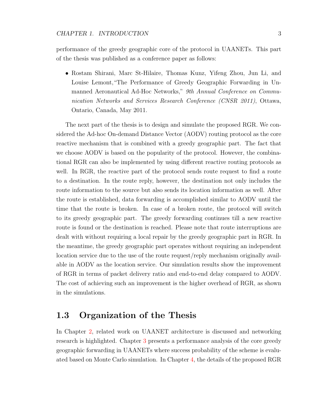performance of the greedy geographic core of the protocol in UAANETs. This part of the thesis was published as a conference paper as follows:

• Rostam Shirani, Marc St-Hilaire, Thomas Kunz, Yifeng Zhou, Jun Li, and Louise Lemont,"The Performance of Greedy Geographic Forwarding in Unmanned Aeronautical Ad-Hoc Networks," 9th Annual Conference on Communication Networks and Services Research Conference (CNSR 2011), Ottawa, Ontario, Canada, May 2011.

The next part of the thesis is to design and simulate the proposed RGR. We considered the Ad-hoc On-demand Distance Vector (AODV) routing protocol as the core reactive mechanism that is combined with a greedy geographic part. The fact that we choose AODV is based on the popularity of the protocol. However, the combinational RGR can also be implemented by using different reactive routing protocols as well. In RGR, the reactive part of the protocol sends route request to find a route to a destination. In the route reply, however, the destination not only includes the route information to the source but also sends its location information as well. After the route is established, data forwarding is accomplished similar to AODV until the time that the route is broken. In case of a broken route, the protocol will switch to its greedy geographic part. The greedy forwarding continues till a new reactive route is found or the destination is reached. Please note that route interruptions are dealt with without requiring a local repair by the greedy geographic part in RGR. In the meantime, the greedy geographic part operates without requiring an independent location service due to the use of the route request/reply mechanism originally available in AODV as the location service. Our simulation results show the improvement of RGR in terms of packet delivery ratio and end-to-end delay compared to AODV. The cost of achieving such an improvement is the higher overhead of RGR, as shown in the simulations.

## <span id="page-18-0"></span>1.3 Organization of the Thesis

In Chapter [2,](#page-20-0) related work on UAANET architecture is discussed and networking research is highlighted. Chapter [3](#page-35-0) presents a performance analysis of the core greedy geographic forwarding in UAANETs where success probability of the scheme is evaluated based on Monte Carlo simulation. In Chapter [4,](#page-49-0) the details of the proposed RGR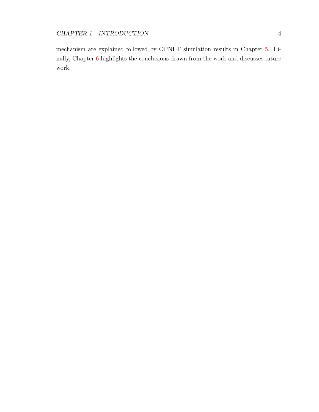mechanism are explained followed by OPNET simulation results in Chapter [5.](#page-70-0) Finally, Chapter [6](#page-106-0) highlights the conclusions drawn from the work and discusses future work.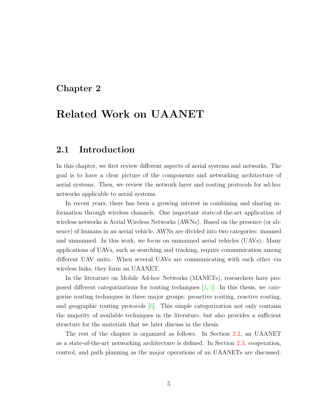## <span id="page-20-0"></span>Chapter 2

## Related Work on UAANET

## <span id="page-20-1"></span>2.1 Introduction

In this chapter, we first review different aspects of aerial systems and networks. The goal is to have a clear picture of the components and networking architecture of aerial systems. Then, we review the network layer and routing protocols for ad-hoc networks applicable to aerial systems.

In recent years, there has been a growing interest in combining and sharing information through wireless channels. One important state-of-the-art application of wireless networks is Aerial Wireless Networks (AWNs). Based on the presence (or absence) of humans in an aerial vehicle, AWNs are divided into two categories: manned and unmanned. In this work, we focus on unmanned aerial vehicles (UAVs). Many applications of UAVs, such as searching and tracking, require communication among different UAV units. When several UAVs are communicating with each other via wireless links, they form an UAANET.

In the literature on Mobile Ad-hoc Networks (MANETs), researchers have proposed different categorizations for routing techniques  $[4, 5]$  $[4, 5]$  $[4, 5]$ . In this thesis, we categorize routing techniques in three major groups: proactive routing, reactive routing, and geographic routing protocols  $[6]$ . This simple categorization not only contains the majority of available techniques in the literature, but also provides a sufficient structure for the materials that we later discuss in the thesis.

The rest of the chapter is organized as follows. In Section [2.2,](#page-21-0) an UAANET as a state-of-the-art networking architecture is defined. In Section [2.3,](#page-23-1) cooperation, control, and path planning as the major operations of an UAANETs are discussed.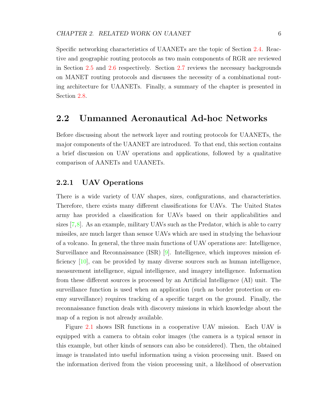Specific networking characteristics of UAANETs are the topic of Section [2.4.](#page-26-0) Reactive and geographic routing protocols as two main components of RGR are reviewed in Section [2.5](#page-28-0) and [2.6](#page-29-0) respectively. Section [2.7](#page-32-0) reviews the necessary backgrounds on MANET routing protocols and discusses the necessity of a combinational routing architecture for UAANETs. Finally, a summary of the chapter is presented in Section [2.8.](#page-34-0)

## <span id="page-21-0"></span>2.2 Unmanned Aeronautical Ad-hoc Networks

Before discussing about the network layer and routing protocols for UAANETs, the major components of the UAANET are introduced. To that end, this section contains a brief discussion on UAV operations and applications, followed by a qualitative comparison of AANETs and UAANETs.

### <span id="page-21-1"></span>2.2.1 UAV Operations

There is a wide variety of UAV shapes, sizes, configurations, and characteristics. Therefore, there exists many different classifications for UAVs. The United States army has provided a classification for UAVs based on their applicabilities and sizes  $[7,8]$  $[7,8]$ . As an example, military UAVs such as the Predator, which is able to carry missiles, are much larger than sensor UAVs which are used in studying the behaviour of a volcano. In general, the three main functions of UAV operations are: Intelligence, Surveillance and Reconnaissance (ISR) [\[9\]](#page-110-9). Intelligence, which improves mission efficiency [\[10\]](#page-110-10), can be provided by many diverse sources such as human intelligence, measurement intelligence, signal intelligence, and imagery intelligence. Information from these different sources is processed by an Artificial Intelligence (AI) unit. The surveillance function is used when an application (such as border protection or enemy surveillance) requires tracking of a specific target on the ground. Finally, the reconnaissance function deals with discovery missions in which knowledge about the map of a region is not already available.

Figure [2.1](#page-22-1) shows ISR functions in a cooperative UAV mission. Each UAV is equipped with a camera to obtain color images (the camera is a typical sensor in this example, but other kinds of sensors can also be considered). Then, the obtained image is translated into useful information using a vision processing unit. Based on the information derived from the vision processing unit, a likelihood of observation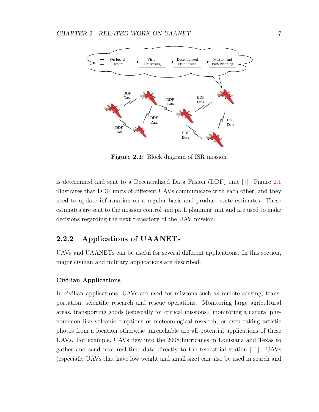<span id="page-22-1"></span>

Figure 2.1: Block diagram of ISR mission

is determined and sent to a Decentralized Data Fusion (DDF) unit [\[9\]](#page-110-9). Figure [2.1](#page-22-1) illustrates that DDF units of different UAVs communicate with each other, and they need to update information on a regular basis and produce state estimates. These estimates are sent to the mission control and path planning unit and are used to make decisions regarding the next trajectory of the UAV mission.

## <span id="page-22-0"></span>2.2.2 Applications of UAANETs

UAVs and UAANETs can be useful for several different applications. In this section, major civilian and military applications are described.

#### Civilian Applications

In civilian applications, UAVs are used for missions such as remote sensing, transportation, scientific research and rescue operations. Monitoring large agricultural areas, transporting goods (especially for critical missions), monitoring a natural phenomenon like volcanic eruptions or meteorological research, or even taking artistic photos from a location otherwise unreachable are all potential applications of these UAVs. For example, UAVs flew into the 2008 hurricanes in Louisiana and Texas to gather and send near-real-time data directly to the terrestrial station [\[11\]](#page-110-11). UAVs (especially UAVs that have low weight and small size) can also be used in search and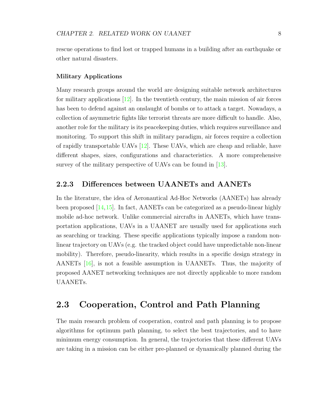rescue operations to find lost or trapped humans in a building after an earthquake or other natural disasters.

#### Military Applications

Many research groups around the world are designing suitable network architectures for military applications [\[12\]](#page-111-0). In the twentieth century, the main mission of air forces has been to defend against an onslaught of bombs or to attack a target. Nowadays, a collection of asymmetric fights like terrorist threats are more difficult to handle. Also, another role for the military is its peacekeeping duties, which requires surveillance and monitoring. To support this shift in military paradigm, air forces require a collection of rapidly transportable UAVs [\[12\]](#page-111-0). These UAVs, which are cheap and reliable, have different shapes, sizes, configurations and characteristics. A more comprehensive survey of the military perspective of UAVs can be found in [\[13\]](#page-111-1).

#### <span id="page-23-0"></span>2.2.3 Differences between UAANETs and AANETs

In the literature, the idea of Aeronautical Ad-Hoc Networks (AANETs) has already been proposed  $[14,15]$  $[14,15]$ . In fact, AANETs can be categorized as a pseudo-linear highly mobile ad-hoc network. Unlike commercial aircrafts in AANETs, which have transportation applications, UAVs in a UAANET are usually used for applications such as searching or tracking. These specific applications typically impose a random nonlinear trajectory on UAVs (e.g. the tracked object could have unpredictable non-linear mobility). Therefore, pseudo-linearity, which results in a specific design strategy in AANETs [\[16\]](#page-111-4), is not a feasible assumption in UAANETs. Thus, the majority of proposed AANET networking techniques are not directly applicable to more random UAANETs.

## <span id="page-23-1"></span>2.3 Cooperation, Control and Path Planning

The main research problem of cooperation, control and path planning is to propose algorithms for optimum path planning, to select the best trajectories, and to have minimum energy consumption. In general, the trajectories that these different UAVs are taking in a mission can be either pre-planned or dynamically planned during the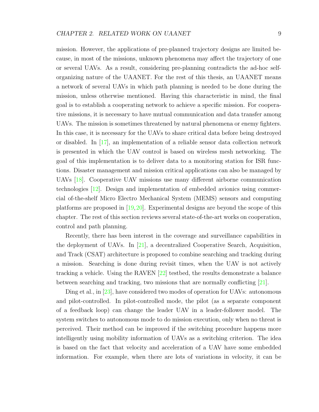mission. However, the applications of pre-planned trajectory designs are limited because, in most of the missions, unknown phenomena may affect the trajectory of one or several UAVs. As a result, considering pre-planning contradicts the ad-hoc selforganizing nature of the UAANET. For the rest of this thesis, an UAANET means a network of several UAVs in which path planning is needed to be done during the mission, unless otherwise mentioned. Having this characteristic in mind, the final goal is to establish a cooperating network to achieve a specific mission. For cooperative missions, it is necessary to have mutual communication and data transfer among UAVs. The mission is sometimes threatened by natural phenomena or enemy fighters. In this case, it is necessary for the UAVs to share critical data before being destroyed or disabled. In [\[17\]](#page-111-5), an implementation of a reliable sensor data collection network is presented in which the UAV control is based on wireless mesh networking. The goal of this implementation is to deliver data to a monitoring station for ISR functions. Disaster management and mission critical applications can also be managed by UAVs [\[18\]](#page-111-6). Cooperative UAV missions use many different airborne communication technologies [\[12\]](#page-111-0). Design and implementation of embedded avionics using commercial of-the-shelf Micro Electro Mechanical System (MEMS) sensors and computing platforms are proposed in [\[19,](#page-111-7)[20\]](#page-111-8). Experimental designs are beyond the scope of this chapter. The rest of this section reviews several state-of-the-art works on cooperation, control and path planning.

Recently, there has been interest in the coverage and surveillance capabilities in the deployment of UAVs. In [\[21\]](#page-111-9), a decentralized Cooperative Search, Acquisition, and Track (CSAT) architecture is proposed to combine searching and tracking during a mission. Searching is done during revisit times, when the UAV is not actively tracking a vehicle. Using the RAVEN  $[22]$  testbed, the results demonstrate a balance between searching and tracking, two missions that are normally conflicting [\[21\]](#page-111-9).

Ding et al., in [\[23\]](#page-111-11), have considered two modes of operation for UAVs: autonomous and pilot-controlled. In pilot-controlled mode, the pilot (as a separate component of a feedback loop) can change the leader UAV in a leader-follower model. The system switches to autonomous mode to do mission execution, only when no threat is perceived. Their method can be improved if the switching procedure happens more intelligently using mobility information of UAVs as a switching criterion. The idea is based on the fact that velocity and acceleration of a UAV have some embedded information. For example, when there are lots of variations in velocity, it can be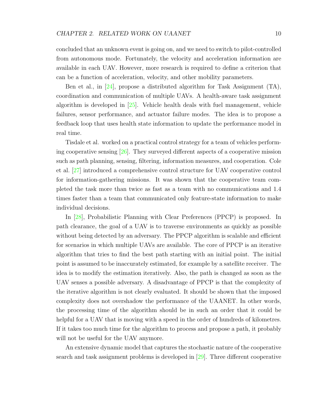concluded that an unknown event is going on, and we need to switch to pilot-controlled from autonomous mode. Fortunately, the velocity and acceleration information are available in each UAV. However, more research is required to define a criterion that can be a function of acceleration, velocity, and other mobility parameters.

Ben et al., in [\[24\]](#page-111-12), propose a distributed algorithm for Task Assignment (TA), coordination and communication of multiple UAVs. A health-aware task assignment algorithm is developed in [\[25\]](#page-111-13). Vehicle health deals with fuel management, vehicle failures, sensor performance, and actuator failure modes. The idea is to propose a feedback loop that uses health state information to update the performance model in real time.

Tisdale et al. worked on a practical control strategy for a team of vehicles performing cooperative sensing  $[26]$ . They surveyed different aspects of a cooperative mission such as path planning, sensing, filtering, information measures, and cooperation. Cole et al. [\[27\]](#page-112-1) introduced a comprehensive control structure for UAV cooperative control for information-gathering missions. It was shown that the cooperative team completed the task more than twice as fast as a team with no communications and 1.4 times faster than a team that communicated only feature-state information to make individual decisions.

In [\[28\]](#page-112-2), Probabilistic Planning with Clear Preferences (PPCP) is proposed. In path clearance, the goal of a UAV is to traverse environments as quickly as possible without being detected by an adversary. The PPCP algorithm is scalable and efficient for scenarios in which multiple UAVs are available. The core of PPCP is an iterative algorithm that tries to find the best path starting with an initial point. The initial point is assumed to be inaccurately estimated, for example by a satellite receiver. The idea is to modify the estimation iteratively. Also, the path is changed as soon as the UAV senses a possible adversary. A disadvantage of PPCP is that the complexity of the iterative algorithm is not clearly evaluated. It should be shown that the imposed complexity does not overshadow the performance of the UAANET. In other words, the processing time of the algorithm should be in such an order that it could be helpful for a UAV that is moving with a speed in the order of hundreds of kilometres. If it takes too much time for the algorithm to process and propose a path, it probably will not be useful for the UAV anymore.

An extensive dynamic model that captures the stochastic nature of the cooperative search and task assignment problems is developed in [\[29\]](#page-112-3). Three different cooperative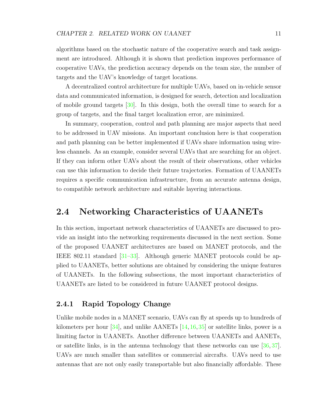algorithms based on the stochastic nature of the cooperative search and task assignment are introduced. Although it is shown that prediction improves performance of cooperative UAVs, the prediction accuracy depends on the team size, the number of targets and the UAV's knowledge of target locations.

A decentralized control architecture for multiple UAVs, based on in-vehicle sensor data and communicated information, is designed for search, detection and localization of mobile ground targets [\[30\]](#page-112-4). In this design, both the overall time to search for a group of targets, and the final target localization error, are minimized.

In summary, cooperation, control and path planning are major aspects that need to be addressed in UAV missions. An important conclusion here is that cooperation and path planning can be better implemented if UAVs share information using wireless channels. As an example, consider several UAVs that are searching for an object. If they can inform other UAVs about the result of their observations, other vehicles can use this information to decide their future trajectories. Formation of UAANETs requires a specific communication infrastructure, from an accurate antenna design, to compatible network architecture and suitable layering interactions.

## <span id="page-26-0"></span>2.4 Networking Characteristics of UAANETs

In this section, important network characteristics of UAANETs are discussed to provide an insight into the networking requirements discussed in the next section. Some of the proposed UAANET architectures are based on MANET protocols, and the IEEE 802.11 standard [\[31](#page-112-5)[–33\]](#page-112-6). Although generic MANET protocols could be applied to UAANETs, better solutions are obtained by considering the unique features of UAANETs. In the following subsections, the most important characteristics of UAANETs are listed to be considered in future UAANET protocol designs.

#### <span id="page-26-1"></span>2.4.1 Rapid Topology Change

Unlike mobile nodes in a MANET scenario, UAVs can fly at speeds up to hundreds of kilometers per hour  $[34]$ , and unlike AANETs  $[14, 16, 35]$  $[14, 16, 35]$  $[14, 16, 35]$  $[14, 16, 35]$  $[14, 16, 35]$  or satellite links, power is a limiting factor in UAANETs. Another difference between UAANETs and AANETs, or satellite links, is in the antenna technology that these networks can use [\[36,](#page-112-9) [37\]](#page-112-10). UAVs are much smaller than satellites or commercial aircrafts. UAVs need to use antennas that are not only easily transportable but also financially affordable. These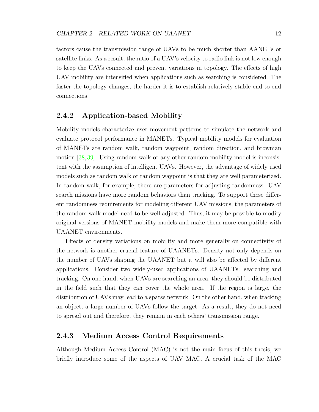factors cause the transmission range of UAVs to be much shorter than AANETs or satellite links. As a result, the ratio of a UAV's velocity to radio link is not low enough to keep the UAVs connected and prevent variations in topology. The effects of high UAV mobility are intensified when applications such as searching is considered. The faster the topology changes, the harder it is to establish relatively stable end-to-end connections.

#### <span id="page-27-0"></span>2.4.2 Application-based Mobility

Mobility models characterize user movement patterns to simulate the network and evaluate protocol performance in MANETs. Typical mobility models for evaluation of MANETs are random walk, random waypoint, random direction, and brownian motion [\[38,](#page-113-0) [39\]](#page-113-1). Using random walk or any other random mobility model is inconsistent with the assumption of intelligent UAVs. However, the advantage of widely used models such as random walk or random waypoint is that they are well parameterized. In random walk, for example, there are parameters for adjusting randomness. UAV search missions have more random behaviors than tracking. To support these different randomness requirements for modeling different UAV missions, the parameters of the random walk model need to be well adjusted. Thus, it may be possible to modify original versions of MANET mobility models and make them more compatible with UAANET environments.

Effects of density variations on mobility and more generally on connectivity of the network is another crucial feature of UAANETs. Density not only depends on the number of UAVs shaping the UAANET but it will also be affected by different applications. Consider two widely-used applications of UAANETs: searching and tracking. On one hand, when UAVs are searching an area, they should be distributed in the field such that they can cover the whole area. If the region is large, the distribution of UAVs may lead to a sparse network. On the other hand, when tracking an object, a large number of UAVs follow the target. As a result, they do not need to spread out and therefore, they remain in each others' transmission range.

#### <span id="page-27-1"></span>2.4.3 Medium Access Control Requirements

Although Medium Access Control (MAC) is not the main focus of this thesis, we briefly introduce some of the aspects of UAV MAC. A crucial task of the MAC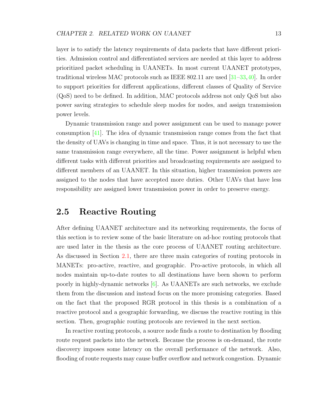layer is to satisfy the latency requirements of data packets that have different priorities. Admission control and differentiated services are needed at this layer to address prioritized packet scheduling in UAANETs. In most current UAANET prototypes, traditional wireless MAC protocols such as IEEE 802.11 are used [\[31](#page-112-5)[–33,](#page-112-6)[40\]](#page-113-2). In order to support priorities for different applications, different classes of Quality of Service (QoS) need to be defined. In addition, MAC protocols address not only QoS but also power saving strategies to schedule sleep modes for nodes, and assign transmission power levels.

Dynamic transmission range and power assignment can be used to manage power consumption [\[41\]](#page-113-3). The idea of dynamic transmission range comes from the fact that the density of UAVs is changing in time and space. Thus, it is not necessary to use the same transmission range everywhere, all the time. Power assignment is helpful when different tasks with different priorities and broadcasting requirements are assigned to different members of an UAANET. In this situation, higher transmission powers are assigned to the nodes that have accepted more duties. Other UAVs that have less responsibility are assigned lower transmission power in order to preserve energy.

### <span id="page-28-0"></span>2.5 Reactive Routing

After defining UAANET architecture and its networking requirements, the focus of this section is to review some of the basic literature on ad-hoc routing protocols that are used later in the thesis as the core process of UAANET routing architecture. As discussed in Section [2.1,](#page-20-1) there are three main categories of routing protocols in MANETs: pro-active, reactive, and geographic. Pro-active protocols, in which all nodes maintain up-to-date routes to all destinations have been shown to perform poorly in highly-dynamic networks [\[6\]](#page-110-6). As UAANETs are such networks, we exclude them from the discussion and instead focus on the more promising categories. Based on the fact that the proposed RGR protocol in this thesis is a combination of a reactive protocol and a geographic forwarding, we discuss the reactive routing in this section. Then, geographic routing protocols are reviewed in the next section.

In reactive routing protocols, a source node finds a route to destination by flooding route request packets into the network. Because the process is on-demand, the route discovery imposes some latency on the overall performance of the network. Also, flooding of route requests may cause buffer overflow and network congestion. Dynamic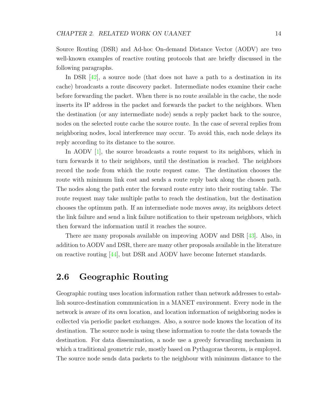Source Routing (DSR) and Ad-hoc On-demand Distance Vector (AODV) are two well-known examples of reactive routing protocols that are briefly discussed in the following paragraphs.

In DSR  $[42]$ , a source node (that does not have a path to a destination in its cache) broadcasts a route discovery packet. Intermediate nodes examine their cache before forwarding the packet. When there is no route available in the cache, the node inserts its IP address in the packet and forwards the packet to the neighbors. When the destination (or any intermediate node) sends a reply packet back to the source, nodes on the selected route cache the source route. In the case of several replies from neighboring nodes, local interference may occur. To avoid this, each node delays its reply according to its distance to the source.

In AODV [\[1\]](#page-110-1), the source broadcasts a route request to its neighbors, which in turn forwards it to their neighbors, until the destination is reached. The neighbors record the node from which the route request came. The destination chooses the route with minimum link cost and sends a route reply back along the chosen path. The nodes along the path enter the forward route entry into their routing table. The route request may take multiple paths to reach the destination, but the destination chooses the optimum path. If an intermediate node moves away, its neighbors detect the link failure and send a link failure notification to their upstream neighbors, which then forward the information until it reaches the source.

There are many proposals available on improving AODV and DSR [\[43\]](#page-113-5). Also, in addition to AODV and DSR, there are many other proposals available in the literature on reactive routing [\[44\]](#page-113-6), but DSR and AODV have become Internet standards.

## <span id="page-29-0"></span>2.6 Geographic Routing

Geographic routing uses location information rather than network addresses to establish source-destination communication in a MANET environment. Every node in the network is aware of its own location, and location information of neighboring nodes is collected via periodic packet exchanges. Also, a source node knows the location of its destination. The source node is using these information to route the data towards the destination. For data dissemination, a node use a greedy forwarding mechanism in which a traditional geometric rule, mostly based on Pythagoras theorem, is employed. The source node sends data packets to the neighbour with minimum distance to the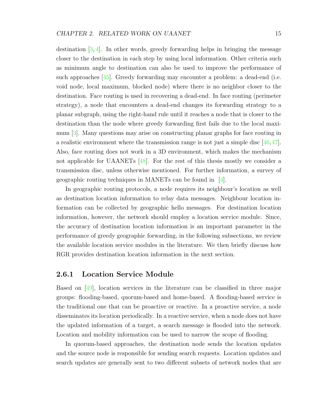destination  $[3, 4]$  $[3, 4]$  $[3, 4]$ . In other words, greedy forwarding helps in bringing the message closer to the destination in each step by using local information. Other criteria such as minimum angle to destination can also be used to improve the performance of such approaches [\[45\]](#page-113-7). Greedy forwarding may encounter a problem: a dead-end (i.e. void node, local maximum, blocked node) where there is no neighbor closer to the destination. Face routing is used in recovering a dead-end. In face routing (perimeter strategy), a node that encounters a dead-end changes its forwarding strategy to a planar subgraph, using the right-hand rule until it reaches a node that is closer to the destination than the node where greedy forwarding first fails due to the local maximum [\[3\]](#page-110-3). Many questions may arise on constructing planar graphs for face routing in a realistic environment where the transmission range is not just a simple disc  $[46,47]$  $[46,47]$ . Also, face routing does not work in a 3D environment, which makes the mechanism not applicable for UAANETs [\[48\]](#page-113-10). For the rest of this thesis mostly we consider a transmission disc, unless otherwise mentioned. For further information, a survey of geographic routing techniques in MANETs can be found in [\[4\]](#page-110-4).

In geographic routing protocols, a node requires its neighbour's location as well as destination location information to relay data messages. Neighbour location information can be collected by geographic hello messages. For destination location information, however, the network should employ a location service module. Since, the accuracy of destination location information is an important parameter in the performance of greedy geographic forwarding, in the following subsections, we review the available location service modules in the literature. We then briefly discuss how RGR provides destination location information in the next section.

#### <span id="page-30-0"></span>2.6.1 Location Service Module

Based on [\[49\]](#page-113-11), location services in the literature can be classified in three major groups: flooding-based, quorum-based and home-based. A flooding-based service is the traditional one that can be proactive or reactive. In a proactive service, a node disseminates its location periodically. In a reactive service, when a node does not have the updated information of a target, a search message is flooded into the network. Location and mobility information can be used to narrow the scope of flooding.

In quorum-based approaches, the destination node sends the location updates and the source node is responsible for sending search requests. Location updates and search updates are generally sent to two different subsets of network nodes that are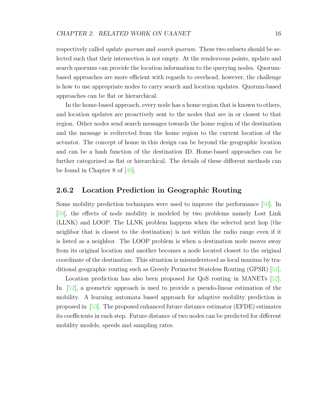respectively called *update quorum* and *search quorum*. These two subsets should be selected such that their intersection is not empty. At the rendezvous points, update and search quorums can provide the location information to the querying nodes. Quorumbased approaches are more efficient with regards to overhead; however, the challenge is how to use appropriate nodes to carry search and location updates. Quorum-based approaches can be flat or hierarchical.

In the home-based approach, every node has a home region that is known to others, and location updates are proactively sent to the nodes that are in or closest to that region. Other nodes send search messages towards the home region of the destination and the message is redirected from the home region to the current location of the actuator. The concept of home in this design can be beyond the geographic location and can be a hash function of the destination ID. Home-based approaches can be further categorized as flat or hierarchical. The details of these different methods can be found in Chapter 8 of [\[49\]](#page-113-11).

#### <span id="page-31-0"></span>2.6.2 Location Prediction in Geographic Routing

Some mobility prediction techniques were used to improve the performance [\[50\]](#page-114-0). In [\[50\]](#page-114-0), the effects of node mobility is modeled by two problems namely Lost Link (LLNK) and LOOP. The LLNK problem happens when the selected next hop (the neighbor that is closest to the destination) is not within the radio range even if it is listed as a neighbor. The LOOP problem is when a destination node moves away from its original location and another becomes a node located closest to the original coordinate of the destination. This situation is misunderstood as local maxima by traditional geographic routing such as Greedy Perimeter Stateless Routing (GPSR) [\[51\]](#page-114-1).

Location prediction has also been proposed for QoS routing in MANETs [\[52\]](#page-114-2). In [\[52\]](#page-114-2), a geometric approach is used to provide a pseudo-linear estimation of the mobility. A learning automata based approach for adaptive mobility prediction is proposed in [\[53\]](#page-114-3). The proposed enhanced future distance estimator (EFDE) estimates its coefficients in each step. Future distance of two nodes can be predicted for different mobility models, speeds and sampling rates.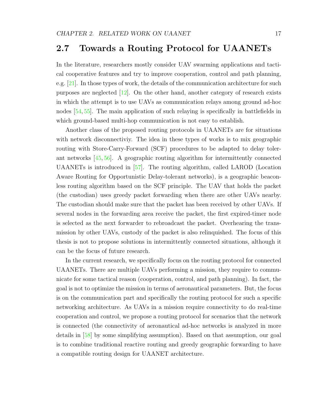## <span id="page-32-0"></span>2.7 Towards a Routing Protocol for UAANETs

In the literature, researchers mostly consider UAV swarming applications and tactical cooperative features and try to improve cooperation, control and path planning, e.g. [\[21\]](#page-111-9). In those types of work, the details of the communication architecture for such purposes are neglected [\[12\]](#page-111-0). On the other hand, another category of research exists in which the attempt is to use UAVs as communication relays among ground ad-hoc nodes [\[54,](#page-114-4) [55\]](#page-114-5). The main application of such relaying is specifically in battlefields in which ground-based multi-hop communication is not easy to establish.

Another class of the proposed routing protocols in UAANETs are for situations with network disconnectiviy. The idea in these types of works is to mix geographic routing with Store-Carry-Forward (SCF) procedures to be adapted to delay tolerant networks [\[45,](#page-113-7) [56\]](#page-114-6). A geographic routing algorithm for intermittently connected UAANETs is introduced in [\[57\]](#page-114-7). The routing algorithm, called LAROD (Location Aware Routing for Opportunistic Delay-tolerant networks), is a geographic beaconless routing algorithm based on the SCF principle. The UAV that holds the packet (the custodian) uses greedy packet forwarding when there are other UAVs nearby. The custodian should make sure that the packet has been received by other UAVs. If several nodes in the forwarding area receive the packet, the first expired-timer node is selected as the next forwarder to rebroadcast the packet. Overhearing the transmission by other UAVs, custody of the packet is also relinquished. The focus of this thesis is not to propose solutions in intermittently connected situations, although it can be the focus of future research.

In the current research, we specifically focus on the routing protocol for connected UAANETs. There are multiple UAVs performing a mission, they require to communicate for some tactical reason (cooperation, control, and path planning). In fact, the goal is not to optimize the mission in terms of aeronautical parameters. But, the focus is on the communication part and specifically the routing protocol for such a specific networking architecture. As UAVs in a mission require connectivity to do real-time cooperation and control, we propose a routing protocol for scenarios that the network is connected (the connectivity of aeronautical ad-hoc networks is analyzed in more details in [\[58\]](#page-114-8) by some simplifying assumption). Based on that assumption, our goal is to combine traditional reactive routing and greedy geographic forwarding to have a compatible routing design for UAANET architecture.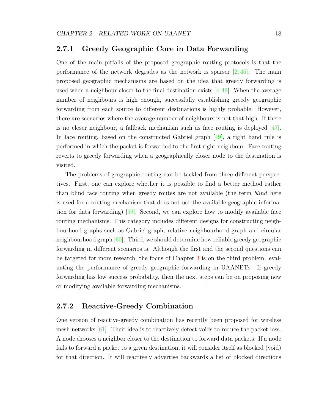#### <span id="page-33-0"></span>2.7.1 Greedy Geographic Core in Data Forwarding

One of the main pitfalls of the proposed geographic routing protocols is that the performance of the network degrades as the network is sparser  $[2, 46]$  $[2, 46]$  $[2, 46]$ . The main proposed geographic mechanisms are based on the idea that greedy forwarding is used when a neighbour closer to the final destination exists  $[4,49]$  $[4,49]$ . When the average number of neighbours is high enough, successfully establishing greedy geographic forwarding from each source to different destinations is highly probable. However, there are scenarios where the average number of neighbours is not that high. If there is no closer neighbour, a fallback mechanism such as face routing is deployed [\[47\]](#page-113-9). In face routing, based on the constructed Gabriel graph [\[49\]](#page-113-11), a right hand rule is performed in which the packet is forwarded to the first right neighbour. Face routing reverts to greedy forwarding when a geographically closer node to the destination is visited.

The problems of geographic routing can be tackled from three different perspectives. First, one can explore whether it is possible to find a better method rather than blind face routing when greedy routes are not available (the term *blind* here is used for a routing mechanism that does not use the available geographic information for data forwarding) [\[59\]](#page-114-9). Second, we can explore how to modify available face routing mechanisms. This category includes different designs for constructing neighbourhood graphs such as Gabriel graph, relative neighbourhood graph and circular neighbourhood graph [\[60\]](#page-114-10). Third, we should determine how reliable greedy geographic forwarding in different scenarios is. Although the first and the second questions can be targeted for more research, the focus of Chapter [3](#page-35-0) is on the third problem: evaluating the performance of greedy geographic forwarding in UAANETs. If greedy forwarding has low success probability, then the next steps can be on proposing new or modifying available forwarding mechanisms.

#### <span id="page-33-1"></span>2.7.2 Reactive-Greedy Combination

One version of reactive-greedy combination has recently been proposed for wireless mesh networks [\[61\]](#page-115-0). Their idea is to reactively detect voids to reduce the packet loss. A node chooses a neighbor closer to the destination to forward data packets. If a node fails to forward a packet to a given destination, it will consider itself as blocked (void) for that direction. It will reactively advertise backwards a list of blocked directions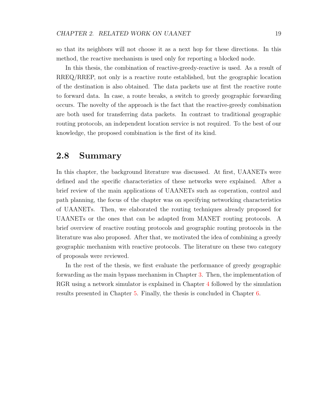so that its neighbors will not choose it as a next hop for these directions. In this method, the reactive mechanism is used only for reporting a blocked node.

In this thesis, the combination of reactive-greedy-reactive is used. As a result of RREQ/RREP, not only is a reactive route established, but the geographic location of the destination is also obtained. The data packets use at first the reactive route to forward data. In case, a route breaks, a switch to greedy geographic forwarding occurs. The novelty of the approach is the fact that the reactive-greedy combination are both used for transferring data packets. In contrast to traditional geographic routing protocols, an independent location service is not required. To the best of our knowledge, the proposed combination is the first of its kind.

### <span id="page-34-0"></span>2.8 Summary

In this chapter, the background literature was discussed. At first, UAANETs were defined and the specific characteristics of these networks were explained. After a brief review of the main applications of UAANETs such as coperation, control and path planning, the focus of the chapter was on specifying networking characteristics of UAANETs. Then, we elaborated the routing techniques already proposed for UAANETs or the ones that can be adapted from MANET routing protocols. A brief overview of reactive routing protocols and geographic routing protocols in the literature was also proposed. After that, we motivated the idea of combining a greedy geographic mechanism with reactive protocols. The literature on these two category of proposals were reviewed.

In the rest of the thesis, we first evaluate the performance of greedy geographic forwarding as the main bypass mechanism in Chapter [3.](#page-35-0) Then, the implementation of RGR using a network simulator is explained in Chapter [4](#page-49-0) followed by the simulation results presented in Chapter [5.](#page-70-0) Finally, the thesis is concluded in Chapter [6.](#page-106-0)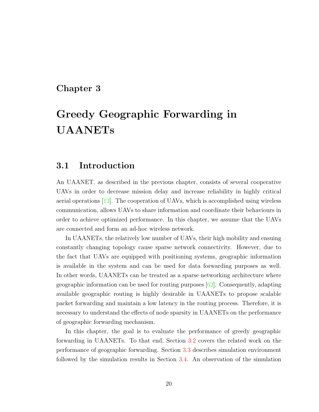## <span id="page-35-0"></span>Chapter 3

# Greedy Geographic Forwarding in UAANETs

## <span id="page-35-1"></span>3.1 Introduction

An UAANET, as described in the previous chapter, consists of several cooperative UAVs in order to decrease mission delay and increase reliability in highly critical aerial operations [\[12\]](#page-111-0). The cooperation of UAVs, which is accomplished using wireless communication, allows UAVs to share information and coordinate their behaviours in order to achieve optimized performance. In this chapter, we assume that the UAVs are connected and form an ad-hoc wireless network.

In UAANETs, the relatively low number of UAVs, their high mobility and ensuing constantly changing topology cause sparse network connectivity. However, due to the fact that UAVs are equipped with positioning systems, geographic information is available in the system and can be used for data forwarding purposes as well. In other words, UAANETs can be treated as a sparse networking architecture where geographic information can be used for routing purposes [\[62\]](#page-115-1). Consequently, adapting available geographic routing is highly desirable in UAANETs to propose scalable packet forwarding and maintain a low latency in the routing process. Therefore, it is necessary to understand the effects of node sparsity in UAANETs on the performance of geographic forwarding mechanism.

In this chapter, the goal is to evaluate the performance of greedy geographic forwarding in UAANETs. To that end, Section [3.2](#page-36-0) covers the related work on the performance of geographic forwarding. Section [3.3](#page-37-0) describes simulation environment followed by the simulation results in Section [3.4.](#page-39-0) An observation of the simulation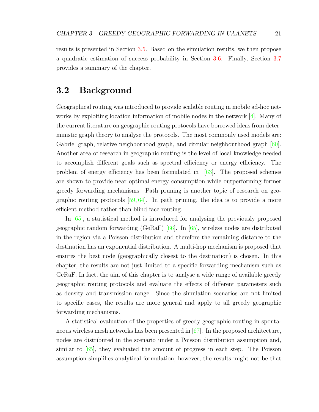results is presented in Section [3.5.](#page-42-0) Based on the simulation results, we then propose a quadratic estimation of success probability in Section [3.6.](#page-43-0) Finally, Section [3.7](#page-47-0) provides a summary of the chapter.

# 3.2 Background

Geographical routing was introduced to provide scalable routing in mobile ad-hoc networks by exploiting location information of mobile nodes in the network [\[4\]](#page-110-0). Many of the current literature on geographic routing protocols have borrowed ideas from deterministic graph theory to analyse the protocols. The most commonly used models are: Gabriel graph, relative neighborhood graph, and circular neighbourhood graph [\[60\]](#page-114-0). Another area of research in geographic routing is the level of local knowledge needed to accomplish different goals such as spectral efficiency or energy efficiency. The problem of energy efficiency has been formulated in [\[63\]](#page-115-0). The proposed schemes are shown to provide near optimal energy consumption while outperforming former greedy forwarding mechanisms. Path pruning is another topic of research on geographic routing protocols [\[59,](#page-114-1) [64\]](#page-115-1). In path pruning, the idea is to provide a more efficient method rather than blind face routing.

In [\[65\]](#page-115-2), a statistical method is introduced for analysing the previously proposed geographic random forwarding (GeRaF) [\[66\]](#page-115-3). In [\[65\]](#page-115-2), wireless nodes are distributed in the region via a Poisson distribution and therefore the remaining distance to the destination has an exponential distribution. A multi-hop mechanism is proposed that ensures the best node (geographically closest to the destination) is chosen. In this chapter, the results are not just limited to a specific forwarding mechanism such as GeRaF. In fact, the aim of this chapter is to analyse a wide range of available greedy geographic routing protocols and evaluate the effects of different parameters such as density and transmission range. Since the simulation scenarios are not limited to specific cases, the results are more general and apply to all greedy geographic forwarding mechanisms.

A statistical evaluation of the properties of greedy geographic routing in spontaneous wireless mesh networks has been presented in  $[67]$ . In the proposed architecture, nodes are distributed in the scenario under a Poisson distribution assumption and, similar to [\[65\]](#page-115-2), they evaluated the amount of progress in each step. The Poisson assumption simplifies analytical formulation; however, the results might not be that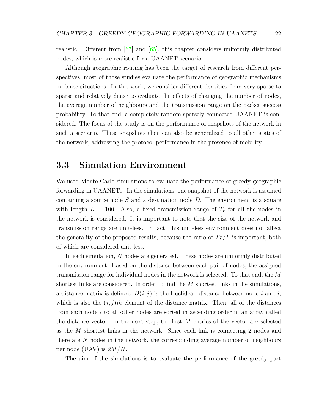realistic. Different from [\[67\]](#page-115-4) and [\[65\]](#page-115-2), this chapter considers uniformly distributed nodes, which is more realistic for a UAANET scenario.

Although geographic routing has been the target of research from different perspectives, most of those studies evaluate the performance of geographic mechanisms in dense situations. In this work, we consider different densities from very sparse to sparse and relatively dense to evaluate the effects of changing the number of nodes, the average number of neighbours and the transmission range on the packet success probability. To that end, a completely random sparsely connected UAANET is considered. The focus of the study is on the performance of snapshots of the network in such a scenario. These snapshots then can also be generalized to all other states of the network, addressing the protocol performance in the presence of mobility.

## 3.3 Simulation Environment

We used Monte Carlo simulations to evaluate the performance of greedy geographic forwarding in UAANETs. In the simulations, one snapshot of the network is assumed containing a source node  $S$  and a destination node  $D$ . The environment is a square with length  $L = 100$ . Also, a fixed transmission range of  $T_r$  for all the nodes in the network is considered. It is important to note that the size of the network and transmission range are unit-less. In fact, this unit-less environment does not affect the generality of the proposed results, because the ratio of  $Tr/L$  is important, both of which are considered unit-less.

In each simulation, N nodes are generated. These nodes are uniformly distributed in the environment. Based on the distance between each pair of nodes, the assigned transmission range for individual nodes in the network is selected. To that end, the M shortest links are considered. In order to find the  $M$  shortest links in the simulations, a distance matrix is defined.  $D(i, j)$  is the Euclidean distance between node i and j, which is also the  $(i, j)$ th element of the distance matrix. Then, all of the distances from each node  $i$  to all other nodes are sorted in ascending order in an array called the distance vector. In the next step, the first M entries of the vector are selected as the M shortest links in the network. Since each link is connecting 2 nodes and there are N nodes in the network, the corresponding average number of neighbours per node (UAV) is  $2M/N$ .

The aim of the simulations is to evaluate the performance of the greedy part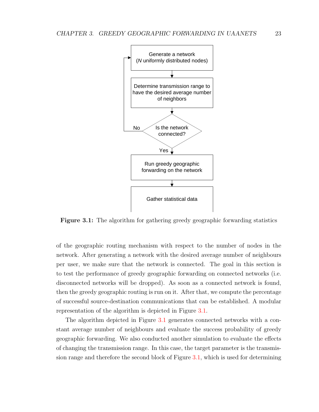<span id="page-38-0"></span>

Figure 3.1: The algorithm for gathering greedy geographic forwarding statistics

of the geographic routing mechanism with respect to the number of nodes in the network. After generating a network with the desired average number of neighbours per user, we make sure that the network is connected. The goal in this section is to test the performance of greedy geographic forwarding on connected networks (i.e. disconnected networks will be dropped). As soon as a connected network is found, then the greedy geographic routing is run on it. After that, we compute the percentage of successful source-destination communications that can be established. A modular representation of the algorithm is depicted in Figure [3.1.](#page-38-0)

The algorithm depicted in Figure [3.1](#page-38-0) generates connected networks with a constant average number of neighbours and evaluate the success probability of greedy geographic forwarding. We also conducted another simulation to evaluate the effects of changing the transmission range. In this case, the target parameter is the transmission range and therefore the second block of Figure [3.1,](#page-38-0) which is used for determining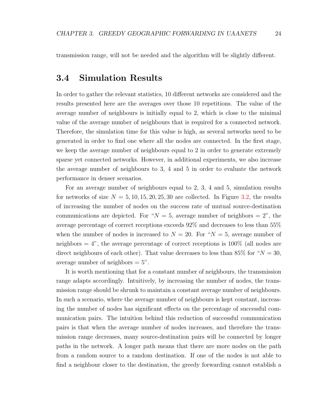transmission range, will not be needed and the algorithm will be slightly different.

# 3.4 Simulation Results

In order to gather the relevant statistics, 10 different networks are considered and the results presented here are the averages over those 10 repetitions. The value of the average number of neighbours is initially equal to 2, which is close to the minimal value of the average number of neighbours that is required for a connected network. Therefore, the simulation time for this value is high, as several networks need to be generated in order to find one where all the nodes are connected. In the first stage, we keep the average number of neighbours equal to 2 in order to generate extremely sparse yet connected networks. However, in additional experiments, we also increase the average number of neighbours to 3, 4 and 5 in order to evaluate the network performance in denser scenarios.

For an average number of neighbours equal to 2, 3, 4 and 5, simulation results for networks of size  $N = 5, 10, 15, 20, 25, 30$  are collected. In Figure [3.2,](#page-40-0) the results of increasing the number of nodes on the success rate of mutual source-destination communications are depicted. For " $N = 5$ , average number of neighbors = 2", the average percentage of correct receptions exceeds 92% and decreases to less than 55% when the number of nodes is increased to  $N = 20$ . For " $N = 5$ , average number of neighbors  $= 4$ ", the average percentage of correct receptions is 100\% (all nodes are direct neighbours of each other). That value decreases to less than 85% for " $N = 30$ , average number of neighbors  $= 5$ ".

It is worth mentioning that for a constant number of neighbours, the transmission range adapts accordingly. Intuitively, by increasing the number of nodes, the transmission range should be shrunk to maintain a constant average number of neighbours. In such a scenario, where the average number of neighbours is kept constant, increasing the number of nodes has significant effects on the percentage of successful communication pairs. The intuition behind this reduction of successful communication pairs is that when the average number of nodes increases, and therefore the transmission range decreases, many source-destination pairs will be connected by longer paths in the network. A longer path means that there are more nodes on the path from a random source to a random destination. If one of the nodes is not able to find a neighbour closer to the destination, the greedy forwarding cannot establish a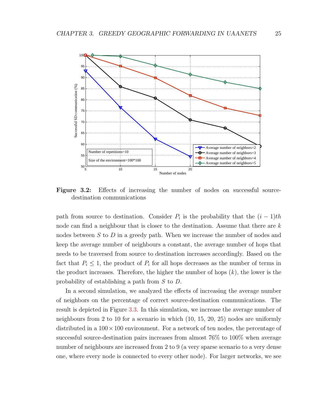<span id="page-40-0"></span>

Figure 3.2: Effects of increasing the number of nodes on successful sourcedestination communications

path from source to destination. Consider  $P_i$  is the probability that the  $(i-1)th$ node can find a neighbour that is closer to the destination. Assume that there are k nodes between S to D in a greedy path. When we increase the number of nodes and keep the average number of neighbours a constant, the average number of hops that needs to be traversed from source to destination increases accordingly. Based on the fact that  $P_i \leq 1$ , the product of  $P_i$  for all hops decreases as the number of terms in the product increases. Therefore, the higher the number of hops  $(k)$ , the lower is the probability of establishing a path from S to D.

In a second simulation, we analyzed the effects of increasing the average number of neighbors on the percentage of correct source-destination communications. The result is depicted in Figure [3.3.](#page-41-0) In this simulation, we increase the average number of neighbours from 2 to 10 for a scenario in which (10, 15, 20, 25) nodes are uniformly distributed in a  $100 \times 100$  environment. For a network of ten nodes, the percentage of successful source-destination pairs increases from almost 76% to 100% when average number of neighbours are increased from 2 to 9 (a very sparse scenario to a very dense one, where every node is connected to every other node). For larger networks, we see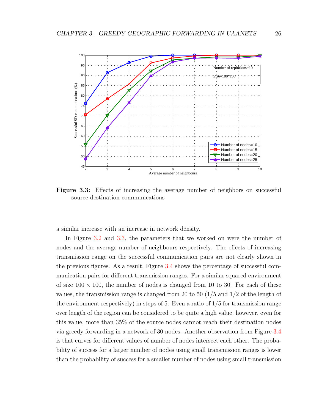<span id="page-41-0"></span>

Figure 3.3: Effects of increasing the average number of neighbors on successful source-destination communications

a similar increase with an increase in network density.

In Figure [3.2](#page-40-0) and [3.3,](#page-41-0) the parameters that we worked on were the number of nodes and the average number of neighbours respectively. The effects of increasing transmission range on the successful communication pairs are not clearly shown in the previous figures. As a result, Figure [3.4](#page-42-1) shows the percentage of successful communication pairs for different transmission ranges. For a similar squared environment of size  $100 \times 100$ , the number of nodes is changed from 10 to 30. For each of these values, the transmission range is changed from 20 to 50  $(1/5 \text{ and } 1/2 \text{ of the length of})$ the environment respectively) in steps of 5. Even a ratio of  $1/5$  for transmission range over length of the region can be considered to be quite a high value; however, even for this value, more than 35% of the source nodes cannot reach their destination nodes via greedy forwarding in a network of 30 nodes. Another observation from Figure [3.4](#page-42-1) is that curves for different values of number of nodes intersect each other. The probability of success for a larger number of nodes using small transmission ranges is lower than the probability of success for a smaller number of nodes using small transmission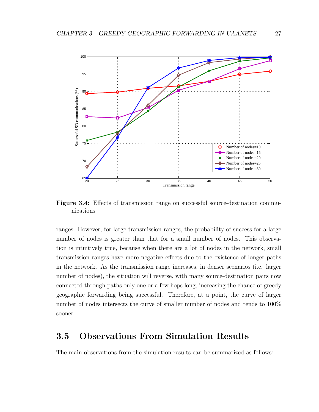<span id="page-42-1"></span>

Figure 3.4: Effects of transmission range on successful source-destination communications

ranges. However, for large transmission ranges, the probability of success for a large number of nodes is greater than that for a small number of nodes. This observation is intuitively true, because when there are a lot of nodes in the network, small transmission ranges have more negative effects due to the existence of longer paths in the network. As the transmission range increases, in denser scenarios (i.e. larger number of nodes), the situation will reverse, with many source-destination pairs now connected through paths only one or a few hops long, increasing the chance of greedy geographic forwarding being successful. Therefore, at a point, the curve of larger number of nodes intersects the curve of smaller number of nodes and tends to 100% sooner.

# <span id="page-42-0"></span>3.5 Observations From Simulation Results

The main observations from the simulation results can be summarized as follows: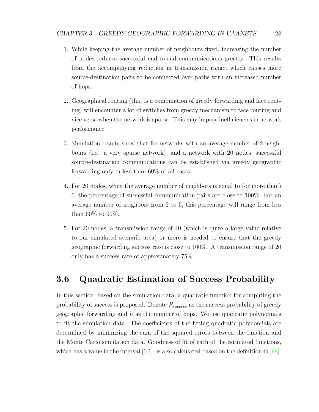- 1. While keeping the average number of neighbours fixed, increasing the number of nodes reduces successful end-to-end communications greatly. This results from the accompanying reduction in transmission range, which causes more source-destination pairs to be connected over paths with an increased number of hops.
- 2. Geographical routing (that is a combination of greedy forwarding and face routing) will encounter a lot of switches from greedy mechanism to face routing and vice versa when the network is sparse. This may impose inefficiencies in network performance.
- 3. Simulation results show that for networks with an average number of 2 neighbours (i.e. a very sparse network), and a network with 20 nodes, successful source-destination communications can be established via greedy geographic forwarding only in less than 60% of all cases.
- 4. For 20 nodes, when the average number of neighbors is equal to (or more than) 6, the percentage of successful communication pairs are close to 100%. For an average number of neighbors from 2 to 5, this percentage will range from less than 60% to 90%.
- 5. For 20 nodes, a transmission range of 40 (which is quite a large value relative to our simulated scenario area) or more is needed to ensure that the greedy geographic forwarding success rate is close to 100%. A transmission range of 20 only has a success rate of approximately 75%.

# <span id="page-43-0"></span>3.6 Quadratic Estimation of Success Probability

In this section, based on the simulation data, a quadratic function for computing the probability of success is proposed. Denote  $P_{success}$  as the success probability of greedy geographic forwarding and  $h$  as the number of hops. We use quadratic polynomials to fit the simulation data. The coefficients of the fitting quadratic polynomials are determined by minimizing the sum of the squared errors between the function and the Monte Carlo simulation data. Goodness of fit of each of the estimated functions, which has a value in the interval  $[0,1]$ , is also calculated based on the definition in  $[68]$ .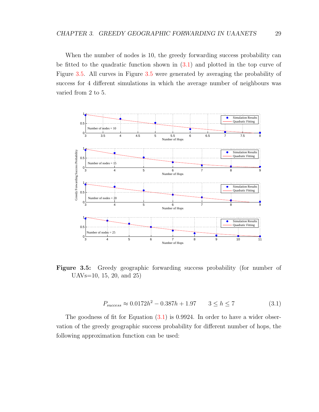When the number of nodes is 10, the greedy forwarding success probability can be fitted to the quadratic function shown in [\(3.1\)](#page-44-0) and plotted in the top curve of Figure [3.5.](#page-44-1) All curves in Figure [3.5](#page-44-1) were generated by averaging the probability of success for 4 different simulations in which the average number of neighbours was varied from 2 to 5.

<span id="page-44-1"></span>

Figure 3.5: Greedy geographic forwarding success probability (for number of UAVs=10, 15, 20, and 25)

<span id="page-44-0"></span>
$$
P_{success} \approx 0.0172h^2 - 0.387h + 1.97 \qquad 3 \le h \le 7 \tag{3.1}
$$

The goodness of fit for Equation  $(3.1)$  is 0.9924. In order to have a wider observation of the greedy geographic success probability for different number of hops, the following approximation function can be used: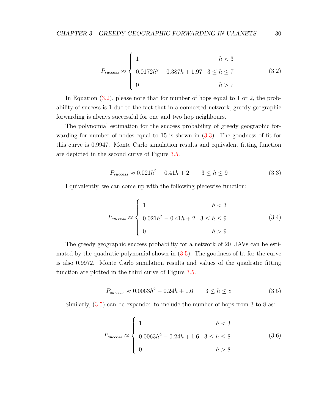<span id="page-45-0"></span>
$$
P_{success} \approx \begin{cases} 1 & h < 3\\ 0.0172h^2 - 0.387h + 1.97 & 3 \le h \le 7\\ 0 & h > 7 \end{cases}
$$
(3.2)

In Equation [\(3.2\)](#page-45-0), please note that for number of hops equal to 1 or 2, the probability of success is 1 due to the fact that in a connected network, greedy geographic forwarding is always successful for one and two hop neighbours.

The polynomial estimation for the success probability of greedy geographic forwarding for number of nodes equal to 15 is shown in [\(3.3\)](#page-45-1). The goodness of fit for this curve is 0.9947. Monte Carlo simulation results and equivalent fitting function are depicted in the second curve of Figure [3.5.](#page-44-1)

<span id="page-45-1"></span>
$$
P_{success} \approx 0.021h^2 - 0.41h + 2 \qquad 3 \le h \le 9 \tag{3.3}
$$

Equivalently, we can come up with the following piecewise function:

$$
P_{success} \approx \begin{cases} 1 & h < 3 \\ 0.021h^2 - 0.41h + 2 & 3 \le h \le 9 \\ 0 & h > 9 \end{cases} \tag{3.4}
$$

The greedy geographic success probability for a network of 20 UAVs can be estimated by the quadratic polynomial shown in  $(3.5)$ . The goodness of fit for the curve is also 0.9972. Monte Carlo simulation results and values of the quadratic fitting function are plotted in the third curve of Figure [3.5.](#page-44-1)

<span id="page-45-2"></span>
$$
P_{success} \approx 0.0063h^2 - 0.24h + 1.6 \qquad 3 \le h \le 8 \tag{3.5}
$$

Similarly, [\(3.5\)](#page-45-2) can be expanded to include the number of hops from 3 to 8 as:

$$
P_{success} \approx \begin{cases} 1 & h < 3\\ 0.0063h^2 - 0.24h + 1.6 & 3 \le h \le 8\\ 0 & h > 8 \end{cases}
$$
(3.6)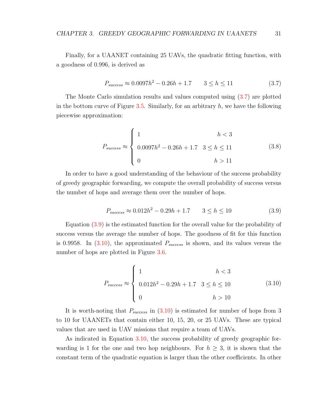Finally, for a UAANET containing 25 UAVs, the quadratic fitting function, with a goodness of 0.996, is derived as

<span id="page-46-0"></span>
$$
P_{success} \approx 0.0097h^2 - 0.26h + 1.7 \qquad 3 \le h \le 11 \tag{3.7}
$$

The Monte Carlo simulation results and values computed using [\(3.7\)](#page-46-0) are plotted in the bottom curve of Figure [3.5.](#page-44-1) Similarly, for an arbitrary  $h$ , we have the following piecewise approximation:

$$
P_{success} \approx \begin{cases} 1 & h < 3\\ 0.0097h^2 - 0.26h + 1.7 & 3 \le h \le 11\\ 0 & h > 11 \end{cases}
$$
(3.8)

In order to have a good understanding of the behaviour of the success probability of greedy geographic forwarding, we compute the overall probability of success versus the number of hops and average them over the number of hops.

<span id="page-46-1"></span>
$$
P_{success} \approx 0.012h^2 - 0.29h + 1.7 \qquad 3 \le h \le 10 \tag{3.9}
$$

Equation [\(3.9\)](#page-46-1) is the estimated function for the overall value for the probability of success versus the average the number of hops. The goodness of fit for this function is 0.9958. In  $(3.10)$ , the approximated  $P_{success}$  is shown, and its values versus the number of hops are plotted in Figure [3.6.](#page-47-1)

<span id="page-46-2"></span>
$$
P_{success} \approx \begin{cases} 1 & h < 3 \\ 0.012h^2 - 0.29h + 1.7 & 3 \le h \le 10 \\ 0 & h > 10 \end{cases} \tag{3.10}
$$

It is worth-noting that  $P_{success}$  in  $(3.10)$  is estimated for number of hops from 3 to 10 for UAANETs that contain either 10, 15, 20, or 25 UAVs. These are typical values that are used in UAV missions that require a team of UAVs.

As indicated in Equation [3.10,](#page-46-2) the success probability of greedy geographic forwarding is 1 for the one and two hop neighbours. For  $h \geq 3$ , it is shown that the constant term of the quadratic equation is larger than the other coefficients. In other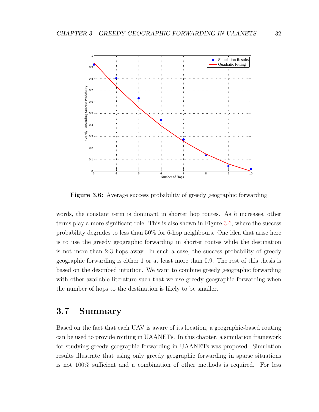<span id="page-47-1"></span>

Figure 3.6: Average success probability of greedy geographic forwarding

words, the constant term is dominant in shorter hop routes. As  $h$  increases, other terms play a more significant role. This is also shown in Figure [3.6,](#page-47-1) where the success probability degrades to less than 50% for 6-hop neighbours. One idea that arise here is to use the greedy geographic forwarding in shorter routes while the destination is not more than 2-3 hops away. In such a case, the success probability of greedy geographic forwarding is either 1 or at least more than 0.9. The rest of this thesis is based on the described intuition. We want to combine greedy geographic forwarding with other available literature such that we use greedy geographic forwarding when the number of hops to the destination is likely to be smaller.

# <span id="page-47-0"></span>3.7 Summary

Based on the fact that each UAV is aware of its location, a geographic-based routing can be used to provide routing in UAANETs. In this chapter, a simulation framework for studying greedy geographic forwarding in UAANETs was proposed. Simulation results illustrate that using only greedy geographic forwarding in sparse situations is not 100% sufficient and a combination of other methods is required. For less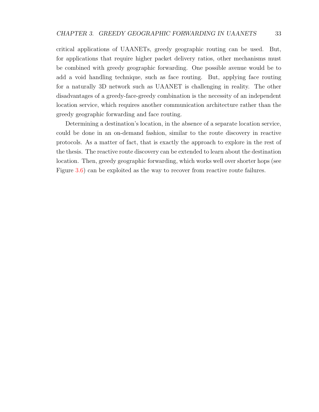critical applications of UAANETs, greedy geographic routing can be used. But, for applications that require higher packet delivery ratios, other mechanisms must be combined with greedy geographic forwarding. One possible avenue would be to add a void handling technique, such as face routing. But, applying face routing for a naturally 3D network such as UAANET is challenging in reality. The other disadvantages of a greedy-face-greedy combination is the necessity of an independent location service, which requires another communication architecture rather than the greedy geographic forwarding and face routing.

Determining a destination's location, in the absence of a separate location service, could be done in an on-demand fashion, similar to the route discovery in reactive protocols. As a matter of fact, that is exactly the approach to explore in the rest of the thesis. The reactive route discovery can be extended to learn about the destination location. Then, greedy geographic forwarding, which works well over shorter hops (see Figure [3.6\)](#page-47-1) can be exploited as the way to recover from reactive route failures.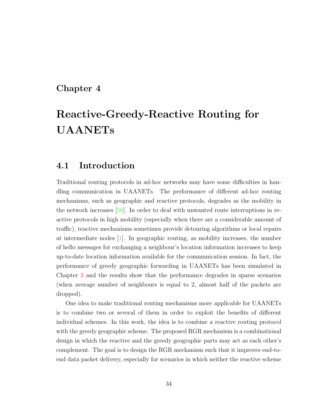# Chapter 4

# Reactive-Greedy-Reactive Routing for UAANETs

# 4.1 Introduction

Traditional routing protocols in ad-hoc networks may have some difficulties in handling communication in UAANETs. The performance of different ad-hoc routing mechanisms, such as geographic and reactive protocols, degrades as the mobility in the network increases [\[50\]](#page-114-2). In order to deal with unwanted route interruptions in reactive protocols in high mobility (especially when there are a considerable amount of traffic), reactive mechanisms sometimes provide detouring algorithms or local repairs at intermediate nodes [\[1\]](#page-110-1). In geographic routing, as mobility increases, the number of hello messages for exchanging a neighbour's location information increases to keep up-to-date location information available for the communication session. In fact, the performance of greedy geographic forwarding in UAANETs has been simulated in Chapter [3](#page-35-0) and the results show that the performance degrades in sparse scenarios (when average number of neighbours is equal to 2, almost half of the packets are dropped).

One idea to make traditional routing mechanisms more applicable for UAANETs is to combine two or several of them in order to exploit the benefits of different individual schemes. In this work, the idea is to combine a reactive routing protocol with the greedy geographic scheme. The proposed RGR mechanism is a combinational design in which the reactive and the greedy geographic parts may act as each other's complement. The goal is to design the RGR mechanism such that it improves end-toend data packet delivery, especially for scenarios in which neither the reactive scheme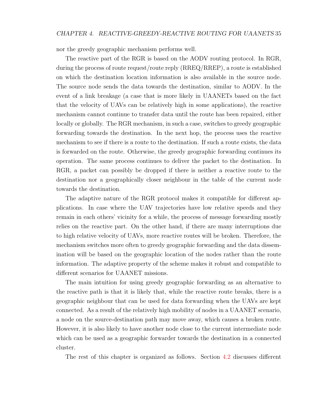nor the greedy geographic mechanism performs well.

The reactive part of the RGR is based on the AODV routing protocol. In RGR, during the process of route request/route reply (RREQ/RREP), a route is established on which the destination location information is also available in the source node. The source node sends the data towards the destination, similar to AODV. In the event of a link breakage (a case that is more likely in UAANETs based on the fact that the velocity of UAVs can be relatively high in some applications), the reactive mechanism cannot continue to transfer data until the route has been repaired, either locally or globally. The RGR mechanism, in such a case, switches to greedy geographic forwarding towards the destination. In the next hop, the process uses the reactive mechanism to see if there is a route to the destination. If such a route exists, the data is forwarded on the route. Otherwise, the greedy geographic forwarding continues its operation. The same process continues to deliver the packet to the destination. In RGR, a packet can possibly be dropped if there is neither a reactive route to the destination nor a geographically closer neighbour in the table of the current node towards the destination.

The adaptive nature of the RGR protocol makes it compatible for different applications. In case where the UAV trajectories have low relative speeds and they remain in each others' vicinity for a while, the process of message forwarding mostly relies on the reactive part. On the other hand, if there are many interruptions due to high relative velocity of UAVs, more reactive routes will be broken. Therefore, the mechanism switches more often to greedy geographic forwarding and the data dissemination will be based on the geographic location of the nodes rather than the route information. The adaptive property of the scheme makes it robust and compatible to different scenarios for UAANET missions.

The main intuition for using greedy geographic forwarding as an alternative to the reactive path is that it is likely that, while the reactive route breaks, there is a geographic neighbour that can be used for data forwarding when the UAVs are kept connected. As a result of the relatively high mobility of nodes in a UAANET scenario, a node on the source-destination path may move away, which causes a broken route. However, it is also likely to have another node close to the current intermediate node which can be used as a geographic forwarder towards the destination in a connected cluster.

The rest of this chapter is organized as follows. Section [4.2](#page-51-0) discusses different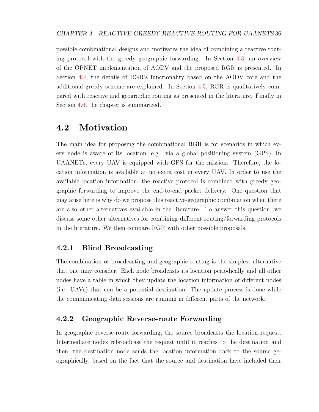possible combinational designs and motivates the idea of combining a reactive routing protocol with the greedy geographic forwarding. In Section [4.3,](#page-53-0) an overview of the OPNET implementation of AODV and the proposed RGR is presented. In Section [4.4,](#page-56-0) the details of RGR's functionality based on the AODV core and the additional greedy scheme are explained. In Section [4.5,](#page-66-0) RGR is qualitatively compared with reactive and geographic routing as presented in the literature. Finally in Section [4.6,](#page-68-0) the chapter is summarized.

# <span id="page-51-0"></span>4.2 Motivation

The main idea for proposing the combinational RGR is for scenarios in which every node is aware of its location, e.g. via a global positioning system (GPS). In UAANETs, every UAV is equipped with GPS for the mission. Therefore, the location information is available at no extra cost in every UAV. In order to use the available location information, the reactive protocol is combined with greedy geographic forwarding to improve the end-to-end packet delivery. One question that may arise here is why do we propose this reactive-geographic combination when there are also other alternatives available in the literature. To answer this question, we discuss some other alternatives for combining different routing/forwarding protocols in the literature. We then compare RGR with other possible proposals.

### 4.2.1 Blind Broadcasting

The combination of broadcasting and geographic routing is the simplest alternative that one may consider. Each node broadcasts its location periodically and all other nodes have a table in which they update the location information of different nodes (i.e. UAVs) that can be a potential destination. The update process is done while the communicating data sessions are running in different parts of the network.

#### 4.2.2 Geographic Reverse-route Forwarding

In geographic reverse-route forwarding, the source broadcasts the location request. Intermediate nodes rebroadcast the request until it reaches to the destination and then, the destination node sends the location information back to the source geographically, based on the fact that the source and destination have included their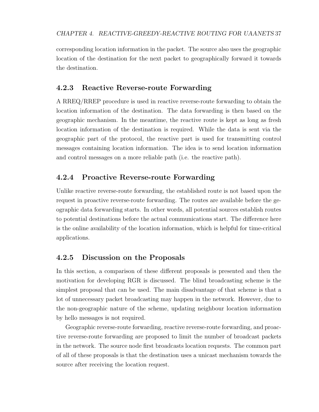corresponding location information in the packet. The source also uses the geographic location of the destination for the next packet to geographically forward it towards the destination.

### 4.2.3 Reactive Reverse-route Forwarding

A RREQ/RREP procedure is used in reactive reverse-route forwarding to obtain the location information of the destination. The data forwarding is then based on the geographic mechanism. In the meantime, the reactive route is kept as long as fresh location information of the destination is required. While the data is sent via the geographic part of the protocol, the reactive part is used for transmitting control messages containing location information. The idea is to send location information and control messages on a more reliable path (i.e. the reactive path).

### 4.2.4 Proactive Reverse-route Forwarding

Unlike reactive reverse-route forwarding, the established route is not based upon the request in proactive reverse-route forwarding. The routes are available before the geographic data forwarding starts. In other words, all potential sources establish routes to potential destinations before the actual communications start. The difference here is the online availability of the location information, which is helpful for time-critical applications.

#### 4.2.5 Discussion on the Proposals

In this section, a comparison of these different proposals is presented and then the motivation for developing RGR is discussed. The blind broadcasting scheme is the simplest proposal that can be used. The main disadvantage of that scheme is that a lot of unnecessary packet broadcasting may happen in the network. However, due to the non-geographic nature of the scheme, updating neighbour location information by hello messages is not required.

Geographic reverse-route forwarding, reactive reverse-route forwarding, and proactive reverse-route forwarding are proposed to limit the number of broadcast packets in the network. The source node first broadcasts location requests. The common part of all of these proposals is that the destination uses a unicast mechanism towards the source after receiving the location request.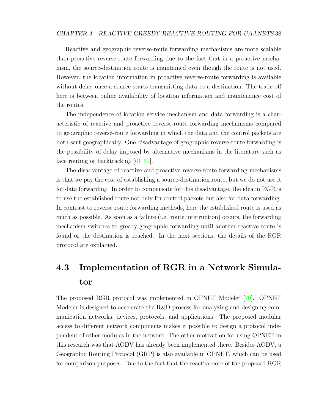#### CHAPTER 4. REACTIVE-GREEDY-REACTIVE ROUTING FOR UAANETS 38

Reactive and geographic reverse-route forwarding mechanisms are more scalable than proactive reverse-route forwarding due to the fact that in a proactive mechanism, the source-destination route is maintained even though the route is not used. However, the location information in proactive reverse-route forwarding is available without delay once a source starts transmitting data to a destination. The trade-off here is between online availability of location information and maintenance cost of the routes.

The independence of location service mechanism and data forwarding is a characteristic of reactive and proactive reverse-route forwarding mechanisms compared to geographic reverse-route forwarding in which the data and the control packets are both sent geographically. One disadvantage of geographic reverse-route forwarding is the possibility of delay imposed by alternative mechanisms in the literature such as face routing or backtracking [\[61,](#page-115-6) [69\]](#page-115-7).

The disadvantage of reactive and proactive reverse-route forwarding mechanisms is that we pay the cost of establishing a source-destination route, but we do not use it for data forwarding. In order to compensate for this disadvantage, the idea in RGR is to use the established route not only for control packets but also for data forwarding. In contrast to reverse route forwarding methods, here the established route is used as much as possible. As soon as a failure (i.e. route interruption) occurs, the forwarding mechanism switches to greedy geographic forwarding until another reactive route is found or the destination is reached. In the next sections, the details of the RGR protocol are explained.

# <span id="page-53-0"></span>4.3 Implementation of RGR in a Network Simulator

The proposed RGR protocol was implemented in OPNET Modeler [\[70\]](#page-115-8). OPNET Modeler is designed to accelerate the R&D process for analyzing and designing communication networks, devices, protocols, and applications. The proposed modular access to different network components makes it possible to design a protocol independent of other modules in the network. The other motivation for using OPNET in this research was that AODV has already been implemented there. Besides AODV, a Geographic Routing Protocol (GRP) is also available in OPNET, which can be used for comparison purposes. Due to the fact that the reactive core of the proposed RGR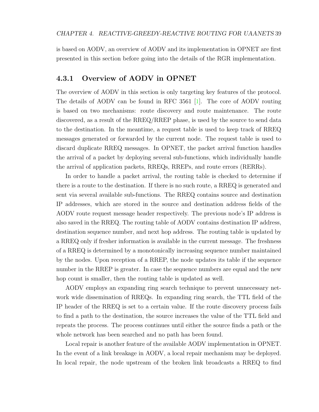is based on AODV, an overview of AODV and its implementation in OPNET are first presented in this section before going into the details of the RGR implementation.

### 4.3.1 Overview of AODV in OPNET

The overview of AODV in this section is only targeting key features of the protocol. The details of AODV can be found in RFC 3561 [\[1\]](#page-110-1). The core of AODV routing is based on two mechanisms: route discovery and route maintenance. The route discovered, as a result of the RREQ/RREP phase, is used by the source to send data to the destination. In the meantime, a request table is used to keep track of RREQ messages generated or forwarded by the current node. The request table is used to discard duplicate RREQ messages. In OPNET, the packet arrival function handles the arrival of a packet by deploying several sub-functions, which individually handle the arrival of application packets, RREQs, RREPs, and route errors (RERRs).

In order to handle a packet arrival, the routing table is checked to determine if there is a route to the destination. If there is no such route, a RREQ is generated and sent via several available sub-functions. The RREQ contains source and destination IP addresses, which are stored in the source and destination address fields of the AODV route request message header respectively. The previous node's IP address is also saved in the RREQ. The routing table of AODV contains destination IP address, destination sequence number, and next hop address. The routing table is updated by a RREQ only if fresher information is available in the current message. The freshness of a RREQ is determined by a monotonically increasing sequence number maintained by the nodes. Upon reception of a RREP, the node updates its table if the sequence number in the RREP is greater. In case the sequence numbers are equal and the new hop count is smaller, then the routing table is updated as well.

AODV employs an expanding ring search technique to prevent unnecessary network wide dissemination of RREQs. In expanding ring search, the TTL field of the IP header of the RREQ is set to a certain value. If the route discovery process fails to find a path to the destination, the source increases the value of the TTL field and repeats the process. The process continues until either the source finds a path or the whole network has been searched and no path has been found.

Local repair is another feature of the available AODV implementation in OPNET. In the event of a link breakage in AODV, a local repair mechanism may be deployed. In local repair, the node upstream of the broken link broadcasts a RREQ to find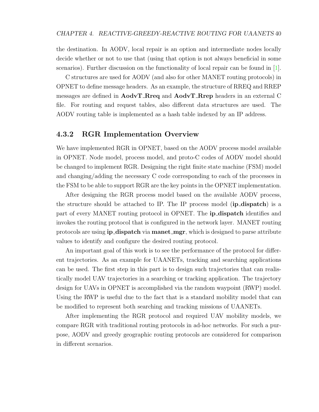the destination. In AODV, local repair is an option and intermediate nodes locally decide whether or not to use that (using that option is not always beneficial in some scenarios). Further discussion on the functionality of local repair can be found in [\[1\]](#page-110-1).

C structures are used for AODV (and also for other MANET routing protocols) in OPNET to define message headers. As an example, the structure of RREQ and RREP messages are defined in  $\text{AodvT}$  Rreq and  $\text{AodvT}$  Rrep headers in an external C file. For routing and request tables, also different data structures are used. The AODV routing table is implemented as a hash table indexed by an IP address.

#### 4.3.2 RGR Implementation Overview

We have implemented RGR in OPNET, based on the AODV process model available in OPNET. Node model, process model, and proto-C codes of AODV model should be changed to implement RGR. Designing the right finite state machine (FSM) model and changing/adding the necessary C code corresponding to each of the processes in the FSM to be able to support RGR are the key points in the OPNET implementation.

After designing the RGR process model based on the available AODV process, the structure should be attached to IP. The IP process model (**ip\_dispatch**) is a part of every MANET routing protocol in OPNET. The ip dispatch identifies and invokes the routing protocol that is configured in the network layer. MANET routing protocols are using **ip\_dispatch** via **manet\_mgr**, which is designed to parse attribute values to identify and configure the desired routing protocol.

An important goal of this work is to see the performance of the protocol for different trajectories. As an example for UAANETs, tracking and searching applications can be used. The first step in this part is to design such trajectories that can realistically model UAV trajectories in a searching or tracking application. The trajectory design for UAVs in OPNET is accomplished via the random waypoint (RWP) model. Using the RWP is useful due to the fact that is a standard mobility model that can be modified to represent both searching and tracking missions of UAANETs.

After implementing the RGR protocol and required UAV mobility models, we compare RGR with traditional routing protocols in ad-hoc networks. For such a purpose, AODV and greedy geographic routing protocols are considered for comparison in different scenarios.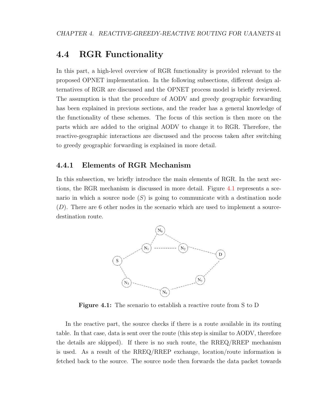# <span id="page-56-0"></span>4.4 RGR Functionality

In this part, a high-level overview of RGR functionality is provided relevant to the proposed OPNET implementation. In the following subsections, different design alternatives of RGR are discussed and the OPNET process model is briefly reviewed. The assumption is that the procedure of AODV and greedy geographic forwarding has been explained in previous sections, and the reader has a general knowledge of the functionality of these schemes. The focus of this section is then more on the parts which are added to the original AODV to change it to RGR. Therefore, the reactive-geographic interactions are discussed and the process taken after switching to greedy geographic forwarding is explained in more detail.

#### <span id="page-56-2"></span>4.4.1 Elements of RGR Mechanism

<span id="page-56-1"></span>In this subsection, we briefly introduce the main elements of RGR. In the next sections, the RGR mechanism is discussed in more detail. Figure [4.1](#page-56-1) represents a scenario in which a source node  $(S)$  is going to communicate with a destination node  $(D)$ . There are 6 other nodes in the scenario which are used to implement a sourcedestination route.



Figure 4.1: The scenario to establish a reactive route from S to D

In the reactive part, the source checks if there is a route available in its routing table. In that case, data is sent over the route (this step is similar to AODV, therefore the details are skipped). If there is no such route, the RREQ/RREP mechanism is used. As a result of the RREQ/RREP exchange, location/route information is fetched back to the source. The source node then forwards the data packet towards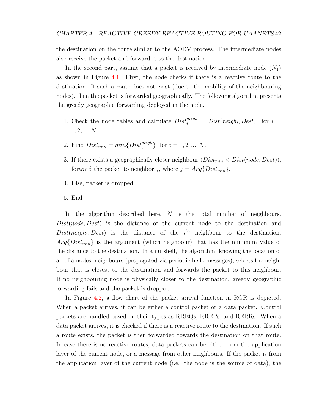the destination on the route similar to the AODV process. The intermediate nodes also receive the packet and forward it to the destination.

In the second part, assume that a packet is received by intermediate node  $(N_1)$ as shown in Figure [4.1.](#page-56-1) First, the node checks if there is a reactive route to the destination. If such a route does not exist (due to the mobility of the neighbouring nodes), then the packet is forwarded geographically. The following algorithm presents the greedy geographic forwarding deployed in the node.

- 1. Check the node tables and calculate  $Dist_i^{neigh} = Dist(neigh_i, Dest)$  for  $i =$  $1, 2, ..., N$ .
- 2. Find  $Dist_{min} = min\{Dist_i^{neigh}\}\ \text{for } i = 1, 2, ..., N.$
- 3. If there exists a geographically closer neighbour  $(Dist_{min} < Dist(node, Dest))$ , forward the packet to neighbor j, where  $j = Arg\{Dist_{min}\}.$
- 4. Else, packet is dropped.
- 5. End

In the algorithm described here,  $N$  is the total number of neighbours. Dist(node, Dest) is the distance of the current node to the destination and  $Dist(neigh_i, Dest)$  is the distance of the  $i<sup>th</sup>$  neighbour to the destination.  $Arg\{Dist_{min}\}\$ is the argument (which neighbour) that has the minimum value of the distance to the destination. In a nutshell, the algorithm, knowing the location of all of a nodes' neighbours (propagated via periodic hello messages), selects the neighbour that is closest to the destination and forwards the packet to this neighbour. If no neighbouring node is physically closer to the destination, greedy geographic forwarding fails and the packet is dropped.

In Figure [4.2,](#page-58-0) a flow chart of the packet arrival function in RGR is depicted. When a packet arrives, it can be either a control packet or a data packet. Control packets are handled based on their types as RREQs, RREPs, and RERRs. When a data packet arrives, it is checked if there is a reactive route to the destination. If such a route exists, the packet is then forwarded towards the destination on that route. In case there is no reactive routes, data packets can be either from the application layer of the current node, or a message from other neighbours. If the packet is from the application layer of the current node (i.e. the node is the source of data), the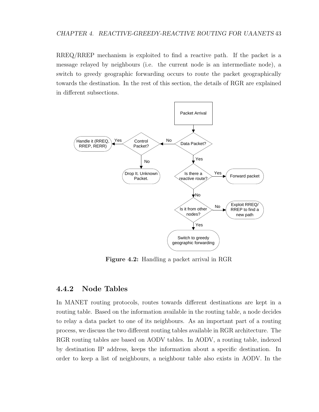RREQ/RREP mechanism is exploited to find a reactive path. If the packet is a message relayed by neighbours (i.e. the current node is an intermediate node), a switch to greedy geographic forwarding occurs to route the packet geographically towards the destination. In the rest of this section, the details of RGR are explained in different subsections.

<span id="page-58-0"></span>

Figure 4.2: Handling a packet arrival in RGR

## <span id="page-58-1"></span>4.4.2 Node Tables

In MANET routing protocols, routes towards different destinations are kept in a routing table. Based on the information available in the routing table, a node decides to relay a data packet to one of its neighbours. As an important part of a routing process, we discuss the two different routing tables available in RGR architecture. The RGR routing tables are based on AODV tables. In AODV, a routing table, indexed by destination IP address, keeps the information about a specific destination. In order to keep a list of neighbours, a neighbour table also exists in AODV. In the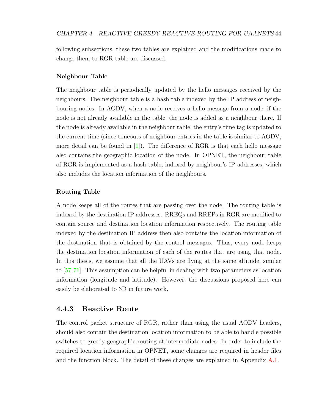following subsections, these two tables are explained and the modifications made to change them to RGR table are discussed.

#### Neighbour Table

The neighbour table is periodically updated by the hello messages received by the neighbours. The neighbour table is a hash table indexed by the IP address of neighbouring nodes. In AODV, when a node receives a hello message from a node, if the node is not already available in the table, the node is added as a neighbour there. If the node is already available in the neighbour table, the entry's time tag is updated to the current time (since timeouts of neighbour entries in the table is similar to AODV, more detail can be found in  $[1]$ . The difference of RGR is that each hello message also contains the geographic location of the node. In OPNET, the neighbour table of RGR is implemented as a hash table, indexed by neighbour's IP addresses, which also includes the location information of the neighbours.

#### Routing Table

A node keeps all of the routes that are passing over the node. The routing table is indexed by the destination IP addresses. RREQs and RREPs in RGR are modified to contain source and destination location information respectively. The routing table indexed by the destination IP address then also contains the location information of the destination that is obtained by the control messages. Thus, every node keeps the destination location information of each of the routes that are using that node. In this thesis, we assume that all the UAVs are flying at the same altitude, similar to [\[57,](#page-114-3)[71\]](#page-115-9). This assumption can be helpful in dealing with two parameters as location information (longitude and latitude). However, the discussions proposed here can easily be elaborated to 3D in future work.

#### <span id="page-59-0"></span>4.4.3 Reactive Route

The control packet structure of RGR, rather than using the usual AODV headers, should also contain the destination location information to be able to handle possible switches to greedy geographic routing at intermediate nodes. In order to include the required location information in OPNET, some changes are required in header files and the function block. The detail of these changes are explained in Appendix  $A.1$ .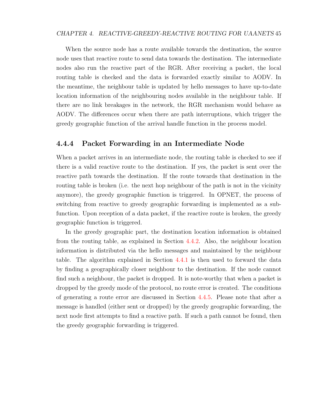#### CHAPTER 4. REACTIVE-GREEDY-REACTIVE ROUTING FOR UAANETS 45

When the source node has a route available towards the destination, the source node uses that reactive route to send data towards the destination. The intermediate nodes also run the reactive part of the RGR. After receiving a packet, the local routing table is checked and the data is forwarded exactly similar to AODV. In the meantime, the neighbour table is updated by hello messages to have up-to-date location information of the neighbouring nodes available in the neighbour table. If there are no link breakages in the network, the RGR mechanism would behave as AODV. The differences occur when there are path interruptions, which trigger the greedy geographic function of the arrival handle function in the process model.

#### 4.4.4 Packet Forwarding in an Intermediate Node

When a packet arrives in an intermediate node, the routing table is checked to see if there is a valid reactive route to the destination. If yes, the packet is sent over the reactive path towards the destination. If the route towards that destination in the routing table is broken (i.e. the next hop neighbour of the path is not in the vicinity anymore), the greedy geographic function is triggered. In OPNET, the process of switching from reactive to greedy geographic forwarding is implemented as a subfunction. Upon reception of a data packet, if the reactive route is broken, the greedy geographic function is triggered.

In the greedy geographic part, the destination location information is obtained from the routing table, as explained in Section [4.4.2.](#page-58-1) Also, the neighbour location information is distributed via the hello messages and maintained by the neighbour table. The algorithm explained in Section [4.4.1](#page-56-2) is then used to forward the data by finding a geographically closer neighbour to the destination. If the node cannot find such a neighbour, the packet is dropped. It is note-worthy that when a packet is dropped by the greedy mode of the protocol, no route error is created. The conditions of generating a route error are discussed in Section [4.4.5.](#page-61-0) Please note that after a message is handled (either sent or dropped) by the greedy geographic forwarding, the next node first attempts to find a reactive path. If such a path cannot be found, then the greedy geographic forwarding is triggered.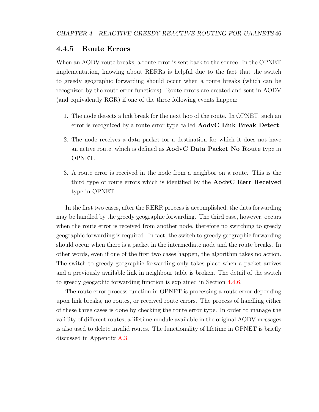### <span id="page-61-0"></span>4.4.5 Route Errors

When an AODV route breaks, a route error is sent back to the source. In the OPNET implementation, knowing about RERRs is helpful due to the fact that the switch to greedy geographic forwarding should occur when a route breaks (which can be recognized by the route error functions). Route errors are created and sent in AODV (and equivalently RGR) if one of the three following events happen:

- 1. The node detects a link break for the next hop of the route. In OPNET, such an error is recognized by a route error type called  $\text{AodvCLink\_Break\_Detect.}$
- 2. The node receives a data packet for a destination for which it does not have an active route, which is defined as AodvC Data Packet No Route type in OPNET.
- 3. A route error is received in the node from a neighbor on a route. This is the third type of route errors which is identified by the **AodvC\_Rerr\_Received** type in OPNET .

In the first two cases, after the RERR process is accomplished, the data forwarding may be handled by the greedy geographic forwarding. The third case, however, occurs when the route error is received from another node, therefore no switching to greedy geographic forwarding is required. In fact, the switch to greedy geographic forwarding should occur when there is a packet in the intermediate node and the route breaks. In other words, even if one of the first two cases happen, the algorithm takes no action. The switch to greedy geographic forwarding only takes place when a packet arrives and a previously available link in neighbour table is broken. The detail of the switch to greedy geogaphic forwarding function is explained in Section [4.4.6.](#page-62-0)

The route error process function in OPNET is processing a route error depending upon link breaks, no routes, or received route errors. The process of handling either of these three cases is done by checking the route error type. In order to manage the validity of different routes, a lifetime module available in the original AODV messages is also used to delete invalid routes. The functionality of lifetime in OPNET is briefly discussed in Appendix [A.3.](#page-118-0)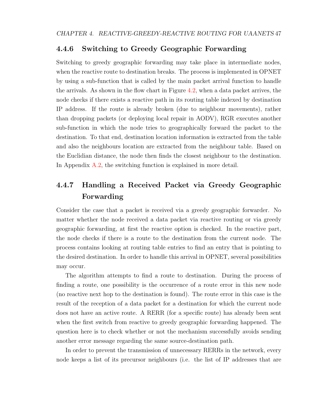### <span id="page-62-0"></span>4.4.6 Switching to Greedy Geographic Forwarding

Switching to greedy geographic forwarding may take place in intermediate nodes, when the reactive route to destination breaks. The process is implemented in OPNET by using a sub-function that is called by the main packet arrival function to handle the arrivals. As shown in the flow chart in Figure [4.2,](#page-58-0) when a data packet arrives, the node checks if there exists a reactive path in its routing table indexed by destination IP address. If the route is already broken (due to neighbour movements), rather than dropping packets (or deploying local repair in AODV), RGR executes another sub-function in which the node tries to geographically forward the packet to the destination. To that end, destination location information is extracted from the table and also the neighbours location are extracted from the neighbour table. Based on the Euclidian distance, the node then finds the closest neighbour to the destination. In Appendix [A.2,](#page-118-1) the switching function is explained in more detail.

# 4.4.7 Handling a Received Packet via Greedy Geographic Forwarding

Consider the case that a packet is received via a greedy geographic forwarder. No matter whether the node received a data packet via reactive routing or via greedy geographic forwarding, at first the reactive option is checked. In the reactive part, the node checks if there is a route to the destination from the current node. The process contains looking at routing table entries to find an entry that is pointing to the desired destination. In order to handle this arrival in OPNET, several possibilities may occur.

The algorithm attempts to find a route to destination. During the process of finding a route, one possibility is the occurrence of a route error in this new node (no reactive next hop to the destination is found). The route error in this case is the result of the reception of a data packet for a destination for which the current node does not have an active route. A RERR (for a specific route) has already been sent when the first switch from reactive to greedy geographic forwarding happened. The question here is to check whether or not the mechanism successfully avoids sending another error message regarding the same source-destination path.

In order to prevent the transmission of unnecessary RERRs in the network, every node keeps a list of its precursor neighbours (i.e. the list of IP addresses that are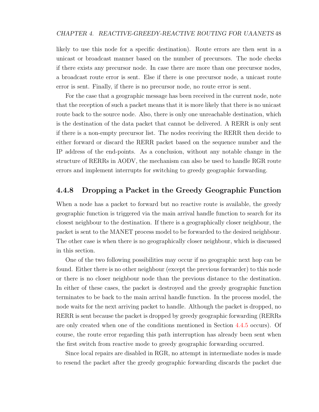#### CHAPTER 4. REACTIVE-GREEDY-REACTIVE ROUTING FOR UAANETS 48

likely to use this node for a specific destination). Route errors are then sent in a unicast or broadcast manner based on the number of precursors. The node checks if there exists any precursor node. In case there are more than one precursor nodes, a broadcast route error is sent. Else if there is one precursor node, a unicast route error is sent. Finally, if there is no precursor node, no route error is sent.

For the case that a geographic message has been received in the current node, note that the reception of such a packet means that it is more likely that there is no unicast route back to the source node. Also, there is only one unreachable destination, which is the destination of the data packet that cannot be delivered. A RERR is only sent if there is a non-empty precursor list. The nodes receiving the RERR then decide to either forward or discard the RERR packet based on the sequence number and the IP address of the end-points. As a conclusion, without any notable change in the structure of RERRs in AODV, the mechanism can also be used to handle RGR route errors and implement interrupts for switching to greedy geographic forwarding.

#### 4.4.8 Dropping a Packet in the Greedy Geographic Function

When a node has a packet to forward but no reactive route is available, the greedy geographic function is triggered via the main arrival handle function to search for its closest neighbour to the destination. If there is a geographically closer neighbour, the packet is sent to the MANET process model to be forwarded to the desired neighbour. The other case is when there is no geographically closer neighbour, which is discussed in this section.

One of the two following possibilities may occur if no geographic next hop can be found. Either there is no other neighbour (except the previous forwarder) to this node or there is no closer neighbour node than the previous distance to the destination. In either of these cases, the packet is destroyed and the greedy geographic function terminates to be back to the main arrival handle function. In the process model, the node waits for the next arriving packet to handle. Although the packet is dropped, no RERR is sent because the packet is dropped by greedy geographic forwarding (RERRs are only created when one of the conditions mentioned in Section [4.4.5](#page-61-0) occurs). Of course, the route error regarding this path interruption has already been sent when the first switch from reactive mode to greedy geographic forwarding occurred.

Since local repairs are disabled in RGR, no attempt in intermediate nodes is made to resend the packet after the greedy geographic forwarding discards the packet due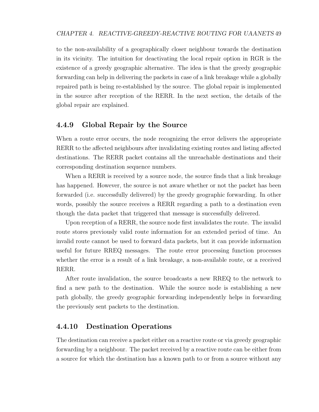to the non-availability of a geographically closer neighbour towards the destination in its vicinity. The intuition for deactivating the local repair option in RGR is the existence of a greedy geographic alternative. The idea is that the greedy geographic forwarding can help in delivering the packets in case of a link breakage while a globally repaired path is being re-established by the source. The global repair is implemented in the source after reception of the RERR. In the next section, the details of the global repair are explained.

### 4.4.9 Global Repair by the Source

When a route error occurs, the node recognizing the error delivers the appropriate RERR to the affected neighbours after invalidating existing routes and listing affected destinations. The RERR packet contains all the unreachable destinations and their corresponding destination sequence numbers.

When a RERR is received by a source node, the source finds that a link breakage has happened. However, the source is not aware whether or not the packet has been forwarded (i.e. successfully delivered) by the greedy geographic forwarding. In other words, possibly the source receives a RERR regarding a path to a destination even though the data packet that triggered that message is successfully delivered.

Upon reception of a RERR, the source node first invalidates the route. The invalid route stores previously valid route information for an extended period of time. An invalid route cannot be used to forward data packets, but it can provide information useful for future RREQ messages. The route error processing function processes whether the error is a result of a link breakage, a non-available route, or a received RERR.

After route invalidation, the source broadcasts a new RREQ to the network to find a new path to the destination. While the source node is establishing a new path globally, the greedy geographic forwarding independently helps in forwarding the previously sent packets to the destination.

## 4.4.10 Destination Operations

The destination can receive a packet either on a reactive route or via greedy geographic forwarding by a neighbour. The packet received by a reactive route can be either from a source for which the destination has a known path to or from a source without any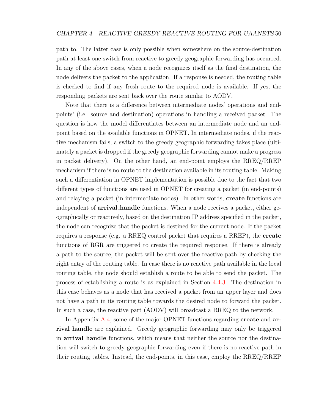path to. The latter case is only possible when somewhere on the source-destination path at least one switch from reactive to greedy geographic forwarding has occurred. In any of the above cases, when a node recognizes itself as the final destination, the node delivers the packet to the application. If a response is needed, the routing table is checked to find if any fresh route to the required node is available. If yes, the responding packets are sent back over the route similar to AODV.

Note that there is a difference between intermediate nodes' operations and endpoints' (i.e. source and destination) operations in handling a received packet. The question is how the model differentiates between an intermediate node and an endpoint based on the available functions in OPNET. In intermediate nodes, if the reactive mechanism fails, a switch to the greedy geographic forwarding takes place (ultimately a packet is dropped if the greedy geographic forwarding cannot make a progress in packet delivery). On the other hand, an end-point employs the RREQ/RREP mechanism if there is no route to the destination available in its routing table. Making such a differentiation in OPNET implementation is possible due to the fact that two different types of functions are used in OPNET for creating a packet (in end-points) and relaying a packet (in intermediate nodes). In other words, create functions are independent of **arrival handle** functions. When a node receives a packet, either geographically or reactively, based on the destination IP address specified in the packet, the node can recognize that the packet is destined for the current node. If the packet requires a response (e.g. a RREQ control packet that requires a RREP), the create functions of RGR are triggered to create the required response. If there is already a path to the source, the packet will be sent over the reactive path by checking the right entry of the routing table. In case there is no reactive path available in the local routing table, the node should establish a route to be able to send the packet. The process of establishing a route is as explained in Section [4.4.3.](#page-59-0) The destination in this case behaves as a node that has received a packet from an upper layer and does not have a path in its routing table towards the desired node to forward the packet. In such a case, the reactive part (AODV) will broadcast a RREQ to the network.

In Appendix [A.4,](#page-119-0) some of the major OPNET functions regarding **create** and **ar**rival handle are explained. Greedy geographic forwarding may only be triggered in arrival handle functions, which means that neither the source nor the destination will switch to greedy geographic forwarding even if there is no reactive path in their routing tables. Instead, the end-points, in this case, employ the RREQ/RREP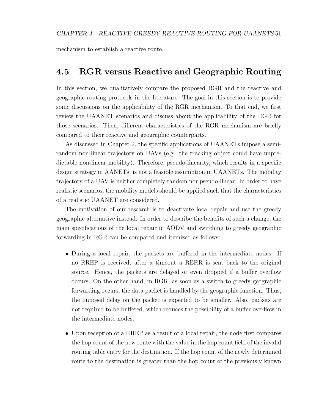mechanism to establish a reactive route.

# <span id="page-66-0"></span>4.5 RGR versus Reactive and Geographic Routing

In this section, we qualitatively compare the proposed RGR and the reactive and geographic routing protocols in the literature. The goal in this section is to provide some discussions on the applicability of the RGR mechanism. To that end, we first review the UAANET scenarios and discuss about the applicability of the RGR for those scenarios. Then, different characteristics of the RGR mechanism are briefly compared to their reactive and geographic counterparts.

As discussed in Chapter [2,](#page-20-0) the specific applications of UAANETs impose a semirandom non-linear trajectory on UAVs (e.g. the tracking object could have unpredictable non-linear mobility). Therefore, pseudo-linearity, which results in a specific design strategy in AANETs, is not a feasible assumption in UAANETs. The mobility trajectory of a UAV is neither completely random nor pseudo-linear. In order to have realistic scenarios, the mobility models should be applied such that the characteristics of a realistic UAANET are considered.

The motivation of our research is to deactivate local repair and use the greedy geographic alternative instead. In order to describe the benefits of such a change, the main specifications of the local repair in AODV and switching to greedy geographic forwarding in RGR can be compared and itemized as follows:

- During a local repair, the packets are buffered in the intermediate nodes. If no RREP is received, after a timeout a RERR is sent back to the original source. Hence, the packets are delayed or even dropped if a buffer overflow occurs. On the other hand, in RGR, as soon as a switch to greedy geographic forwarding occurs, the data packet is handled by the geographic function. Thus, the imposed delay on the packet is expected to be smaller. Also, packets are not required to be buffered, which reduces the possibility of a buffer overflow in the intermediate nodes.
- Upon reception of a RREP as a result of a local repair, the node first compares the hop count of the new route with the value in the hop count field of the invalid routing table entry for the destination. If the hop count of the newly determined route to the destination is greater than the hop count of the previously known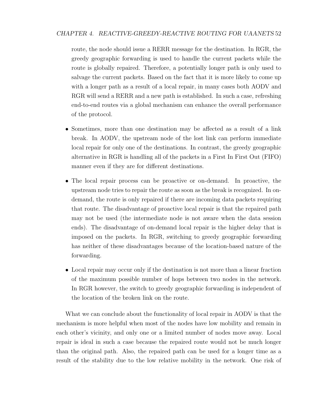route, the node should issue a RERR message for the destination. In RGR, the greedy geographic forwarding is used to handle the current packets while the route is globally repaired. Therefore, a potentially longer path is only used to salvage the current packets. Based on the fact that it is more likely to come up with a longer path as a result of a local repair, in many cases both AODV and RGR will send a RERR and a new path is established. In such a case, refreshing end-to-end routes via a global mechanism can enhance the overall performance of the protocol.

- Sometimes, more than one destination may be affected as a result of a link break. In AODV, the upstream node of the lost link can perform immediate local repair for only one of the destinations. In contrast, the greedy geographic alternative in RGR is handling all of the packets in a First In First Out (FIFO) manner even if they are for different destinations.
- The local repair process can be proactive or on-demand. In proactive, the upstream node tries to repair the route as soon as the break is recognized. In ondemand, the route is only repaired if there are incoming data packets requiring that route. The disadvantage of proactive local repair is that the repaired path may not be used (the intermediate node is not aware when the data session ends). The disadvantage of on-demand local repair is the higher delay that is imposed on the packets. In RGR, switching to greedy geographic forwarding has neither of these disadvantages because of the location-based nature of the forwarding.
- Local repair may occur only if the destination is not more than a linear fraction of the maximum possible number of hops between two nodes in the network. In RGR however, the switch to greedy geographic forwarding is independent of the location of the broken link on the route.

What we can conclude about the functionality of local repair in AODV is that the mechanism is more helpful when most of the nodes have low mobility and remain in each other's vicinity, and only one or a limited number of nodes move away. Local repair is ideal in such a case because the repaired route would not be much longer than the original path. Also, the repaired path can be used for a longer time as a result of the stability due to the low relative mobility in the network. One risk of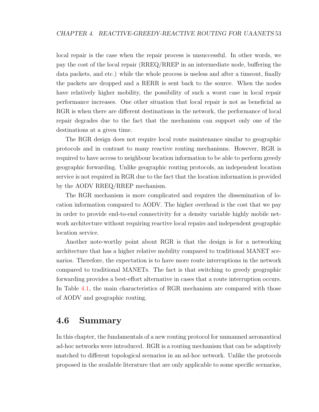local repair is the case when the repair process is unsuccessful. In other words, we pay the cost of the local repair (RREQ/RREP in an intermediate node, buffering the data packets, and etc.) while the whole process is useless and after a timeout, finally the packets are dropped and a RERR is sent back to the source. When the nodes have relatively higher mobility, the possibility of such a worst case in local repair performance increases. One other situation that local repair is not as beneficial as RGR is when there are different destinations in the network, the performance of local repair degrades due to the fact that the mechanism can support only one of the destinations at a given time.

The RGR design does not require local route maintenance similar to geographic protocols and in contrast to many reactive routing mechanisms. However, RGR is required to have access to neighbour location information to be able to perform greedy geographic forwarding. Unlike geographic routing protocols, an independent location service is not required in RGR due to the fact that the location information is provided by the AODV RREQ/RREP mechanism.

The RGR mechanism is more complicated and requires the dissemination of location information compared to AODV. The higher overhead is the cost that we pay in order to provide end-to-end connectivity for a density variable highly mobile network architecture without requiring reactive local repairs and independent geographic location service.

Another note-worthy point about RGR is that the design is for a networking architecture that has a higher relative mobility compared to traditional MANET scenarios. Therefore, the expectation is to have more route interruptions in the network compared to traditional MANETs. The fact is that switching to greedy geographic forwarding provides a best-effort alternative in cases that a route interruption occurs. In Table [4.1,](#page-69-0) the main characteristics of RGR mechanism are compared with those of AODV and geographic routing.

# <span id="page-68-0"></span>4.6 Summary

In this chapter, the fundamentals of a new routing protocol for unmanned aeronautical ad-hoc networks were introduced. RGR is a routing mechanism that can be adaptively matched to different topological scenarios in an ad-hoc network. Unlike the protocols proposed in the available literature that are only applicable to some specific scenarios,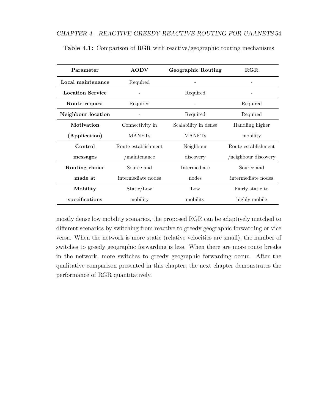| Parameter               | <b>AODV</b>         | Geographic Routing   | RGR                  |
|-------------------------|---------------------|----------------------|----------------------|
| Local maintenance       | Required            |                      |                      |
| <b>Location Service</b> |                     | Required             |                      |
| Route request           | Required            |                      | Required             |
| Neighbour location      |                     | Required             | Required             |
| Motivation              | Connectivity in     | Scalability in dense | Handling higher      |
| (Application)           | <b>MANETs</b>       | <b>MANETs</b>        | mobility             |
| Control                 | Route establishment | Neighbour            | Route establishment  |
| messages                | maintenance         | discovery            | /neighbour discovery |
| Routing choice          | Source and          | Intermediate         | Source and           |
| made at                 | intermediate nodes  | nodes                | intermediate nodes   |
| Mobility                | Static/Low          | Low                  | Fairly static to     |
| specifications          | mobility            | mobility             | highly mobile        |

<span id="page-69-0"></span>Table 4.1: Comparison of RGR with reactive/geographic routing mechanisms

mostly dense low mobility scenarios, the proposed RGR can be adaptively matched to different scenarios by switching from reactive to greedy geographic forwarding or vice versa. When the network is more static (relative velocities are small), the number of switches to greedy geographic forwarding is less. When there are more route breaks in the network, more switches to greedy geographic forwarding occur. After the qualitative comparison presented in this chapter, the next chapter demonstrates the performance of RGR quantitatively.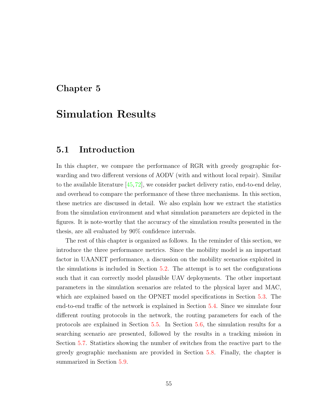# Chapter 5

# Simulation Results

# 5.1 Introduction

In this chapter, we compare the performance of RGR with greedy geographic forwarding and two different versions of AODV (with and without local repair). Similar to the available literature  $[45, 72]$  $[45, 72]$  $[45, 72]$ , we consider packet delivery ratio, end-to-end delay, and overhead to compare the performance of these three mechanisms. In this section, these metrics are discussed in detail. We also explain how we extract the statistics from the simulation environment and what simulation parameters are depicted in the figures. It is note-worthy that the accuracy of the simulation results presented in the thesis, are all evaluated by 90% confidence intervals.

The rest of this chapter is organized as follows. In the reminder of this section, we introduce the three performance metrics. Since the mobility model is an important factor in UAANET performance, a discussion on the mobility scenarios exploited in the simulations is included in Section [5.2.](#page-73-0) The attempt is to set the configurations such that it can correctly model plausible UAV deployments. The other important parameters in the simulation scenarios are related to the physical layer and MAC, which are explained based on the OPNET model specifications in Section [5.3.](#page-77-0) The end-to-end traffic of the network is explained in Section [5.4.](#page-77-1) Since we simulate four different routing protocols in the network, the routing parameters for each of the protocols are explained in Section [5.5.](#page-79-0) In Section [5.6,](#page-80-0) the simulation results for a searching scenario are presented, followed by the results in a tracking mission in Section [5.7.](#page-97-0) Statistics showing the number of switches from the reactive part to the greedy geographic mechanism are provided in Section [5.8.](#page-103-0) Finally, the chapter is summarized in Section [5.9.](#page-104-0)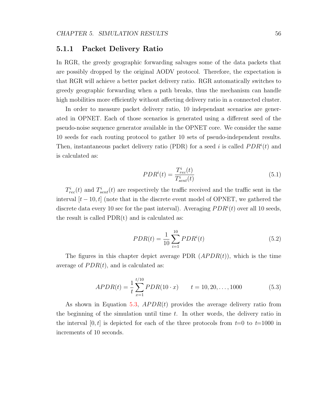#### 5.1.1 Packet Delivery Ratio

In RGR, the greedy geographic forwarding salvages some of the data packets that are possibly dropped by the original AODV protocol. Therefore, the expectation is that RGR will achieve a better packet delivery ratio. RGR automatically switches to greedy geographic forwarding when a path breaks, thus the mechanism can handle high mobilities more efficiently without affecting delivery ratio in a connected cluster.

In order to measure packet delivery ratio, 10 independant scenarios are generated in OPNET. Each of those scenarios is generated using a different seed of the pseudo-noise sequence generator available in the OPNET core. We consider the same 10 seeds for each routing protocol to gather 10 sets of pseudo-independent results. Then, instantaneous packet delivery ratio (PDR) for a seed i is called  $PDR<sup>i</sup>(t)$  and is calculated as:

$$
PDRi(t) = \frac{Ti_{rec}(t)}{Ti_{sent}(t)}
$$
\n(5.1)

 $T_{rec}^{i}(t)$  and  $T_{sent}^{i}(t)$  are respectively the traffic received and the traffic sent in the interval  $[t-10, t]$  (note that in the discrete event model of OPNET, we gathered the discrete data every 10 sec for the past interval). Averaging  $PDR<sup>i</sup>(t)$  over all 10 seeds, the result is called  $PDR(t)$  and is calculated as:

$$
PDR(t) = \frac{1}{10} \sum_{i=1}^{10} PDR^{i}(t)
$$
\n(5.2)

The figures in this chapter depict average PDR  $(APDR(t))$ , which is the time average of  $PDR(t)$ , and is calculated as:

<span id="page-71-0"></span>
$$
APDR(t) = \frac{1}{t} \sum_{x=1}^{t/10} PDR(10 \cdot x) \qquad t = 10, 20, \dots, 1000 \tag{5.3}
$$

As shown in Equation [5.3,](#page-71-0)  $APDR(t)$  provides the average delivery ratio from the beginning of the simulation until time  $t$ . In other words, the delivery ratio in the interval  $[0, t]$  is depicted for each of the three protocols from  $t=0$  to  $t=1000$  in increments of 10 seconds.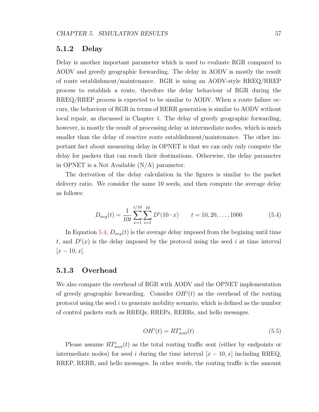#### 5.1.2 Delay

Delay is another important parameter which is used to evaluate RGR compared to AODV and greedy geographic forwarding. The delay in AODV is mostly the result of route establishment/maintenance. RGR is using an AODV-style RREQ/RREP process to establish a route, therefore the delay behaviour of RGR during the RREQ/RREP process is expected to be similar to AODV. When a route failure occurs, the behaviour of RGR in terms of RERR generation is similar to AODV without local repair, as discussed in Chapter [4.](#page-49-0) The delay of greedy geographic forwarding, however, is mostly the result of processing delay at intermediate nodes, which is much smaller than the delay of reactive route establishment/maintenance. The other important fact about measuring delay in OPNET is that we can only only compute the delay for packets that can reach their destinations. Otherwise, the delay parameter in OPNET is a Not Available (N/A) parameter.

The derivation of the delay calculation in the figures is similar to the packet delivery ratio. We consider the same 10 seeds, and then compute the average delay as follows:

<span id="page-72-0"></span>
$$
D_{avg}(t) = \frac{1}{10t} \sum_{x=1}^{t/10} \sum_{i=1}^{10} D^{i}(10 \cdot x) \qquad t = 10, 20, ..., 1000
$$
 (5.4)

In Equation [5.4,](#page-72-0)  $D_{avg}(t)$  is the average delay imposed from the begining until time t, and  $D^{i}(x)$  is the delay imposed by the protocol using the seed i at time interval  $[x - 10, x]$ .

#### 5.1.3 Overhead

We also compare the overhead of RGR with AODV and the OPNET implementation of greedy geographic forwarding. Consider  $OH^{i}(t)$  as the overhead of the routing protocol using the seed  $i$  to generate mobility scenario, which is defined as the number of control packets such as RREQs, RREPs, RERRs, and hello messages.

<span id="page-72-1"></span>
$$
OHi(t) = RTsenti(t)
$$
\n(5.5)

Please assume  $RT_{sent}^{i}(t)$  as the total routing traffic sent (either by endpoints or intermediate nodes) for seed i during the time interval  $[x - 10, x]$  including RREQ, RREP, RERR, and hello messages. In other words, the routing traffic is the amount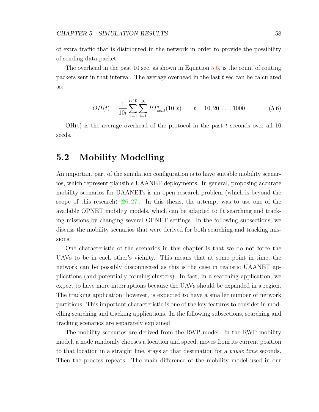of extra traffic that is distributed in the network in order to provide the possibility of sending data packet.

The overhead in the past 10 sec, as shown in Equation [5.5,](#page-72-1) is the count of routing packets sent in that interval. The average overhead in the last  $t$  sec can be calculated as:

$$
OH(t) = \frac{1}{10t} \sum_{x=1}^{t/10} \sum_{i=1}^{10} RT_{sent}^{i}(10.x) \qquad t = 10, 20, ..., 1000
$$
 (5.6)

 $OH(t)$  is the average overhead of the protocol in the past t seconds over all 10 seeds.

## 5.2 Mobility Modelling

An important part of the simulation configuration is to have suitable mobility scenarios, which represent plausible UAANET deployments. In general, proposing accurate mobility scenarios for UAANETs is an open research problem (which is beyond the scope of this research) [\[26,](#page-112-0) [27\]](#page-112-1). In this thesis, the attempt was to use one of the available OPNET mobility models, which can be adapted to fit searching and tracking missions by changing several OPNET settings. In the following subsections, we discuss the mobility scenarios that were derived for both searching and tracking missions.

One characteristic of the scenarios in this chapter is that we do not force the UAVs to be in each other's vicinity. This means that at some point in time, the network can be possibly disconnected as this is the case in realistic UAANET applications (and potentially forming clusters). In fact, in a searching application, we expect to have more interruptions because the UAVs should be expanded in a region. The tracking application, however, is expected to have a smaller number of network partitions. This important characteristic is one of the key features to consider in modelling searching and tracking applications. In the following subsections, searching and tracking scenarios are separately explained.

The mobility scenarios are derived from the RWP model. In the RWP mobility model, a node randomly chooses a location and speed, moves from its current position to that location in a straight line, stays at that destination for a pause time seconds. Then the process repeats. The main difference of the mobility model used in our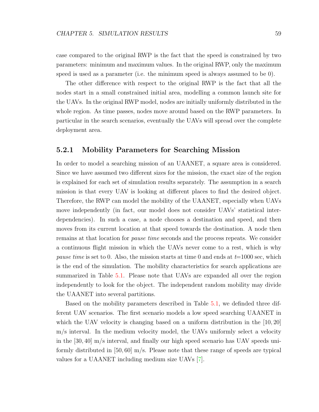case compared to the original RWP is the fact that the speed is constrained by two parameters: minimum and maximum values. In the original RWP, only the maximum speed is used as a parameter (i.e. the minimum speed is always assumed to be 0).

The other difference with respect to the original RWP is the fact that all the nodes start in a small constrained initial area, modelling a common launch site for the UAVs. In the original RWP model, nodes are initially uniformly distributed in the whole region. As time passes, nodes move around based on the RWP parameters. In particular in the search scenarios, eventually the UAVs will spread over the complete deployment area.

#### <span id="page-74-0"></span>5.2.1 Mobility Parameters for Searching Mission

In order to model a searching mission of an UAANET, a square area is considered. Since we have assumed two different sizes for the mission, the exact size of the region is explained for each set of simulation results separately. The assumption in a search mission is that every UAV is looking at different places to find the desired object. Therefore, the RWP can model the mobility of the UAANET, especially when UAVs move independently (in fact, our model does not consider UAVs' statistical interdependencies). In such a case, a node chooses a destination and speed, and then moves from its current location at that speed towards the destination. A node then remains at that location for pause time seconds and the process repeats. We consider a continuous flight mission in which the UAVs never come to a rest, which is why pause time is set to 0. Also, the mission starts at time 0 and ends at  $t=1000$  sec, which is the end of the simulation. The mobility characteristics for search applications are summarized in Table [5.1.](#page-75-0) Please note that UAVs are expanded all over the region independently to look for the object. The independent random mobility may divide the UAANET into several partitions.

Based on the mobility parameters described in Table [5.1,](#page-75-0) we definded three different UAV scenarios. The first scenario models a low speed searching UAANET in which the UAV velocity is changing based on a uniform distribution in the  $[10, 20]$ m/s interval. In the medium velocity model, the UAVs uniformly select a velocity in the [30, 40] m/s interval, and finally our high speed scenario has UAV speeds uniformly distributed in  $[50, 60]$  m/s. Please note that these range of speeds are typical values for a UAANET including medium size UAVs [\[7\]](#page-110-0).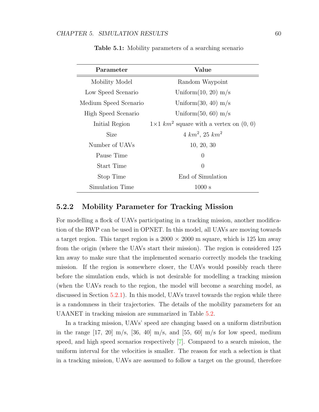<span id="page-75-0"></span>

| Parameter             | Value                                                     |  |
|-----------------------|-----------------------------------------------------------|--|
| Mobility Model        | Random Waypoint                                           |  |
| Low Speed Scenario    | Uniform $(10, 20)$ m/s                                    |  |
| Medium Speed Scenario | Uniform $(30, 40)$ m/s                                    |  |
| High Speed Scenario   | Uniform $(50, 60)$ m/s                                    |  |
| Initial Region        | $1\times1$ km <sup>2</sup> square with a vertex on (0, 0) |  |
| Size                  | $4 \ km^2$ , $25 \ km^2$                                  |  |
| Number of UAVs        | 10, 20, 30                                                |  |
| Pause Time            | $\overline{0}$                                            |  |
| Start Time            | $\theta$                                                  |  |
| Stop Time             | End of Simulation                                         |  |
| Simulation Time       | 1000 s                                                    |  |

Table 5.1: Mobility parameters of a searching scenario

#### 5.2.2 Mobility Parameter for Tracking Mission

For modelling a flock of UAVs participating in a tracking mission, another modification of the RWP can be used in OPNET. In this model, all UAVs are moving towards a target region. This target region is a  $2000 \times 2000$  m square, which is 125 km away from the origin (where the UAVs start their mission). The region is considered 125 km away to make sure that the implemented scenario correctly models the tracking mission. If the region is somewhere closer, the UAVs would possibly reach there before the simulation ends, which is not desirable for modelling a tracking mission (when the UAVs reach to the region, the model will become a searching model, as discussed in Section [5.2.1\)](#page-74-0). In this model, UAVs travel towards the region while there is a randomness in their trajectories. The details of the mobility parameters for an UAANET in tracking mission are summarized in Table [5.2.](#page-76-0)

In a tracking mission, UAVs' speed are changing based on a uniform distribution in the range  $[17, 20]$  m/s,  $[36, 40]$  m/s, and  $[55, 60]$  m/s for low speed, medium speed, and high speed scenarios respectively [\[7\]](#page-110-0). Compared to a search mission, the uniform interval for the velocities is smaller. The reason for such a selection is that in a tracking mission, UAVs are assumed to follow a target on the ground, therefore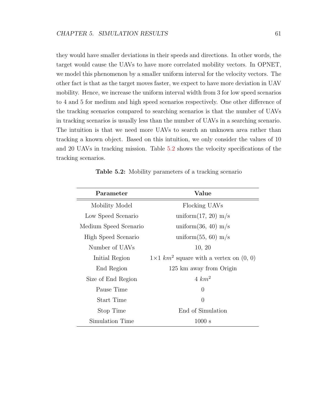they would have smaller deviations in their speeds and directions. In other words, the target would cause the UAVs to have more correlated mobility vectors. In OPNET, we model this phenomenon by a smaller uniform interval for the velocity vectors. The other fact is that as the target moves faster, we expect to have more deviation in UAV mobility. Hence, we increase the uniform interval width from 3 for low speed scenarios to 4 and 5 for medium and high speed scenarios respectively. One other difference of the tracking scenarios compared to searching scenarios is that the number of UAVs in tracking scenarios is usually less than the number of UAVs in a searching scenario. The intuition is that we need more UAVs to search an unknown area rather than tracking a known object. Based on this intuition, we only consider the values of 10 and 20 UAVs in tracking mission. Table [5.2](#page-76-0) shows the velocity specifications of the tracking scenarios.

<span id="page-76-0"></span>

| Parameter             | Value                                                     |  |
|-----------------------|-----------------------------------------------------------|--|
| Mobility Model        | Flocking UAVs                                             |  |
| Low Speed Scenario    | uniform $(17, 20)$ m/s                                    |  |
| Medium Speed Scenario | uniform $(36, 40)$ m/s                                    |  |
| High Speed Scenario   | uniform $(55, 60)$ m/s                                    |  |
| Number of UAVs        | 10, 20                                                    |  |
| Initial Region        | $1\times1$ km <sup>2</sup> square with a vertex on (0, 0) |  |
| End Region            | 125 km away from Origin                                   |  |
| Size of End Region    | $4 \ km^2$                                                |  |
| Pause Time            | $\theta$                                                  |  |
| Start Time            | $\theta$                                                  |  |
| Stop Time             | End of Simulation                                         |  |
| Simulation Time       | 1000 s                                                    |  |

Table 5.2: Mobility parameters of a tracking scenario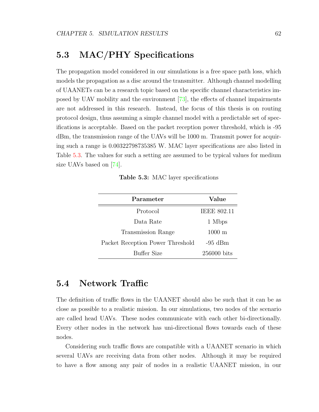# 5.3 MAC/PHY Specifications

The propagation model considered in our simulations is a free space path loss, which models the propagation as a disc around the transmitter. Although channel modelling of UAANETs can be a research topic based on the specific channel characteristics imposed by UAV mobility and the environment [\[73\]](#page-115-0), the effects of channel impairments are not addressed in this research. Instead, the focus of this thesis is on routing protocol design, thus assuming a simple channel model with a predictable set of specifications is acceptable. Based on the packet reception power threshold, which is -95 dBm, the transmission range of the UAVs will be 1000 m. Transmit power for acquiring such a range is 0.00322798735385 W. MAC layer specifications are also listed in Table [5.3.](#page-77-0) The values for such a setting are assumed to be typical values for medium size UAVs based on [\[74\]](#page-116-0).

Table 5.3: MAC layer specifications

<span id="page-77-0"></span>

| Parameter                        | Value                |  |
|----------------------------------|----------------------|--|
| Protocol                         | <b>IEEE 802.11</b>   |  |
| Data Rate                        | 1 Mbps               |  |
| Transmission Range               | $1000 \; \mathrm{m}$ |  |
| Packet Reception Power Threshold | $-95$ dBm            |  |
| Buffer Size                      | 256000 bits          |  |

## 5.4 Network Traffic

The definition of traffic flows in the UAANET should also be such that it can be as close as possible to a realistic mission. In our simulations, two nodes of the scenario are called head UAVs. These nodes communicate with each other bi-directionally. Every other nodes in the network has uni-directional flows towards each of these nodes.

Considering such traffic flows are compatible with a UAANET scenario in which several UAVs are receiving data from other nodes. Although it may be required to have a flow among any pair of nodes in a realistic UAANET mission, in our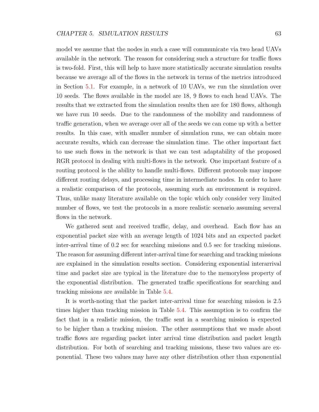model we assume that the nodes in such a case will communicate via two head UAVs available in the network. The reason for considering such a structure for traffic flows is two-fold. First, this will help to have more statistically accurate simulation results because we average all of the flows in the network in terms of the metrics introduced in Section [5.1.](#page-70-0) For example, in a network of 10 UAVs, we run the simulation over 10 seeds. The flows available in the model are 18, 9 flows to each head UAVs. The results that we extracted from the simulation results then are for 180 flows, although we have run 10 seeds. Due to the randomness of the mobility and randomness of traffic generation, when we average over all of the seeds we can come up with a better results. In this case, with smaller number of simulation runs, we can obtain more accurate results, which can decrease the simulation time. The other important fact to use such flows in the network is that we can test adaptability of the proposed RGR protocol in dealing with multi-flows in the network. One important feature of a routing protocol is the ability to handle multi-flows. Different protocols may impose different routing delays, and processing time in intermediate nodes. In order to have a realistic comparison of the protocols, assuming such an environment is required. Thus, unlike many literature available on the topic which only consider very limited number of flows, we test the protocols in a more realistic scenario assuming several flows in the network.

We gathered sent and received traffic, delay, and overhead. Each flow has an exponential packet size with an average length of 1024 bits and an expected packet inter-arrival time of 0.2 sec for searching missions and 0.5 sec for tracking missions. The reason for assuming different inter-arrival time for searching and tracking missions are explained in the simulation results section. Considering exponential interarrival time and packet size are typical in the literature due to the memoryless property of the exponential distribution. The generated traffic specifications for searching and tracking missions are available in Table [5.4.](#page-79-0)

It is worth-noting that the packet inter-arrival time for searching mission is 2.5 times higher than tracking mission in Table [5.4.](#page-79-0) This assumption is to confirm the fact that in a realistic mission, the traffic sent in a searching mission is expected to be higher than a tracking mission. The other assumptions that we made about traffic flows are regarding packet inter arrival time distribution and packet length distribution. For both of searching and tracking missions, these two values are exponential. These two values may have any other distribution other than exponential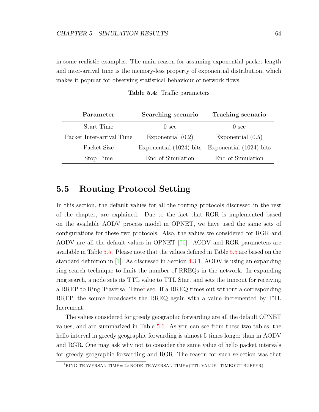in some realistic examples. The main reason for assuming exponential packet length and inter-arrival time is the memory-less property of exponential distribution, which makes it popular for observing statistical behaviour of network flows.

<span id="page-79-0"></span>

| Parameter                 | Searching scenario        | Tracking scenario         |
|---------------------------|---------------------------|---------------------------|
| Start Time                | 0 <sub>sec</sub>          | $\theta$ sec              |
| Packet Inter-arrival Time | Exponential $(0.2)$       | Exponential $(0.5)$       |
| Packet Size               | Exponential $(1024)$ bits | Exponential $(1024)$ bits |
| Stop Time                 | End of Simulation         | End of Simulation         |

Table 5.4: Traffic parameters

## 5.5 Routing Protocol Setting

In this section, the default values for all the routing protocols discussed in the rest of the chapter, are explained. Due to the fact that RGR is implemented based on the available AODV process model in OPNET, we have used the same sets of configurations for these two protocols. Also, the values we considered for RGR and AODV are all the default values in OPNET [\[70\]](#page-115-1). AODV and RGR parameters are available in Table [5.5.](#page-80-0) Please note that the values defined in Table [5.5](#page-80-0) are based on the standard definition in [\[1\]](#page-110-1). As discussed in Section [4.3.1,](#page-54-0) AODV is using an expanding ring search technique to limit the number of RREQs in the network. In expanding ring search, a node sets its TTL value to TTL Start and sets the timeout for receiving a RREP to Ring<sub>-</sub>Traversal<sub>-Time</sub><sup>[1](#page-79-1)</sup> sec. If a RREQ times out without a corresponding RREP, the source broadcasts the RREQ again with a value incremented by TTL Increment.

The values considered for greedy geographic forwarding are all the default OPNET values, and are summarized in Table [5.6.](#page-80-1) As you can see from these two tables, the hello interval in greedy geographic forwarding is almost 5 times longer than in AODV and RGR. One may ask why not to consider the same value of hello packet intervals for greedy geographic forwarding and RGR. The reason for such selection was that

<span id="page-79-1"></span> $1$ RING TRAVERSAL TIME= 2×NODE TRAVERSAL TIME×(TTL VALUE+TIMEOUT BUFFER)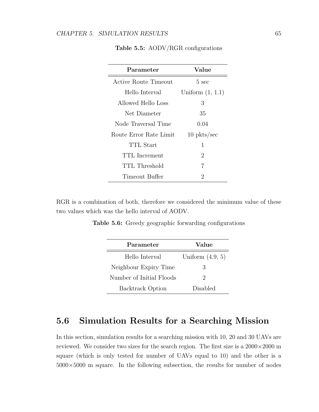<span id="page-80-0"></span>

| Parameter              | Value              |
|------------------------|--------------------|
| Active Route Timeout   | $5 \text{ sec}$    |
| Hello Interval         | Uniform $(1, 1.1)$ |
| Allowed Hello Loss     | 3                  |
| Net Diameter           | 35                 |
| Node Traversal Time    | 0.04               |
| Route Error Rate Limit | $10$ pkts/sec      |
| TTL Start              | 1                  |
| TTL Increment          | 2                  |
| TTL Threshold          | 7                  |
| Timeout Buffer         | 2                  |

Table 5.5: AODV/RGR configurations

<span id="page-80-1"></span>RGR is a combination of both, therefore we considered the minimum value of these two values which was the hello interval of AODV.

Table 5.6: Greedy geographic forwarding configurations

| Parameter                | Value                       |
|--------------------------|-----------------------------|
| Hello Interval           | Uniform $(4.9, 5)$          |
| Neighbour Expiry Time    | 3                           |
| Number of Initial Floods | $\mathcal{D}_{\mathcal{L}}$ |
| <b>Backtrack Option</b>  | Disabled                    |

## 5.6 Simulation Results for a Searching Mission

In this section, simulation results for a searching mission with 10, 20 and 30 UAVs are reviewed. We consider two sizes for the search region. The first size is a  $2000 \times 2000$  m square (which is only tested for number of UAVs equal to 10) and the other is a  $5000 \times 5000$  m square. In the following subsection, the results for number of nodes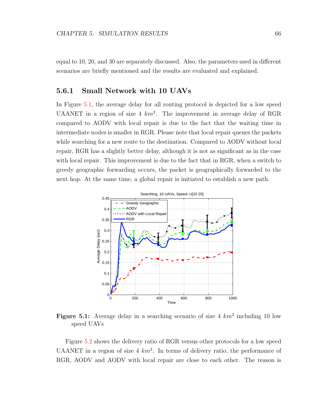equal to 10, 20, and 30 are separately discussed. Also, the parameters used in different scenarios are briefly mentioned and the results are evaluated and explained.

#### 5.6.1 Small Network with 10 UAVs

In Figure [5.1,](#page-81-0) the average delay for all routing protocol is depicted for a low speed UAANET in a region of size  $4 \ km^2$ . The improvement in average delay of RGR compared to AODV with local repair is due to the fact that the waiting time in intermediate nodes is smaller in RGR. Please note that local repair queues the packets while searching for a new route to the destination. Compared to AODV without local repair, RGR has a slightly better delay, although it is not as significant as in the case with local repair. This improvement is due to the fact that in RGR, when a switch to greedy geographic forwarding occurs, the packet is geographically forwarded to the next hop. At the same time, a global repair is initiated to establish a new path.

<span id="page-81-0"></span>

Figure 5.1: Average delay in a searching scenario of size 4  $km^2$  including 10 low speed UAVs

Figure [5.2](#page-82-0) shows the delivery ratio of RGR versus other protocols for a low speed UAANET in a region of size  $4 \ km^2$ . In terms of delivery ratio, the performance of RGR, AODV and AODV with local repair are close to each other. The reason is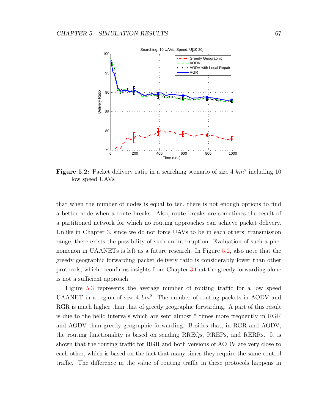<span id="page-82-0"></span>

Figure 5.2: Packet delivery ratio in a searching scenario of size  $4 \ km^2$  including 10 low speed UAVs

that when the number of nodes is equal to ten, there is not enough options to find a better node when a route breaks. Also, route breaks are sometimes the result of a partitioned network for which no routing approaches can achieve packet delivery. Unlike in Chapter [3,](#page-35-0) since we do not force UAVs to be in each others' transmission range, there exists the possibility of such an interruption. Evaluation of such a phenomenon in UAANETs is left as a future research. In Figure [5.2,](#page-82-0) also note that the greedy geographic forwarding packet delivery ratio is considerably lower than other protocols, which reconfirms insights from Chapter [3](#page-35-0) that the greedy forwarding alone is not a sufficient approach.

Figure [5.3](#page-83-0) represents the average number of routing traffic for a low speed UAANET in a region of size  $4 \ km^2$ . The number of routing packets in AODV and RGR is much higher than that of greedy geographic forwarding. A part of this result is due to the hello intervals which are sent almost 5 times more frequently in RGR and AODV than greedy geographic forwarding. Besides that, in RGR and AODV, the routing functionality is based on sending RREQs, RREPs, and RERRs. It is shown that the routing traffic for RGR and both versions of AODV are very close to each other, which is based on the fact that many times they require the same control traffic. The difference in the value of routing traffic in these protocols happens in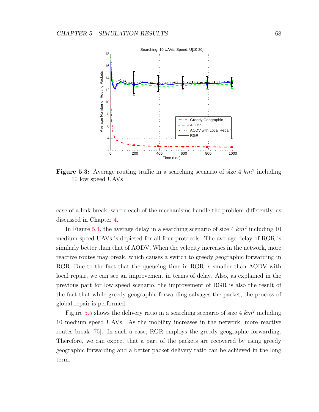<span id="page-83-0"></span>

Figure 5.3: Average routing traffic in a searching scenario of size  $4 \ km^2$  including 10 low speed UAVs

case of a link break, where each of the mechanisms handle the problem differently, as discussed in Chapter [4.](#page-49-0)

In Figure [5.4,](#page-84-0) the average delay in a searching scenario of size  $4 \ km^2$  including 10 medium speed UAVs is depicted for all four protocols. The average delay of RGR is similarly better than that of AODV. When the velocity increases in the network, more reactive routes may break, which causes a switch to greedy geographic forwarding in RGR. Due to the fact that the queueing time in RGR is smaller than AODV with local repair, we can see an improvement in terms of delay. Also, as explained in the previous part for low speed scenario, the improvement of RGR is also the result of the fact that while greedy geographic forwarding salvages the packet, the process of global repair is performed.

Figure  $5.5$  shows the delivery ratio in a searching scenario of size  $4 \ km^2$  including 10 medium speed UAVs. As the mobility increases in the network, more reactive routes break [\[75\]](#page-116-1). In such a case, RGR employs the greedy geographic forwarding. Therefore, we can expect that a part of the packets are recovered by using greedy geographic forwarding and a better packet delivery ratio can be achieved in the long term.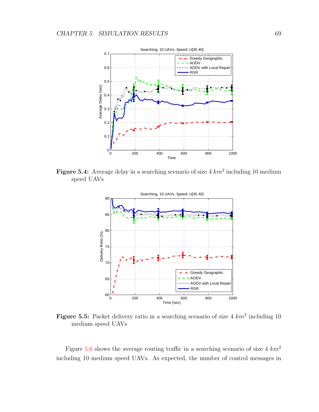<span id="page-84-0"></span>

<span id="page-84-1"></span>Figure 5.4: Average delay in a searching scenario of size  $4 \ km^2$  including 10 medium speed UAVs



Figure 5.5: Packet delivery ratio in a searching scenario of size  $4 \ km^2$  including 10 medium speed UAVs

Figure [5.6](#page-85-0) shows the average routing traffic in a searching scenario of size  $4 \ km^2$ including 10 medium speed UAVs. As expected, the number of control messages in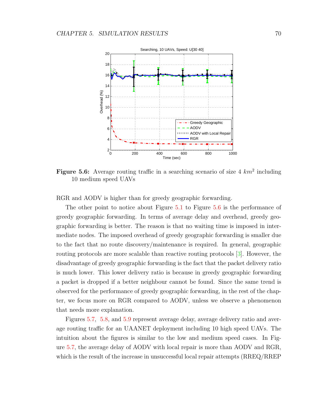<span id="page-85-0"></span>

Figure 5.6: Average routing traffic in a searching scenario of size  $4 \ km^2$  including 10 medium speed UAVs

RGR and AODV is higher than for greedy geographic forwarding.

The other point to notice about Figure [5.1](#page-81-0) to Figure [5.6](#page-85-0) is the performance of greedy geographic forwarding. In terms of average delay and overhead, greedy geographic forwarding is better. The reason is that no waiting time is imposed in intermediate nodes. The imposed overhead of greedy geographic forwarding is smaller due to the fact that no route discovery/maintenance is required. In general, geographic routing protocols are more scalable than reactive routing protocols [\[3\]](#page-110-2). However, the disadvantage of greedy geographic forwarding is the fact that the packet delivery ratio is much lower. This lower delivery ratio is because in greedy geographic forwarding a packet is dropped if a better neighbour cannot be found. Since the same trend is observed for the performance of greedy geographic forwarding, in the rest of the chapter, we focus more on RGR compared to AODV, unless we observe a phenomenon that needs more explanation.

Figures [5.7,](#page-86-0) [5.8,](#page-86-1) and [5.9](#page-87-0) represent average delay, average delivery ratio and average routing traffic for an UAANET deployment including 10 high speed UAVs. The intuition about the figures is similar to the low and medium speed cases. In Figure [5.7,](#page-86-0) the average delay of AODV with local repair is more than AODV and RGR, which is the result of the increase in unsuccessful local repair attempts (RREQ/RREP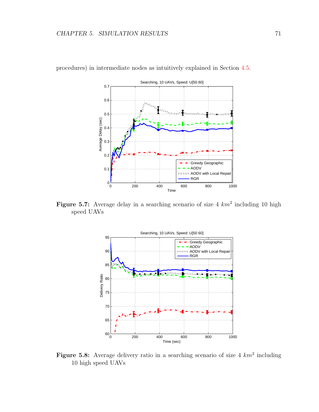

<span id="page-86-0"></span>procedures) in intermediate nodes as intuitively explained in Section [4.5.](#page-66-0)

<span id="page-86-1"></span>Figure 5.7: Average delay in a searching scenario of size 4  $km^2$  including 10 high speed UAVs



Figure 5.8: Average delivery ratio in a searching scenario of size 4  $km^2$  including 10 high speed UAVs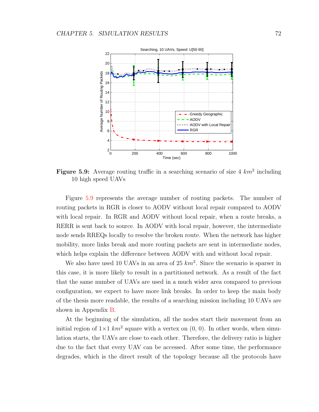<span id="page-87-0"></span>

Figure 5.9: Average routing traffic in a searching scenario of size  $4 \ km^2$  including 10 high speed UAVs

Figure [5.9](#page-87-0) represents the average number of routing packets. The number of routing packets in RGR is closer to AODV without local repair compared to AODV with local repair. In RGR and AODV without local repair, when a route breaks, a RERR is sent back to source. In AODV with local repair, however, the intermediate node sends RREQs locally to resolve the broken route. When the network has higher mobility, more links break and more routing packets are sent in intermediate nodes, which helps explain the difference between AODV with and without local repair.

We also have used 10 UAVs in an area of 25  $km^2$ . Since the scenario is sparser in this case, it is more likely to result in a partitioned network. As a result of the fact that the same number of UAVs are used in a much wider area compared to previous configuration, we expect to have more link breaks. In order to keep the main body of the thesis more readable, the results of a searching mission including 10 UAVs are shown in Appendix [B.](#page-122-0)

At the beginning of the simulation, all the nodes start their movement from an initial region of  $1 \times 1$  km<sup>2</sup> square with a vertex on  $(0, 0)$ . In other words, when simulation starts, the UAVs are close to each other. Therefore, the delivery ratio is higher due to the fact that every UAV can be accessed. After some time, the performance degrades, which is the direct result of the topology because all the protocols have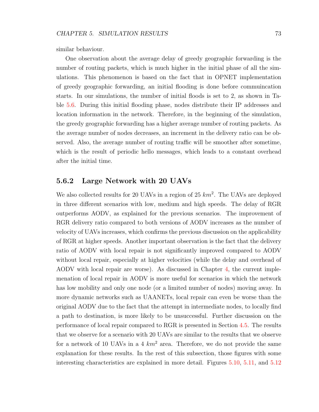similar behaviour.

One observation about the average delay of greedy geographic forwarding is the number of routing packets, which is much higher in the initial phase of all the simulations. This phenomenon is based on the fact that in OPNET implementation of greedy geographic forwarding, an initial flooding is done before commuincation starts. In our simulations, the number of initial floods is set to 2, as shown in Table [5.6.](#page-80-1) During this initial flooding phase, nodes distribute their IP addresses and location information in the network. Therefore, in the beginning of the simulation, the greedy geographic forwarding has a higher average number of routing packets. As the average number of nodes decreases, an increment in the delivery ratio can be observed. Also, the average number of routing traffic will be smoother after sometime, which is the result of periodic hello messages, which leads to a constant overhead after the initial time.

#### 5.6.2 Large Network with 20 UAVs

We also collected results for 20 UAVs in a region of 25  $km^2$ . The UAVs are deployed in three different scenarios with low, medium and high speeds. The delay of RGR outperforms AODV, as explained for the previous scenarios. The improvement of RGR delivery ratio compared to both versions of AODV increases as the number of velocity of UAVs increases, which confirms the previous discussion on the applicability of RGR at higher speeds. Another important observation is the fact that the delivery ratio of AODV with local repair is not significantly improved compared to AODV without local repair, especially at higher velocities (while the delay and overhead of AODV with local repair are worse). As discussed in Chapter [4,](#page-49-0) the current implemenation of local repair in AODV is more useful for scenarios in which the network has low mobility and only one node (or a limited number of nodes) moving away. In more dynamic networks such as UAANETs, local repair can even be worse than the original AODV due to the fact that the attempt in intermediate nodes, to locally find a path to destination, is more likely to be unsuccessful. Further discussion on the performance of local repair compared to RGR is presented in Section [4.5.](#page-66-0) The results that we observe for a scenario with 20 UAVs are similar to the results that we observe for a network of 10 UAVs in a 4  $km^2$  area. Therefore, we do not provide the same explanation for these results. In the rest of this subsection, those figures with some interesting characteristics are explained in more detail. Figures [5.10,](#page-89-0) [5.11,](#page-89-1) and [5.12](#page-90-0)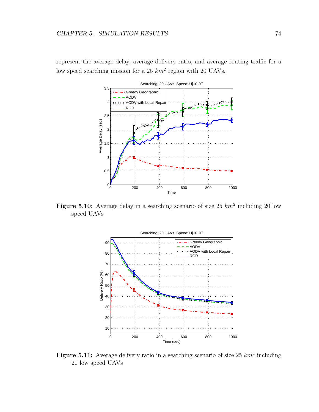<span id="page-89-0"></span>represent the average delay, average delivery ratio, and average routing traffic for a low speed searching mission for a 25  $km^2$  region with 20 UAVs.



<span id="page-89-1"></span>Figure 5.10: Average delay in a searching scenario of size 25  $km^2$  including 20 low speed UAVs



Figure 5.11: Average delivery ratio in a searching scenario of size 25  $km^2$  including 20 low speed UAVs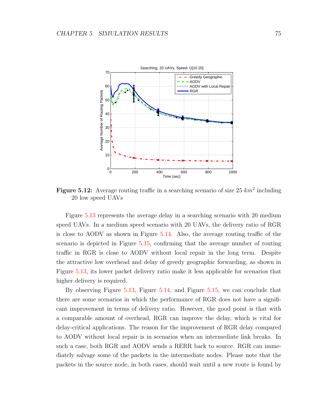<span id="page-90-0"></span>

Figure 5.12: Average routing traffic in a searching scenario of size 25  $km^2$  including 20 low speed UAVs

Figure [5.13](#page-91-0) represents the average delay in a searching scenario with 20 medium speed UAVs. In a medium speed scenario with 20 UAVs, the delivery ratio of RGR is close to AODV as shown in Figure [5.14.](#page-91-1) Also, the average routing traffic of the scenario is depicted in Figure [5.15,](#page-92-0) confirming that the average number of routing traffic in RGR is close to AODV without local repair in the long term. Despite the attractive low overhead and delay of greedy geographic forwarding, as shown in Figure [5.13,](#page-91-0) its lower packet delivery ratio make it less applicable for scenarios that higher delivery is required.

By observing Figure [5.13,](#page-91-0) Figure [5.14,](#page-91-1) and Figure [5.15,](#page-92-0) we can conclude that there are some scenarios in which the performance of RGR does not have a significant improvement in terms of delivery ratio. However, the good point is that with a comparable amount of overhead, RGR can improve the delay, which is vital for delay-critical applications. The reason for the improvement of RGR delay compared to AODV without local repair is in scenarios when an intermediate link breaks. In such a case, both RGR and AODV sends a RERR back to source. RGR can immediately salvage some of the packets in the intermediate nodes. Please note that the packets in the source node, in both cases, should wait until a new route is found by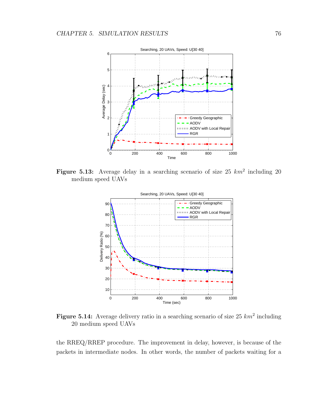<span id="page-91-0"></span>

<span id="page-91-1"></span>Figure 5.13: Average delay in a searching scenario of size 25  $km^2$  including 20 medium speed UAVs



Figure 5.14: Average delivery ratio in a searching scenario of size 25  $km^2$  including 20 medium speed UAVs

the RREQ/RREP procedure. The improvement in delay, however, is because of the packets in intermediate nodes. In other words, the number of packets waiting for a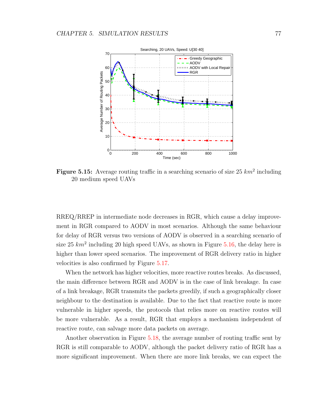<span id="page-92-0"></span>

Figure 5.15: Average routing traffic in a searching scenario of size 25  $km^2$  including 20 medium speed UAVs

RREQ/RREP in intermediate node decreases in RGR, which cause a delay improvement in RGR compared to AODV in most scenarios. Although the same behaviour for delay of RGR versus two versions of AODV is observed in a searching scenario of size 25  $km^2$  including 20 high speed UAVs, as shown in Figure [5.16,](#page-93-0) the delay here is higher than lower speed scenarios. The improvement of RGR delivery ratio in higher velocities is also confirmed by Figure [5.17.](#page-93-1)

When the network has higher velocities, more reactive routes breaks. As discussed, the main difference between RGR and AODV is in the case of link breakage. In case of a link breakage, RGR transmits the packets greedily, if such a geographically closer neighbour to the destination is available. Due to the fact that reactive route is more vulnerable in higher speeds, the protocols that relies more on reactive routes will be more vulnerable. As a result, RGR that employs a mechanism independent of reactive route, can salvage more data packets on average.

Another observation in Figure [5.18,](#page-94-0) the average number of routing traffic sent by RGR is still comparable to AODV, although the packet delivery ratio of RGR has a more significant improvement. When there are more link breaks, we can expect the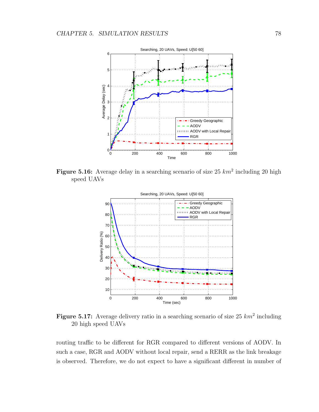<span id="page-93-0"></span>

<span id="page-93-1"></span>Figure 5.16: Average delay in a searching scenario of size 25  $km^2$  including 20 high speed UAVs



Figure 5.17: Average delivery ratio in a searching scenario of size 25  $km^2$  including 20 high speed UAVs

routing traffic to be different for RGR compared to different versions of AODV. In such a case, RGR and AODV without local repair, send a RERR as the link breakage is observed. Therefore, we do not expect to have a significant different in number of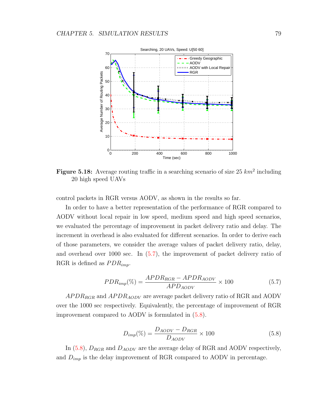<span id="page-94-0"></span>

Figure 5.18: Average routing traffic in a searching scenario of size 25  $km^2$  including 20 high speed UAVs

control packets in RGR versus AODV, as shown in the results so far.

In order to have a better representation of the performance of RGR compared to AODV without local repair in low speed, medium speed and high speed scenarios, we evaluated the percentage of improvement in packet delivery ratio and delay. The increment in overhead is also evaluated for different scenarios. In order to derive each of those parameters, we consider the average values of packet delivery ratio, delay, and overhead over 1000 sec. In [\(5.7\)](#page-94-1), the improvement of packet delivery ratio of RGR is defined as  $PDR_{imp}$ .

<span id="page-94-1"></span>
$$
PDR_{imp}(\%) = \frac{APDR_{RGR} - APDR_{AODV}}{APD_{AODV}} \times 100
$$
\n(5.7)

 $APDR_{RGB}$  and  $APDR_{AODV}$  are average packet delivery ratio of RGR and AODV over the 1000 sec respectively. Equivalently, the percentage of improvement of RGR improvement compared to AODV is formulated in [\(5.8\)](#page-94-2).

<span id="page-94-2"></span>
$$
D_{imp}(\%) = \frac{D_{AODV} - D_{RGR}}{D_{AODV}} \times 100
$$
\n(5.8)

In [\(5.8\)](#page-94-2),  $D_{RGR}$  and  $D_{AODV}$  are the average delay of RGR and AODV respectively, and  $D_{imp}$  is the delay improvement of RGR compared to AODV in percentage.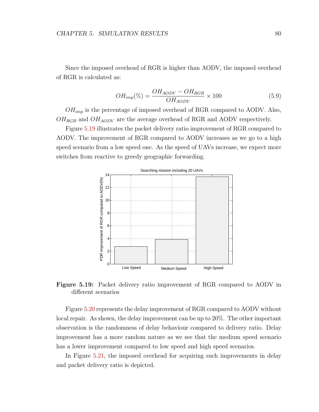Since the imposed overhead of RGR is higher than AODV, the imposed overhead of RGR is calculated as:

$$
OH_{imp}(\%) = \frac{OH_{AODV} - OH_{RGR}}{OH_{AODV}} \times 100
$$
\n(5.9)

 $OH_{imp}$  is the percentage of imposed overhead of RGR compared to AODV. Also,  $OH_{RGR}$  and  $OH_{AODV}$  are the average overhead of RGR and AODV respectively.

<span id="page-95-0"></span>Figure [5.19](#page-95-0) illustrates the packet delivery ratio improvement of RGR compared to AODV. The improvement of RGR compared to AODV increases as we go to a high speed scenario from a low speed one. As the speed of UAVs increase, we expect more switches from reactive to greedy geographic forwarding.



Figure 5.19: Packet delivery ratio improvement of RGR compared to AODV in different scenarios

Figure [5.20](#page-96-0) represents the delay improvement of RGR compared to AODV without local repair. As shown, the delay improvement can be up to 20%. The other important observation is the randomness of delay behaviour compared to delivery ratio. Delay improvement has a more random nature as we see that the medium speed scenario has a lower improvement compared to low speed and high speed scenarios.

In Figure [5.21,](#page-96-1) the imposed overhead for acquiring such improvements in delay and packet delivery ratio is depicted.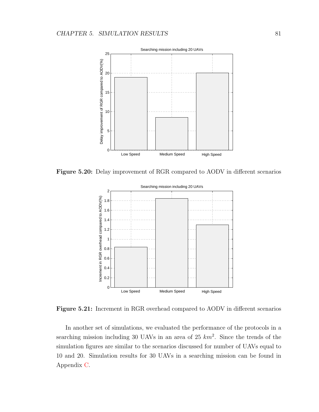<span id="page-96-0"></span>

<span id="page-96-1"></span>Figure 5.20: Delay improvement of RGR compared to AODV in different scenarios



Figure 5.21: Increment in RGR overhead compared to AODV in different scenarios

In another set of simulations, we evaluated the performance of the protocols in a searching mission including 30 UAVs in an area of 25  $km^2$ . Since the trends of the simulation figures are similar to the scenarios discussed for number of UAVs equal to 10 and 20. Simulation results for 30 UAVs in a searching mission can be found in Appendix [C.](#page-128-0)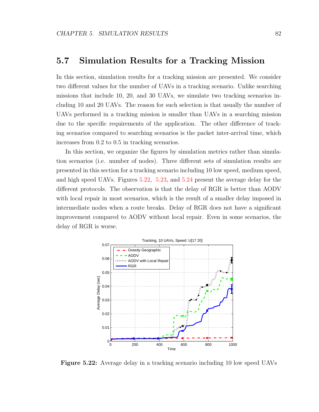## 5.7 Simulation Results for a Tracking Mission

In this section, simulation results for a tracking mission are presented. We consider two different values for the number of UAVs in a tracking scenario. Unlike searching missions that include 10, 20, and 30 UAVs, we simulate two tracking scenarios including 10 and 20 UAVs. The reason for such selection is that usually the number of UAVs performed in a tracking mission is smaller than UAVs in a searching mission due to the specific requirements of the application. The other difference of tracking scenarios compared to searching scenarios is the packet inter-arrival time, which increases from 0.2 to 0.5 in tracking scenarios.

In this section, we organize the figures by simulation metrics rather than simulation scenarios (i.e. number of nodes). Three different sets of simulation results are presented in this section for a tracking scenario including 10 low speed, medium speed, and high speed UAVs. Figures [5.22,](#page-97-0) [5.23,](#page-98-0) and [5.24](#page-98-1) present the average delay for the different protocols. The observation is that the delay of RGR is better than AODV with local repair in most scenarios, which is the result of a smaller delay imposed in intermediate nodes when a route breaks. Delay of RGR does not have a significant improvement compared to AODV without local repair. Even in some scenarios, the delay of RGR is worse.

<span id="page-97-0"></span>

Figure 5.22: Average delay in a tracking scenario including 10 low speed UAVs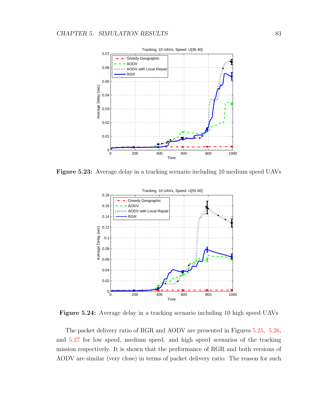<span id="page-98-0"></span>

<span id="page-98-1"></span>Figure 5.23: Average delay in a tracking scenario including 10 medium speed UAVs



Figure 5.24: Average delay in a tracking scenario including 10 high speed UAVs

The packet delivery ratio of RGR and AODV are presented in Figures [5.25,](#page-99-0) [5.26,](#page-100-0) and [5.27](#page-100-1) for low speed, medium speed, and high speed scenarios of the tracking mission respectively. It is shown that the performance of RGR and both versions of AODV are similar (very close) in terms of packet delivery ratio. The reason for such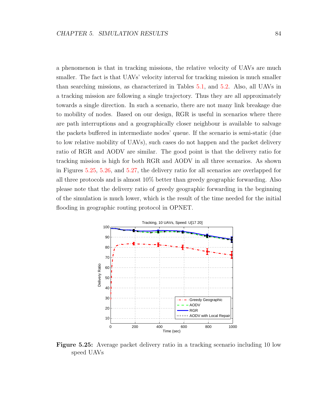a phenomenon is that in tracking missions, the relative velocity of UAVs are much smaller. The fact is that UAVs' velocity interval for tracking mission is much smaller than searching missions, as characterized in Tables [5.1,](#page-75-0) and [5.2.](#page-76-0) Also, all UAVs in a tracking mission are following a single trajectory. Thus they are all approximately towards a single direction. In such a scenario, there are not many link breakage due to mobility of nodes. Based on our design, RGR is useful in scenarios where there are path interruptions and a geographically closer neighbour is available to salvage the packets buffered in intermediate nodes' queue. If the scenario is semi-static (due to low relative mobility of UAVs), such cases do not happen and the packet delivery ratio of RGR and AODV are similar. The good point is that the delivery ratio for tracking mission is high for both RGR and AODV in all three scenarios. As shown in Figures [5.25,](#page-99-0) [5.26,](#page-100-0) and [5.27,](#page-100-1) the delivery ratio for all scenarios are overlapped for all three protocols and is almost 10% better than greedy geographic forwarding. Also please note that the delivery ratio of greedy geographic forwarding in the beginning of the simulation is much lower, which is the result of the time needed for the initial flooding in geographic routing protocol in OPNET.

<span id="page-99-0"></span>

Figure 5.25: Average packet delivery ratio in a tracking scenario including 10 low speed UAVs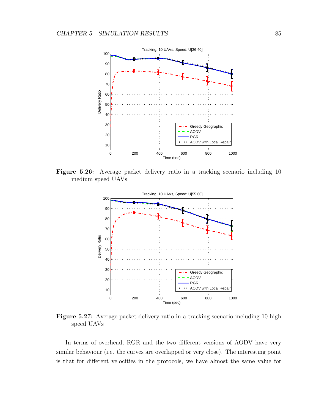<span id="page-100-0"></span>

<span id="page-100-1"></span>Figure 5.26: Average packet delivery ratio in a tracking scenario including 10 medium speed UAVs



Figure 5.27: Average packet delivery ratio in a tracking scenario including 10 high speed UAVs

In terms of overhead, RGR and the two different versions of AODV have very similar behaviour (i.e. the curves are overlapped or very close). The interesting point is that for different velocities in the protocols, we have almost the same value for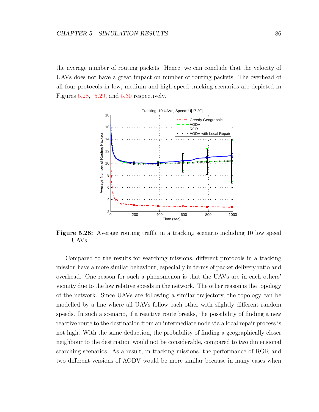the average number of routing packets. Hence, we can conclude that the velocity of UAVs does not have a great impact on number of routing packets. The overhead of all four protocols in low, medium and high speed tracking scenarios are depicted in Figures [5.28,](#page-101-0) [5.29,](#page-102-0) and [5.30](#page-102-1) respectively.

<span id="page-101-0"></span>

Figure 5.28: Average routing traffic in a tracking scenario including 10 low speed UAVs

Compared to the results for searching missions, different protocols in a tracking mission have a more similar behaviour, especially in terms of packet delivery ratio and overhead. One reason for such a phenomenon is that the UAVs are in each others' vicinity due to the low relative speeds in the network. The other reason is the topology of the network. Since UAVs are following a similar trajectory, the topology can be modelled by a line where all UAVs follow each other with slightly different random speeds. In such a scenario, if a reactive route breaks, the possibility of finding a new reactive route to the destination from an intermediate node via a local repair process is not high. With the same deduction, the probability of finding a geographically closer neighbour to the destination would not be considerable, compared to two dimensional searching scenarios. As a result, in tracking missions, the performance of RGR and two different versions of AODV would be more similar because in many cases when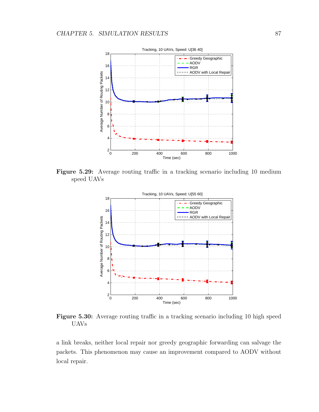<span id="page-102-0"></span>

<span id="page-102-1"></span>Figure 5.29: Average routing traffic in a tracking scenario including 10 medium speed UAVs



Figure 5.30: Average routing traffic in a tracking scenario including 10 high speed UAVs

a link breaks, neither local repair nor greedy geographic forwarding can salvage the packets. This phenomenon may cause an improvement compared to AODV without local repair.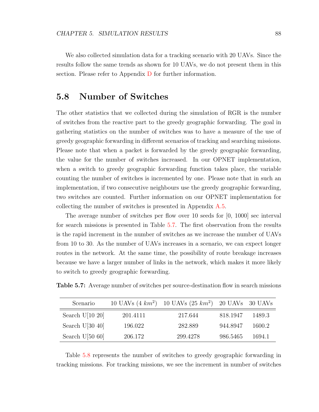We also collected simulation data for a tracking scenario with 20 UAVs. Since the results follow the same trends as shown for 10 UAVs, we do not present them in this section. Please refer to Appendix [D](#page-133-0) for further information.

## 5.8 Number of Switches

The other statistics that we collected during the simulation of RGR is the number of switches from the reactive part to the greedy geographic forwarding. The goal in gathering statistics on the number of switches was to have a measure of the use of greedy geographic forwarding in different scenarios of tracking and searching missions. Please note that when a packet is forwarded by the greedy geographic forwarding, the value for the number of switches increased. In our OPNET implementation, when a switch to greedy geographic forwarding function takes place, the variable counting the number of switches is incremented by one. Please note that in such an implementation, if two consecutive neighbours use the greedy geographic forwarding, two switches are counted. Further information on our OPNET implementation for collecting the number of switches is presented in Appendix [A.5.](#page-120-0)

The average number of switches per flow over 10 seeds for [0, 1000] sec interval for search missions is presented in Table [5.7.](#page-103-0) The first observation from the results is the rapid increment in the number of switches as we increase the number of UAVs from 10 to 30. As the number of UAVs increases in a scenario, we can expect longer routes in the network. At the same time, the possibility of route breakage increases because we have a larger number of links in the network, which makes it more likely to switch to greedy geographic forwarding.

| Scenario           |          | 10 UAVs $(4 \ km^2)$ 10 UAVs $(25 \ km^2)$ 20 UAVs 30 UAVs |          |        |
|--------------------|----------|------------------------------------------------------------|----------|--------|
| Search U[10 $20$ ] | 201.4111 | 217.644                                                    | 818.1947 | 1489.3 |
| Search U[30 $40$ ] | 196.022  | 282.889                                                    | 944.8947 | 1600.2 |
| Search $U[50 60]$  | 206.172  | 299.4278                                                   | 986.5465 | 1694.1 |

<span id="page-103-0"></span>Table 5.7: Average number of switches per source-destination flow in search missions

Table [5.8](#page-104-0) represents the number of switches to greedy geographic forwarding in tracking missions. For tracking missions, we see the increment in number of switches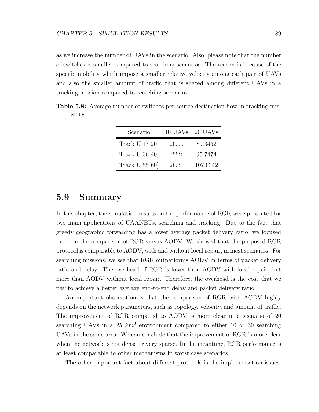as we increase the number of UAVs in the scenario. Also, please note that the number of switches is smaller compared to searching scenarios. The reason is because of the specific mobility which impose a smaller relative velocity among each pair of UAVs and also the smaller amount of traffic that is shared among different UAVs in a tracking mission compared to searching scenarios.

<span id="page-104-0"></span>Table 5.8: Average number of switches per source-destination flow in tracking missions

| Scenario         | 10 UAVs | 20 UAVs  |
|------------------|---------|----------|
| Track $U[17 20]$ | 20.99   | 89.3452  |
| Track $U[36 40]$ | 22.2    | 95.7474  |
| Track $U[55 60]$ | 28.31   | 107.0342 |

### 5.9 Summary

In this chapter, the simulation results on the performance of RGR were presented for two main applications of UAANETs, searching and tracking. Due to the fact that greedy geographic forwarding has a lower average packet delivery ratio, we focused more on the comparison of RGR versus AODV. We showed that the proposed RGR protocol is comparable to AODV, with and without local repair, in most scenarios. For searching missions, we see that RGR outperforms AODV in terms of packet delivery ratio and delay. The overhead of RGR is lower than AODV with local repair, but more than AODV without local repair. Therefore, the overhead is the cost that we pay to achieve a better average end-to-end delay and packet delivery ratio.

An important observation is that the comparison of RGR with AODV highly depends on the network parameters, such as topology, velocity, and amount of traffic. The improvement of RGR compared to AODV is more clear in a scenario of 20 searching UAVs in a 25  $km^2$  environment compared to either 10 or 30 searching UAVs in the same area. We can conclude that the improvement of RGR is more clear when the network is not dense or very sparse. In the meantime, RGR performance is at least comparable to other mechanisms in worst case scenarios.

The other important fact about different protocols is the implementation issues.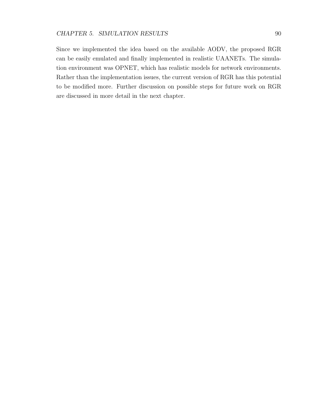Since we implemented the idea based on the available AODV, the proposed RGR can be easily emulated and finally implemented in realistic UAANETs. The simulation environment was OPNET, which has realistic models for network environments. Rather than the implementation issues, the current version of RGR has this potential to be modified more. Further discussion on possible steps for future work on RGR are discussed in more detail in the next chapter.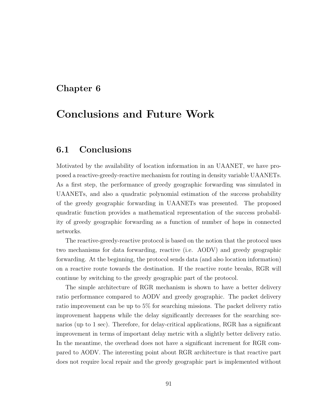# Chapter 6

# Conclusions and Future Work

# 6.1 Conclusions

Motivated by the availability of location information in an UAANET, we have proposed a reactive-greedy-reactive mechanism for routing in density variable UAANETs. As a first step, the performance of greedy geographic forwarding was simulated in UAANETs, and also a quadratic polynomial estimation of the success probability of the greedy geographic forwarding in UAANETs was presented. The proposed quadratic function provides a mathematical representation of the success probability of greedy geographic forwarding as a function of number of hops in connected networks.

The reactive-greedy-reactive protocol is based on the notion that the protocol uses two mechanisms for data forwarding, reactive (i.e. AODV) and greedy geographic forwarding. At the beginning, the protocol sends data (and also location information) on a reactive route towards the destination. If the reactive route breaks, RGR will continue by switching to the greedy geographic part of the protocol.

The simple architecture of RGR mechanism is shown to have a better delivery ratio performance compared to AODV and greedy geographic. The packet delivery ratio improvement can be up to 5% for searching missions. The packet delivery ratio improvement happens while the delay significantly decreases for the searching scenarios (up to 1 sec). Therefore, for delay-critical applications, RGR has a significant improvement in terms of important delay metric with a slightly better delivery ratio. In the meantime, the overhead does not have a significant increment for RGR compared to AODV. The interesting point about RGR architecture is that reactive part does not require local repair and the greedy geographic part is implemented without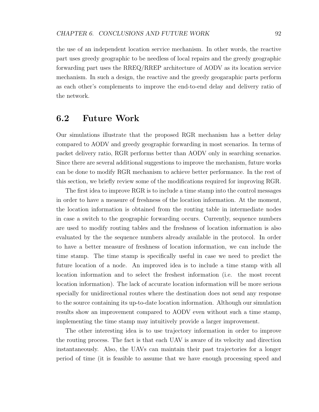the use of an independent location service mechanism. In other words, the reactive part uses greedy geographic to be needless of local repairs and the greedy geographic forwarding part uses the RREQ/RREP architecture of AODV as its location service mechanism. In such a design, the reactive and the greedy geogaraphic parts perform as each other's complements to improve the end-to-end delay and delivery ratio of the network.

## 6.2 Future Work

Our simulations illustrate that the proposed RGR mechanism has a better delay compared to AODV and greedy geographic forwarding in most scenarios. In terms of packet delivery ratio, RGR performs better than AODV only in searching scenarios. Since there are several additional suggestions to improve the mechanism, future works can be done to modify RGR mechanism to achieve better performance. In the rest of this section, we briefly review some of the modifications required for improving RGR.

The first idea to improve RGR is to include a time stamp into the control messages in order to have a measure of freshness of the location information. At the moment, the location information is obtained from the routing table in intermediate nodes in case a switch to the geographic forwarding occurs. Currently, sequence numbers are used to modify routing tables and the freshness of location information is also evaluated by the the sequence numbers already available in the protocol. In order to have a better measure of freshness of location information, we can include the time stamp. The time stamp is specifically useful in case we need to predict the future location of a node. An improved idea is to include a time stamp with all location information and to select the freshest information (i.e. the most recent location information). The lack of accurate location information will be more serious specially for unidirectional routes where the destination does not send any response to the source containing its up-to-date location information. Although our simulation results show an improvement compared to AODV even without such a time stamp, implementing the time stamp may intuitively provide a larger improvement.

The other interesting idea is to use trajectory information in order to improve the routing process. The fact is that each UAV is aware of its velocity and direction instantaneously. Also, the UAVs can maintain their past trajectories for a longer period of time (it is feasible to assume that we have enough processing speed and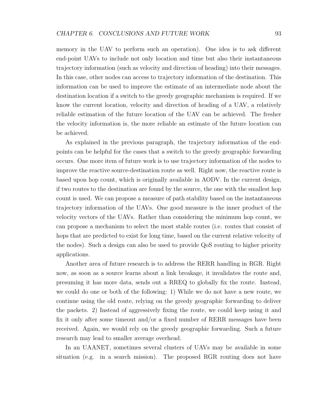memory in the UAV to perform such an operation). One idea is to ask different end-point UAVs to include not only location and time but also their instantaneous trajectory information (such as velocity and direction of heading) into their messages. In this case, other nodes can access to trajectory information of the destination. This information can be used to improve the estimate of an intermediate node about the destination location if a switch to the greedy geographic mechanism is required. If we know the current location, velocity and direction of heading of a UAV, a relatively reliable estimation of the future location of the UAV can be achieved. The fresher the velocity information is, the more reliable an estimate of the future location can be achieved.

As explained in the previous paragraph, the trajectory information of the endpoints can be helpful for the cases that a switch to the greedy geographic forwarding occurs. One more item of future work is to use trajectory information of the nodes to improve the reactive source-destination route as well. Right now, the reactive route is based upon hop count, which is originally available in AODV. In the current design, if two routes to the destination are found by the source, the one with the smallest hop count is used. We can propose a measure of path stability based on the instantaneous trajectory information of the UAVs. One good measure is the inner product of the velocity vectors of the UAVs. Rather than considering the minimum hop count, we can propose a mechanism to select the most stable routes (i.e. routes that consist of hops that are predicted to exist for long time, based on the current relative velocity of the nodes). Such a design can also be used to provide QoS routing to higher priority applications.

Another area of future research is to address the RERR handling in RGR. Right now, as soon as a source learns about a link breakage, it invalidates the route and, presuming it has more data, sends out a RREQ to globally fix the route. Instead, we could do one or both of the following: 1) While we do not have a new route, we continue using the old route, relying on the greedy geographic forwarding to deliver the packets. 2) Instead of aggressively fixing the route, we could keep using it and fix it only after some timeout and/or a fixed number of RERR messages have been received. Again, we would rely on the greedy geographic forwarding. Such a future research may lead to smaller average overhead.

In an UAANET, sometimes several clusters of UAVs may be available in some situation (e.g. in a search mission). The proposed RGR routing does not have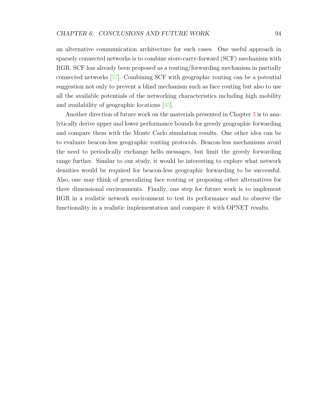an alternative communication architecture for such cases. One useful approach in sparsely connected networks is to combine store-carry-forward (SCF) mechanism with RGR. SCF has already been proposed as a routing/forwarding mechanism in partially connected networks [\[57\]](#page-114-0). Combining SCF with geographic routing can be a potential suggestion not only to prevent a blind mechanism such as face routing but also to use all the available potentials of the networking characteristics including high mobility and availability of geographic locations [\[45\]](#page-113-0).

Another direction of future work on the materials presented in Chapter [3](#page-35-0) is to analytically derive upper and lower performance bounds for greedy geographic forwarding and compare them with the Monte Carlo simulation results. One other idea can be to evaluate beacon-less geographic routing protocols. Beacon-less mechanisms avoid the need to periodically exchange hello messages, but limit the greedy forwarding range further. Similar to our study, it would be interesting to explore what network densities would be required for beacon-less geographic forwarding to be successful. Also, one may think of generalizing face routing or proposing other alternatives for three dimensional environments. Finally, one step for future work is to implement RGR in a realistic network environment to test its performance and to observe the functionality in a realistic implementation and compare it with OPNET results.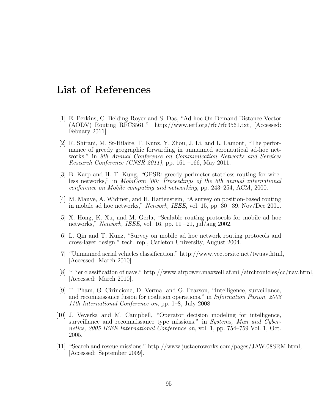### List of References

- [1] E. Perkins, C. Belding-Royer and S. Das, "Ad hoc On-Demand Distance Vector (AODV) Routing RFC3561." http://www.ietf.org/rfc/rfc3561.txt, [Accessed: Febuary 2011].
- [2] R. Shirani, M. St-Hilaire, T. Kunz, Y. Zhou, J. Li, and L. Lamont, "The performance of greedy geographic forwarding in unmanned aeronautical ad-hoc networks," in 9th Annual Conference on Communication Networks and Services *Research Conference (CNSR 2011)*, pp. 161 –166, May 2011.
- [3] B. Karp and H. T. Kung, "GPSR: greedy perimeter stateless routing for wireless networks," in MobiCom '00: Proceedings of the 6th annual international conference on Mobile computing and networking, pp. 243–254, ACM, 2000.
- [4] M. Mauve, A. Widmer, and H. Hartenstein, "A survey on position-based routing in mobile ad hoc networks," Network, IEEE, vol. 15, pp. 30 –39, Nov/Dec 2001.
- [5] X. Hong, K. Xu, and M. Gerla, "Scalable routing protocols for mobile ad hoc networks," Network, IEEE, vol. 16, pp. 11 – 21, jul/aug 2002.
- [6] L. Qin and T. Kunz, "Survey on mobile ad hoc network routing protocols and cross-layer design," tech. rep., Carleton University, August 2004.
- [7] "Unmanned aerial vehicles classification." http://www.vectorsite.net/twuav.html, [Accessed: March 2010].
- [8] "Tier classification of uavs." http://www.airpower.maxwell.af.mil/airchronicles/cc/uav.html, [Accessed: March 2010].
- [9] T. Pham, G. Cirincione, D. Verma, and G. Pearson, "Intelligence, surveillance, and reconnaissance fusion for coalition operations," in Information Fusion, 2008 11th International Conference on, pp. 1–8, July 2008.
- [10] J. Veverka and M. Campbell, "Operator decision modeling for intelligence, surveillance and reconnaissance type missions," in Systems, Man and Cybernetics, 2005 IEEE International Conference on, vol. 1, pp. 754–759 Vol. 1, Oct. 2005.
- [11] "Search and rescue missions." http://www.justaeroworks.com/pages/JAW.08SRM.html, [Accessed: September 2009].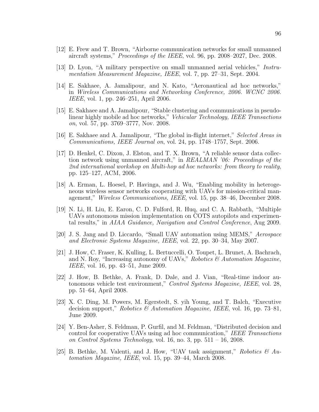- [12] E. Frew and T. Brown, "Airborne communication networks for small unmanned aircraft systems," Proceedings of the IEEE, vol. 96, pp. 2008–2027, Dec. 2008.
- [13] D. Lyon, "A military perspective on small unmanned aerial vehicles," Instrumentation Measurement Magazine, IEEE, vol. 7, pp. 27–31, Sept. 2004.
- [14] E. Sakhaee, A. Jamalipour, and N. Kato, "Aeronautical ad hoc networks," in Wireless Communications and Networking Conference, 2006. WCNC 2006. IEEE, vol. 1, pp. 246–251, April 2006.
- [15] E. Sakhaee and A. Jamalipour, "Stable clustering and communications in pseudolinear highly mobile ad hoc networks," Vehicular Technology, IEEE Transactions on, vol. 57, pp. 3769–3777, Nov. 2008.
- [16] E. Sakhaee and A. Jamalipour, "The global in-flight internet," Selected Areas in Communications, IEEE Journal on, vol. 24, pp. 1748–1757, Sept. 2006.
- [17] D. Henkel, C. Dixon, J. Elston, and T. X. Brown, "A reliable sensor data collection network using unmanned aircraft," in REALMAN '06: Proceedings of the 2nd international workshop on Multi-hop ad hoc networks: from theory to reality, pp. 125–127, ACM, 2006.
- [18] A. Erman, L. Hoesel, P. Havinga, and J. Wu, "Enabling mobility in heterogeneous wireless sensor networks cooperating with UAVs for mission-critical management," Wireless Communications, IEEE, vol. 15, pp. 38–46, December 2008.
- [19] N. Li, H. Liu, E. Earon, C. D. Fulford, R. Huq, and C. A. Rabbath, "Multiple UAVs autonomous mission implementation on COTS autopilots and experimental results," in AIAA Guidance, Navigation and Control Conference, Aug 2009.
- [20] J. S. Jang and D. Liccardo, "Small UAV automation using MEMS," Aerospace and Electronic Systems Magazine, IEEE, vol. 22, pp. 30–34, May 2007.
- [21] J. How, C. Fraser, K. Kulling, L. Bertuccelli, O. Toupet, L. Brunet, A. Bachrach, and N. Roy, "Increasing autonomy of UAVs," Robotics  $\mathcal{B}$  Automation Magazine, IEEE, vol. 16, pp. 43–51, June 2009.
- [22] J. How, B. Bethke, A. Frank, D. Dale, and J. Vian, "Real-time indoor autonomous vehicle test environment," Control Systems Magazine, IEEE, vol. 28, pp. 51–64, April 2008.
- [23] X. C. Ding, M. Powers, M. Egerstedt, S. yih Young, and T. Balch, "Executive decision support," Robotics & Automation Magazine, IEEE, vol. 16, pp. 73–81, June 2009.
- [24] Y. Ben-Asher, S. Feldman, P. Gurfil, and M. Feldman, "Distributed decision and control for cooperative UAVs using ad hoc communication," IEEE Transactions on Control Systems Technology, vol. 16, no. 3, pp.  $511 - 16$ , 2008.
- [25] B. Bethke, M. Valenti, and J. How, "UAV task assignment," Robotics  $\mathcal{O}(A)$ tomation Magazine, IEEE, vol. 15, pp. 39–44, March 2008.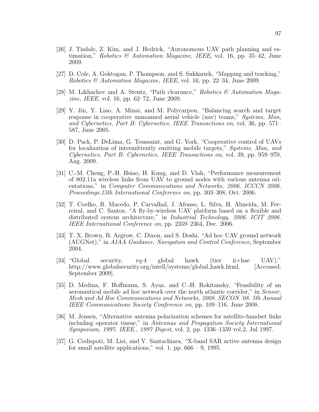- [26] J. Tisdale, Z. Kim, and J. Hedrick, "Autonomous UAV path planning and estimation," Robotics & Automation Magazine, IEEE, vol. 16, pp. 35–42, June 2009.
- [27] D. Cole, A. Goktogan, P. Thompson, and S. Sukkarieh, "Mapping and tracking," Robotics & Automation Magazine, IEEE, vol. 16, pp. 22–34, June 2009.
- [28] M. Likhachev and A. Stentz, "Path clearance," Robotics & Automation Magazine, IEEE, vol. 16, pp. 62–72, June 2009.
- [29] Y. Jin, Y. Liao, A. Minai, and M. Polycarpou, "Balancing search and target response in cooperative unmanned aerial vehicle (uav) teams," Systems, Man, and Cybernetics, Part B: Cybernetics, IEEE Transactions on, vol. 36, pp. 571– 587, June 2005.
- [30] D. Pack, P. DeLima, G. Toussaint, and G. York, "Cooperative control of UAVs for localization of intermittently emitting mobile targets," Systems, Man, and Cybernetics, Part B: Cybernetics, IEEE Transactions on, vol. 39, pp. 959–970, Aug. 2009.
- [31] C.-M. Cheng, P.-H. Hsiao, H. Kung, and D. Vlah, "Performance measurement of 802.11a wireless links from UAV to ground nodes with various antenna orientations," in Computer Communications and Networks, 2006. ICCCN 2006. Proceedings.15th International Conference on, pp. 303–308, Oct. 2006.
- [32] T. Coelho, R. Macedo, P. Carvalhal, J. Afonso, L. Silva, H. Almeida, M. Ferreiral, and C. Santos, "A fly-by-wireless UAV platform based on a flexible and distributed system architecture," in Industrial Technology, 2006. ICIT 2006. IEEE International Conference on, pp. 2359–2364, Dec. 2006.
- [33] T. X. Brown, B. Argrow, C. Dixon, and S. Doshi, "Ad hoc UAV ground network (AUGNet)," in AIAA Guidance, Navigation and Control Conference, September 2004.
- [34] "Global security, rq-4 global hawk (tier ii+hae UAV)." http://www.globalsecurity.org/intell/systems/global\_hawk.html, [Accessed: September 2009].
- [35] D. Medina, F. Hoffmann, S. Ayaz, and C.-H. Rokitansky, "Feasibility of an aeronautical mobile ad hoc network over the north atlantic corridor," in Sensor, Mesh and Ad Hoc Communications and Networks, 2008. SECON '08. 5th Annual IEEE Communications Society Conference on, pp. 109–116, June 2008.
- [36] M. Jensen, "Alternative antenna polarization schemes for satellite-handset links including operator tissue," in Antennas and Propagation Society International Symposium, 1997. IEEE., 1997 Digest, vol. 2, pp. 1336–1339 vol.2, Jul 1997.
- [37] G. Codispoti, M. Lisi, and V. Santachiara, "X-band SAR active antenna design for small satellite applications," vol. 1, pp.  $666 - 9$ , 1995.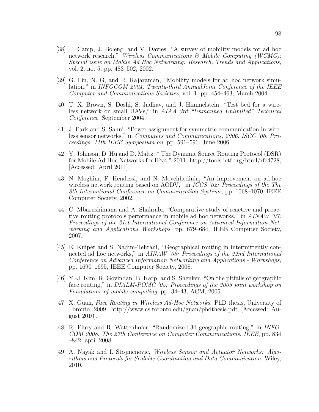- [38] T. Camp, J. Boleng, and V. Davies, "A survey of mobility models for ad hoc network research," Wireless Communications  $\mathcal{B}$  Mobile Computing (WCMC): Special issue on Mobile Ad Hoc Networking: Research, Trends and Applications, vol. 2, no. 5, pp. 483–502, 2002.
- [39] G. Lin, N. G, and R. Rajaraman, "Mobility models for ad hoc network simulation," in INFOCOM 2004. Twenty-third AnnualJoint Conference of the IEEE Computer and Communications Societies, vol. 1, pp. 454–463, March 2004.
- [40] T. X. Brown, S. Doshi, S. Jadhav, and J. Himmelstein, "Test bed for a wireless network on small UAVs," in AIAA 3rd "Unmanned Unlimited" Technical Conference, September 2004.
- [41] J. Park and S. Sahni, "Power assignment for symmetric communication in wireless sensor networks," in Computers and Communications, 2006. ISCC '06. Proceedings. 11th IEEE Symposium on, pp. 591–596, June 2006.
- [42] Y. Johnson, D. Hu and D. Maltz, " The Dynamic Source Routing Protocol (DSR) for Mobile Ad Hoc Networks for IPv4," 2011. http://tools.ietf.org/html/rfc4728, [Accessed: April 2011].
- [43] N. Moghim, F. Hendessi, and N. Movehhedinia, "An improvement on ad-hoc wireless network routing based on AODV," in *ICCS '02: Proceedings of the The* 8th International Conference on Communication Systems, pp. 1068–1070, IEEE Computer Society, 2002.
- [44] C. Mbarushimana and A. Shahrabi, "Comparative study of reactive and proactive routing protocols performance in mobile ad hoc networks," in AINAW '07: Proceedings of the 21st International Conference on Advanced Information Networking and Applications Workshops, pp. 679–684, IEEE Computer Society, 2007.
- <span id="page-113-0"></span>[45] E. Kuiper and S. Nadjm-Tehrani, "Geographical routing in intermittently connected ad hoc networks," in AINAW '08: Proceedings of the 22nd International Conference on Advanced Information Networking and Applications - Workshops, pp. 1690–1695, IEEE Computer Society, 2008.
- [46] Y.-J. Kim, R. Govindan, B. Karp, and S. Shenker, "On the pitfalls of geographic face routing," in DIALM-POMC '05: Proceedings of the 2005 joint workshop on Foundations of mobile computing, pp. 34–43, ACM, 2005.
- [47] X. Guan, Face Routing in Wireless Ad-Hoc Networks. PhD thesis, University of Toronto, 2009. http://www.cs.toronto.edu/guan/phdthesis.pdf, [Accessed: August 2010].
- [48] R. Flury and R. Wattenhofer, "Randomized 3d geographic routing," in INFO-COM 2008. The 27th Conference on Computer Communications. IEEE, pp. 834 –842, april 2008.
- [49] A. Nayak and I. Stojmenovic, Wireless Sensor and Actuator Networks: Algorithms and Protocols for Scalable Coordination and Data Communication. Wiley, 2010.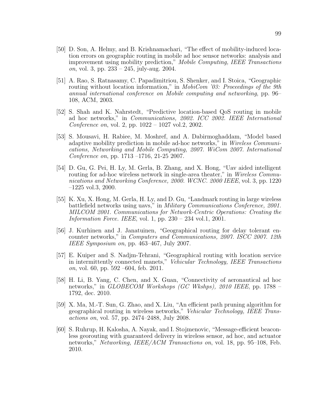- [50] D. Son, A. Helmy, and B. Krishnamachari, "The effect of mobility-induced location errors on geographic routing in mobile ad hoc sensor networks: analysis and improvement using mobility prediction," Mobile Computing, IEEE Transactions *on*, vol. 3, pp.  $233 - 245$ , july-aug. 2004.
- [51] A. Rao, S. Ratnasamy, C. Papadimitriou, S. Shenker, and I. Stoica, "Geographic routing without location information," in *MobiCom '03: Proceedings of the 9th* annual international conference on Mobile computing and networking, pp. 96– 108, ACM, 2003.
- [52] S. Shah and K. Nahrstedt, "Predictive location-based QoS routing in mobile ad hoc networks," in Communications, 2002. ICC 2002. IEEE International Conference on, vol. 2, pp. 1022 – 1027 vol.2, 2002.
- [53] S. Mousavi, H. Rabiee, M. Moshref, and A. Dabirmoghaddam, "Model based adaptive mobility prediction in mobile ad-hoc networks," in *Wireless Communi*cations, Networking and Mobile Computing, 2007. WiCom 2007. International Conference on, pp. 1713 –1716, 21-25 2007.
- [54] D. Gu, G. Pei, H. Ly, M. Gerla, B. Zhang, and X. Hong, "Uav aided intelligent routing for ad-hoc wireless network in single-area theater," in Wireless Communications and Networking Conference, 2000. WCNC. 2000 IEEE, vol. 3, pp. 1220  $-1225$  vol.3, 2000.
- [55] K. Xu, X. Hong, M. Gerla, H. Ly, and D. Gu, "Landmark routing in large wireless battlefield networks using uavs," in Military Communications Conference, 2001. MILCOM 2001. Communications for Network-Centric Operations: Creating the Information Force. IEEE, vol. 1, pp.  $230 - 234$  vol.1, 2001.
- [56] J. Kurhinen and J. Janatuinen, "Geographical routing for delay tolerant encounter networks," in Computers and Communications, 2007. ISCC 2007. 12th IEEE Symposium on, pp. 463–467, July 2007.
- <span id="page-114-0"></span>[57] E. Kuiper and S. Nadjm-Tehrani, "Geographical routing with location service in intermittently connected manets," Vehicular Technology, IEEE Transactions *on*, vol. 60, pp.  $592 -604$ , feb.  $2011$ .
- [58] H. Li, B. Yang, C. Chen, and X. Guan, "Connectivity of aeronautical ad hoc networks," in *GLOBECOM Workshops (GC Wkshps), 2010 IEEE*, pp. 1788 – 1792, dec. 2010.
- [59] X. Ma, M.-T. Sun, G. Zhao, and X. Liu, "An efficient path pruning algorithm for geographical routing in wireless networks," Vehicular Technology, IEEE Transactions on, vol. 57, pp. 2474–2488, July 2008.
- [60] S. Ruhrup, H. Kalosha, A. Nayak, and I. Stojmenovic, "Message-efficient beaconless georouting with guaranteed delivery in wireless sensor, ad hoc, and actuator networks," Networking, IEEE/ACM Transactions on, vol. 18, pp. 95–108, Feb. 2010.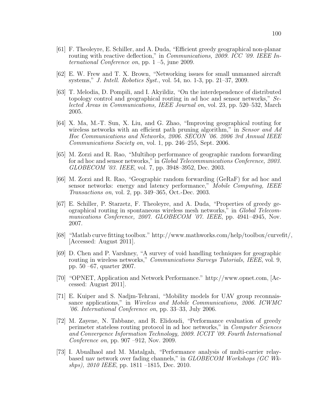- [61] F. Theoleyre, E. Schiller, and A. Duda, "Efficient greedy geographical non-planar routing with reactive deflection," in *Communications, 2009. ICC '09. IEEE In*ternational Conference on, pp. 1 –5, june 2009.
- [62] E. W. Frew and T. X. Brown, "Networking issues for small unmanned aircraft systems," J. Intell. Robotics Syst., vol. 54, no. 1-3, pp. 21–37, 2009.
- [63] T. Melodia, D. Pompili, and I. Akyildiz, "On the interdependence of distributed topology control and geographical routing in ad hoc and sensor networks," Selected Areas in Communications, IEEE Journal on, vol. 23, pp. 520–532, March 2005.
- [64] X. Ma, M.-T. Sun, X. Liu, and G. Zhao, "Improving geographical routing for wireless networks with an efficient path pruning algorithm," in Sensor and Ad Hoc Communications and Networks, 2006. SECON '06. 2006 3rd Annual IEEE Communications Society on, vol. 1, pp. 246–255, Sept. 2006.
- [65] M. Zorzi and R. Rao, "Multihop performance of geographic random forwarding for ad hoc and sensor networks," in Global Telecommunications Conference, 2003. GLOBECOM '03. IEEE, vol. 7, pp. 3948–3952, Dec. 2003.
- [66] M. Zorzi and R. Rao, "Geographic random forwarding (GeRaF) for ad hoc and sensor networks: energy and latency performance," Mobile Computing, IEEE Transactions on, vol. 2, pp. 349–365, Oct.-Dec. 2003.
- [67] E. Schiller, P. Starzetz, F. Theoleyre, and A. Duda, "Properties of greedy geographical routing in spontaneous wireless mesh networks," in Global Telecommunications Conference, 2007. GLOBECOM '07. IEEE, pp. 4941–4945, Nov. 2007.
- [68] "Matlab curve fitting toolbox." http://www.mathworks.com/help/toolbox/curvefit/, [Accessed: August 2011].
- [69] D. Chen and P. Varshney, "A survey of void handling techniques for geographic routing in wireless networks," Communications Surveys Tutorials, IEEE, vol. 9, pp. 50 –67, quarter 2007.
- <span id="page-115-0"></span>[70] "OPNET, Application and Network Performance." http://www.opnet.com, [Accessed: August 2011].
- [71] E. Kuiper and S. Nadjm-Tehrani, "Mobility models for UAV group reconnaissance applications," in Wireless and Mobile Communications, 2006. ICWMC '06. International Conference on, pp. 33–33, July 2006.
- [72] M. Zayene, N. Tabbane, and R. Elidoudi, "Performance evaluation of greedy perimeter stateless routing protocol in ad hoc networks," in Computer Sciences and Convergence Information Technology, 2009. ICCIT '09. Fourth International Conference on, pp. 907 –912, Nov. 2009.
- [73] I. Abualhaol and M. Matalgah, "Performance analysis of multi-carrier relaybased uav network over fading channels," in GLOBECOM Workshops (GC Wkshps), 2010 IEEE, pp. 1811 –1815, Dec. 2010.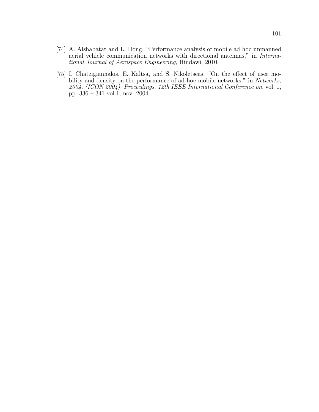- [74] A. Alshabatat and L. Dong, "Performance analysis of mobile ad hoc unmanned aerial vehicle communication networks with directional antennas," in International Journal of Aerospace Engineering, Hindawi, 2010.
- [75] I. Chatzigiannakis, E. Kaltsa, and S. Nikoletseas, "On the effect of user mobility and density on the performance of ad-hoc mobile networks," in Networks, 2004. (ICON 2004). Proceedings. 12th IEEE International Conference on, vol. 1, pp. 336 – 341 vol.1, nov. 2004.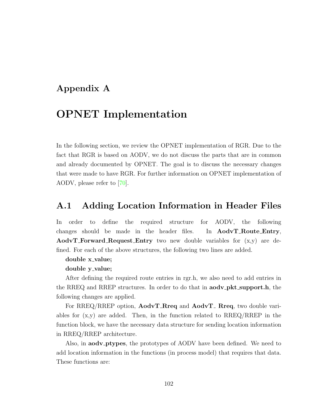#### Appendix A

# OPNET Implementation

In the following section, we review the OPNET implementation of RGR. Due to the fact that RGR is based on AODV, we do not discuss the parts that are in common and already documented by OPNET. The goal is to discuss the necessary changes that were made to have RGR. For further information on OPNET implementation of AODV, please refer to [\[70\]](#page-115-0).

#### <span id="page-117-0"></span>A.1 Adding Location Information in Header Files

In order to define the required structure for AODV, the following changes should be made in the header files. In **AodvT\_Route\_Entry**, **AodvT\_Forward\_Request\_Entry** two new double variables for  $(x,y)$  are defined. For each of the above structures, the following two lines are added.

#### double x\_value;

#### double y\_value;

After defining the required route entries in rgr.h, we also need to add entries in the RREQ and RREP structures. In order to do that in **aodv\_pkt\_support.h**, the following changes are applied.

For RREQ/RREP option,  $\text{AodvT}$ -Rreq and  $\text{AodvT}$ -Rreq, two double variables for  $(x,y)$  are added. Then, in the function related to RREQ/RREP in the function block, we have the necessary data structure for sending location information in RREQ/RREP architecture.

Also, in **aody**-**ptypes**, the prototypes of AODV have been defined. We need to add location information in the functions (in process model) that requires that data. These functions are: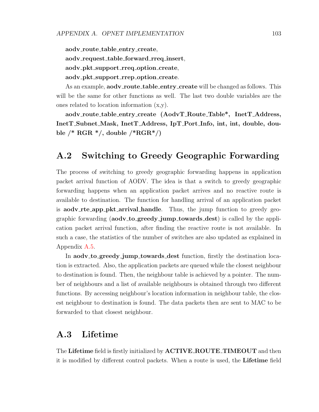aody\_route\_table\_entry\_create, aodv\_request\_table\_forward\_rreq\_insert, aodv\_pkt\_support\_rreq\_option\_create, aodv\_pkt\_support\_rrep\_option\_create.

As an example, **aody\_route\_table\_entry\_create** will be changed as follows. This will be the same for other functions as well. The last two double variables are the ones related to location information (x,y).

aodv route table entry create (AodvT Route Table\*, InetT Address, InetT Subnet Mask, InetT Address, IpT Port Info, int, int, double, double  $/*$  RGR  $*$ /, double  $/*$ RGR $*$ /)

### A.2 Switching to Greedy Geographic Forwarding

The process of switching to greedy geographic forwarding happens in application packet arrival function of AODV. The idea is that a switch to greedy geographic forwarding happens when an application packet arrives and no reactive route is available to destination. The function for handling arrival of an application packet is **aody\_rte\_app\_pkt\_arrival\_handle**. Thus, the jump function to greedy geographic forwarding (aodv to greedy jump towards dest) is called by the application packet arrival function, after finding the reactive route is not available. In such a case, the statistics of the number of switches are also updated as explained in Appendix [A.5.](#page-120-0)

In aodv<sub>-to-greedy-jump-towards-dest function, firstly the destination loca-</sub> tion is extracted. Also, the application packets are queued while the closest neighbour to destination is found. Then, the neighbour table is achieved by a pointer. The number of neighbours and a list of available neighbours is obtained through two different functions. By accessing neighbour's location information in neighbour table, the closest neighbour to destination is found. The data packets then are sent to MAC to be forwarded to that closest neighbour.

#### A.3 Lifetime

The Lifetime field is firstly initialized by **ACTIVE\_ROUTE\_TIMEOUT** and then it is modified by different control packets. When a route is used, the Lifetime field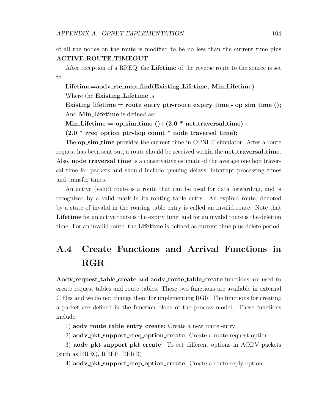of all the nodes on the route is modified to be no less than the current time plus ACTIVE ROUTE TIMEOUT.

After reception of a RREQ, the Lifetime of the reverse route to the source is set to

Lifetime=aodv rte max find(Existing Lifetime, Min Lifetime) Where the **Existing** Lifetime is:

Existing lifetime  $=$  route entry ptr-route expiry time - op sim time (); And Min Lifetime is defined as:

```
Min Lifetime = op sim time ()+(2.0 * net\_traversal_time) -
```
 $(2.0 * rreq<sub>-</sub>option<sub>-</sub>ptr-hop<sub>-</sub>count * node<sub>-</sub>traversal<sub>-</sub>time);$ 

The **op\_sim\_time** provides the current time in OPNET simulator. After a route request has been sent out, a route should be received within the **net\_traversal\_time**. Also, **node\_traversal\_time** is a conservative estimate of the average one hop traversal time for packets and should include queuing delays, interrupt processing times and transfer times.

An active (valid) route is a route that can be used for data forwarding, and is recognized by a valid mark in its routing table entry. An expired route, denoted by a state of invalid in the routing table entry is called an invalid route. Note that Lifetime for an active route is the expiry time, and for an invalid route is the deletion time. For an invalid route, the **Lifetime** is defined as current time plus delete period.

# A.4 Create Functions and Arrival Functions in RGR

Aodv\_request\_table\_create and aodv\_route\_table\_create functions are used to create request tables and route tables. These two functions are available in external C files and we do not change them for implementing RGR. The functions for creating a packet are defined in the function block of the process model. These functions include:

1) aodv\_route\_table\_entry\_create: Create a new route entry

2) aodv\_pkt\_support\_rreq\_option\_create: Create a route request option

3) aodv\_pkt\_support\_pkt\_create: To set different options in AODV packets (such as RREQ, RREP, RERR)

4) aodv\_pkt\_support\_rrep\_option\_create: Create a route reply option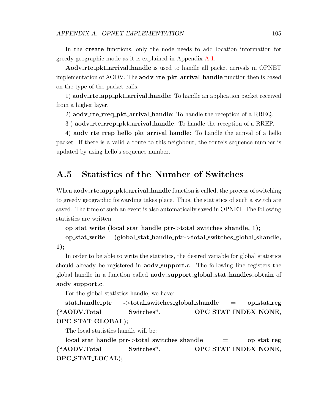In the create functions, only the node needs to add location information for greedy geographic mode as it is explained in Appendix [A.1.](#page-117-0)

Aodv rte pkt arrival handle is used to handle all packet arrivals in OPNET implementation of AODV. The **aodv\_rte\_pkt\_arrival\_handle** function then is based on the type of the packet calls:

1) **aodv\_rte\_app\_pkt\_arrival\_handle**: To handle an application packet received from a higher layer.

2) aodv\_rte\_rreq\_pkt\_arrival\_handle: To handle the reception of a RREQ.

3 ) aodv rte rrep pkt arrival handle: To handle the reception of a RREP.

4) **aodv\_rte\_rrep\_hello\_pkt\_arrival\_handle**: To handle the arrival of a hello packet. If there is a valid a route to this neighbour, the route's sequence number is updated by using hello's sequence number.

#### <span id="page-120-0"></span>A.5 Statistics of the Number of Switches

When  $\mathbf{a} \cdot \mathbf{a}$  app  $\mathbf{b}$   $\mathbf{b}$  arrival handle function is called, the process of switching to greedy geographic forwarding takes place. Thus, the statistics of such a switch are saved. The time of such an event is also automatically saved in OPNET. The following statistics are written:

op stat write (local stat handle ptr->total switches shandle, 1);

op stat write (global stat handle ptr->total switches global shandle,  $1$ :

In order to be able to write the statistics, the desired variable for global statistics should already be registered in **aody\_support.c**. The following line registers the global handle in a function called aodv support global stat handles obtain of aodv\_support.c.

For the global statistics handle, we have:

stat handle ptr ->total switches global shandle = op stat reg ("AODV.Total Switches", OPC STAT INDEX NONE, OPC STAT GLOBAL);

The local statistics handle will be:

local stat handle ptr->total switches shandle = op stat reg ("AODV.Total Switches", OPC STAT INDEX NONE, OPC STAT LOCAL);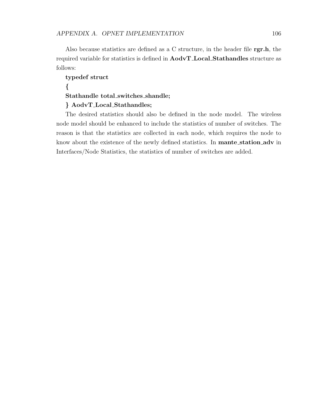Also because statistics are defined as a C structure, in the header file rgr.h, the required variable for statistics is defined in AodvT Local Stathandles structure as follows:

#### typedef struct { Stathandle total switches shandle; } AodvT Local Stathandles;

The desired statistics should also be defined in the node model. The wireless node model should be enhanced to include the statistics of number of switches. The reason is that the statistics are collected in each node, which requires the node to know about the existence of the newly defined statistics. In **mante\_station\_adv** in Interfaces/Node Statistics, the statistics of number of switches are added.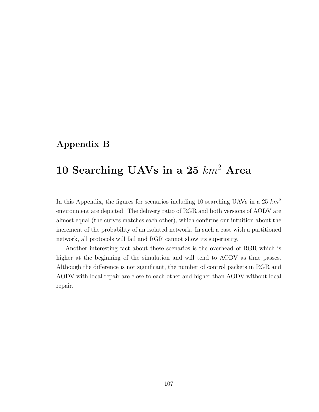### Appendix B

# 10 Searching UAVs in a 25  $km^2$  Area

In this Appendix, the figures for scenarios including 10 searching UAVs in a 25  $km^2$ environment are depicted. The delivery ratio of RGR and both versions of AODV are almost equal (the curves matches each other), which confirms our intuition about the increment of the probability of an isolated network. In such a case with a partitioned network, all protocols will fail and RGR cannot show its superiority.

Another interesting fact about these scenarios is the overhead of RGR which is higher at the beginning of the simulation and will tend to AODV as time passes. Although the difference is not significant, the number of control packets in RGR and AODV with local repair are close to each other and higher than AODV without local repair.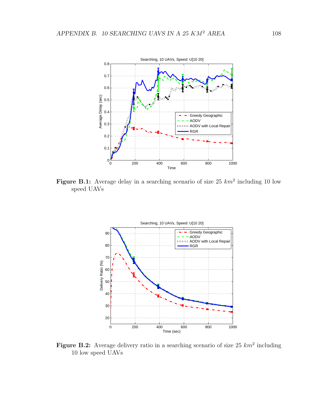

Figure B.1: Average delay in a searching scenario of size  $25 \; km^2$  including 10 low speed UAVs



Figure B.2: Average delivery ratio in a searching scenario of size 25  $km^2$  including 10 low speed UAVs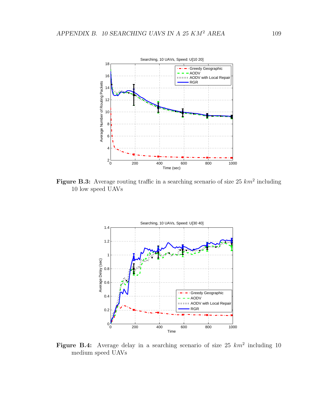

Figure B.3: Average routing traffic in a searching scenario of size 25  $km^2$  including 10 low speed UAVs



Figure B.4: Average delay in a searching scenario of size  $25 \; km^2$  including 10 medium speed UAVs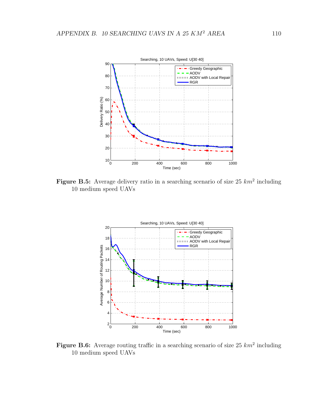

Figure B.5: Average delivery ratio in a searching scenario of size 25  $km^2$  including 10 medium speed UAVs



Figure B.6: Average routing traffic in a searching scenario of size 25  $km^2$  including 10 medium speed UAVs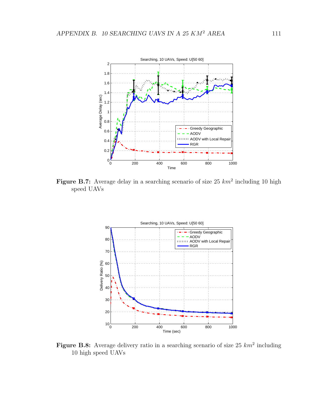

Figure B.7: Average delay in a searching scenario of size 25  $km^2$  including 10 high speed UAVs



Figure B.8: Average delivery ratio in a searching scenario of size 25  $km^2$  including 10 high speed UAVs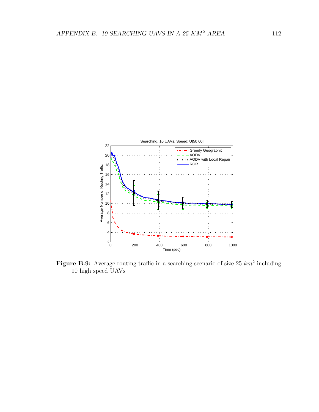

Figure B.9: Average routing traffic in a searching scenario of size 25  $km^2$  including 10 high speed UAVs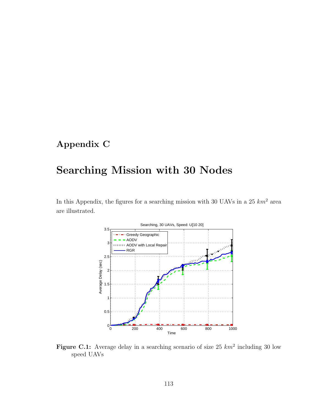## Appendix C

# Searching Mission with 30 Nodes

In this Appendix, the figures for a searching mission with 30 UAVs in a  $25 \; km^2$  area are illustrated.



Figure C.1: Average delay in a searching scenario of size 25  $km^2$  including 30 low speed UAVs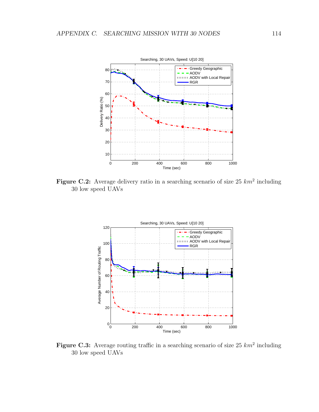

Figure C.2: Average delivery ratio in a searching scenario of size 25  $km^2$  including 30 low speed UAVs



Figure C.3: Average routing traffic in a searching scenario of size 25  $km^2$  including 30 low speed UAVs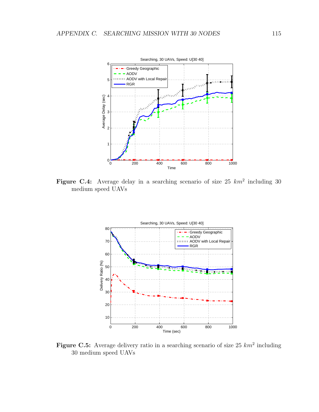

Figure C.4: Average delay in a searching scenario of size 25  $km^2$  including 30 medium speed UAVs



Figure C.5: Average delivery ratio in a searching scenario of size 25  $km^2$  including 30 medium speed UAVs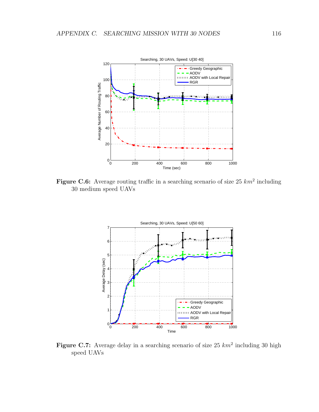

Figure C.6: Average routing traffic in a searching scenario of size 25  $km^2$  including 30 medium speed UAVs



Figure C.7: Average delay in a searching scenario of size 25  $km^2$  including 30 high speed UAVs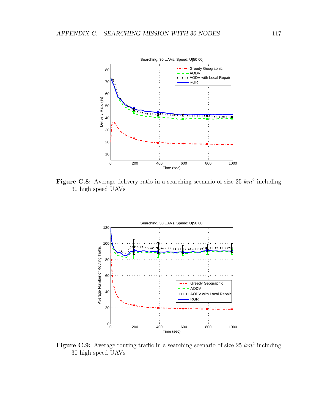

Figure C.8: Average delivery ratio in a searching scenario of size 25  $km^2$  including 30 high speed UAVs



Figure C.9: Average routing traffic in a searching scenario of size 25  $km^2$  including 30 high speed UAVs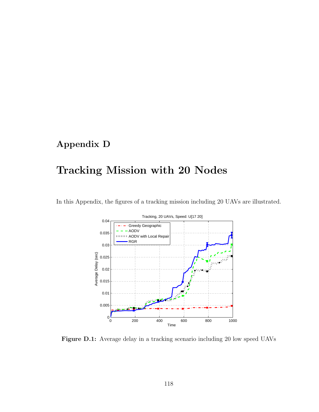## Appendix D

# Tracking Mission with 20 Nodes





Figure D.1: Average delay in a tracking scenario including 20 low speed UAVs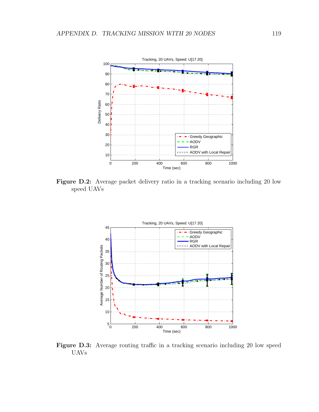

Figure D.2: Average packet delivery ratio in a tracking scenario including 20 low speed UAVs



Figure D.3: Average routing traffic in a tracking scenario including 20 low speed UAVs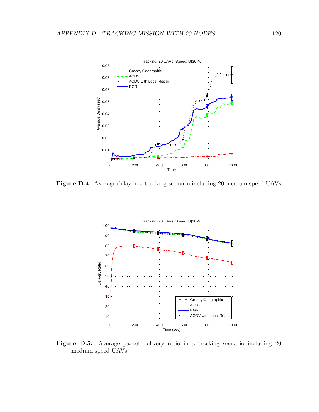

Figure D.4: Average delay in a tracking scenario including 20 medium speed UAVs



Figure D.5: Average packet delivery ratio in a tracking scenario including 20 medium speed UAVs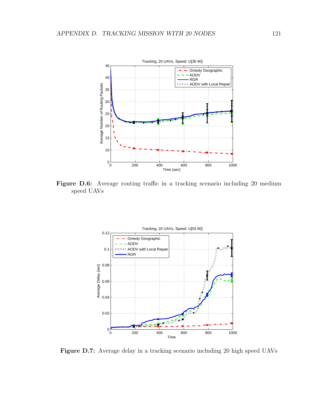

Figure D.6: Average routing traffic in a tracking scenario including 20 medium speed UAVs



Figure D.7: Average delay in a tracking scenario including 20 high speed UAVs